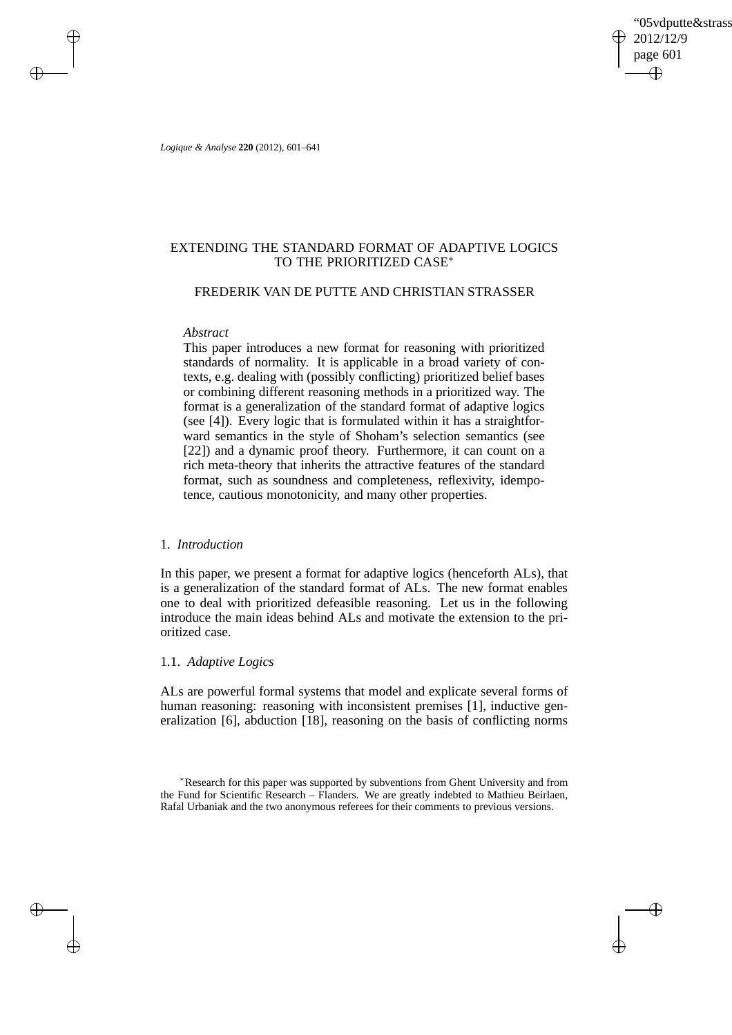'05vdputte&strass 2012/12/9 page 601 ✐ ✐

✐

✐

*Logique & Analyse* **220** (2012), 601–641

 $\rightarrow$ 

 $\rightarrow$ 

✐

✐

# EXTENDING THE STANDARD FORMAT OF ADAPTIVE LOGICS TO THE PRIORITIZED CASE<sup>∗</sup>

# FREDERIK VAN DE PUTTE AND CHRISTIAN STRASSER

## *Abstract*

This paper introduces a new format for reasoning with prioritized standards of normality. It is applicable in a broad variety of contexts, e.g. dealing with (possibly conflicting) prioritized belief bases or combining different reasoning methods in a prioritized way. The format is a generalization of the standard format of adaptive logics (see [4]). Every logic that is formulated within it has a straightforward semantics in the style of Shoham's selection semantics (see [22]) and a dynamic proof theory. Furthermore, it can count on a rich meta-theory that inherits the attractive features of the standard format, such as soundness and completeness, reflexivity, idempotence, cautious monotonicity, and many other properties.

# 1. *Introduction*

In this paper, we present a format for adaptive logics (henceforth ALs), that is a generalization of the standard format of ALs. The new format enables one to deal with prioritized defeasible reasoning. Let us in the following introduce the main ideas behind ALs and motivate the extension to the prioritized case.

# 1.1. *Adaptive Logics*

ALs are powerful formal systems that model and explicate several forms of human reasoning: reasoning with inconsistent premises [1], inductive generalization [6], abduction [18], reasoning on the basis of conflicting norms

<sup>∗</sup>Research for this paper was supported by subventions from Ghent University and from the Fund for Scientific Research – Flanders. We are greatly indebted to Mathieu Beirlaen, Rafal Urbaniak and the two anonymous referees for their comments to previous versions.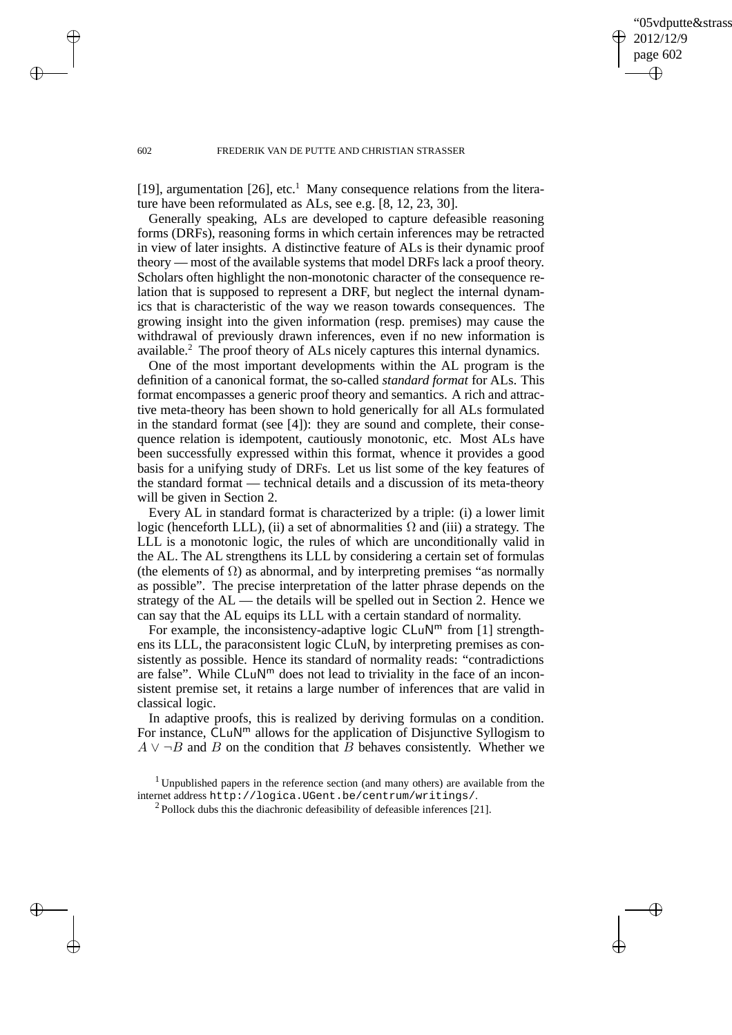✐

#### 602 FREDERIK VAN DE PUTTE AND CHRISTIAN STRASSER

[19], argumentation [26], etc.<sup>1</sup> Many consequence relations from the literature have been reformulated as ALs, see e.g. [8, 12, 23, 30].

Generally speaking, ALs are developed to capture defeasible reasoning forms (DRFs), reasoning forms in which certain inferences may be retracted in view of later insights. A distinctive feature of ALs is their dynamic proof theory — most of the available systems that model DRFs lack a proof theory. Scholars often highlight the non-monotonic character of the consequence relation that is supposed to represent a DRF, but neglect the internal dynamics that is characteristic of the way we reason towards consequences. The growing insight into the given information (resp. premises) may cause the withdrawal of previously drawn inferences, even if no new information is available.<sup>2</sup> The proof theory of ALs nicely captures this internal dynamics.

One of the most important developments within the AL program is the definition of a canonical format, the so-called *standard format* for ALs. This format encompasses a generic proof theory and semantics. A rich and attractive meta-theory has been shown to hold generically for all ALs formulated in the standard format (see [4]): they are sound and complete, their consequence relation is idempotent, cautiously monotonic, etc. Most ALs have been successfully expressed within this format, whence it provides a good basis for a unifying study of DRFs. Let us list some of the key features of the standard format — technical details and a discussion of its meta-theory will be given in Section 2.

Every AL in standard format is characterized by a triple: (i) a lower limit logic (henceforth LLL), (ii) a set of abnormalities  $\Omega$  and (iii) a strategy. The LLL is a monotonic logic, the rules of which are unconditionally valid in the AL. The AL strengthens its LLL by considering a certain set of formulas (the elements of  $\Omega$ ) as abnormal, and by interpreting premises "as normally as possible". The precise interpretation of the latter phrase depends on the strategy of the AL — the details will be spelled out in Section 2. Hence we can say that the AL equips its LLL with a certain standard of normality.

For example, the inconsistency-adaptive logic  $CLuN<sup>m</sup>$  from [1] strengthens its LLL, the paraconsistent logic CLuN, by interpreting premises as consistently as possible. Hence its standard of normality reads: "contradictions are false". While  $CLuN<sup>m</sup>$  does not lead to triviality in the face of an inconsistent premise set, it retains a large number of inferences that are valid in classical logic.

In adaptive proofs, this is realized by deriving formulas on a condition. For instance, CLuN<sup>m</sup> allows for the application of Disjunctive Syllogism to  $A \vee \neg B$  and B on the condition that B behaves consistently. Whether we

 $\rightarrow$ 

 $\rightarrow$ 

✐

<sup>&</sup>lt;sup>1</sup> Unpublished papers in the reference section (and many others) are available from the internet address http://logica.UGent.be/centrum/writings/.

 $2$  Pollock dubs this the diachronic defeasibility of defeasible inferences [21].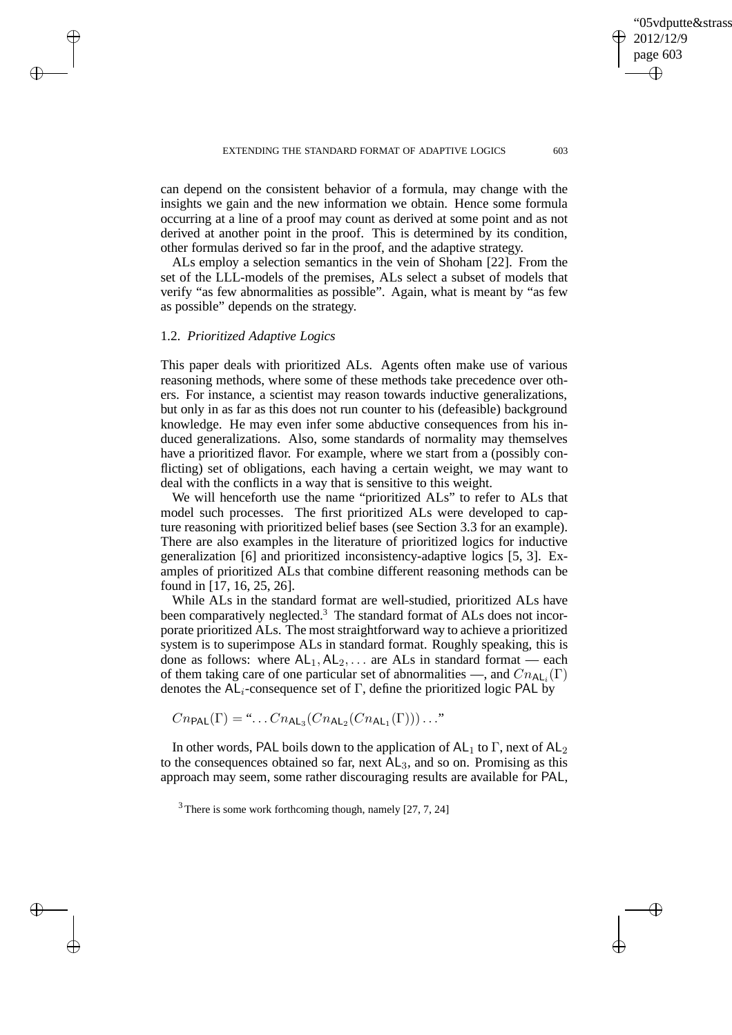✐

✐

2012/12/9 page 603

'05vdputte&strass

can depend on the consistent behavior of a formula, may change with the insights we gain and the new information we obtain. Hence some formula occurring at a line of a proof may count as derived at some point and as not derived at another point in the proof. This is determined by its condition, other formulas derived so far in the proof, and the adaptive strategy.

ALs employ a selection semantics in the vein of Shoham [22]. From the set of the LLL-models of the premises, ALs select a subset of models that verify "as few abnormalities as possible". Again, what is meant by "as few as possible" depends on the strategy.

# 1.2. *Prioritized Adaptive Logics*

 $\rightarrow$ 

 $\rightarrow$ 

✐

✐

This paper deals with prioritized ALs. Agents often make use of various reasoning methods, where some of these methods take precedence over others. For instance, a scientist may reason towards inductive generalizations, but only in as far as this does not run counter to his (defeasible) background knowledge. He may even infer some abductive consequences from his induced generalizations. Also, some standards of normality may themselves have a prioritized flavor. For example, where we start from a (possibly conflicting) set of obligations, each having a certain weight, we may want to deal with the conflicts in a way that is sensitive to this weight.

We will henceforth use the name "prioritized ALs" to refer to ALs that model such processes. The first prioritized ALs were developed to capture reasoning with prioritized belief bases (see Section 3.3 for an example). There are also examples in the literature of prioritized logics for inductive generalization [6] and prioritized inconsistency-adaptive logics [5, 3]. Examples of prioritized ALs that combine different reasoning methods can be found in [17, 16, 25, 26].

While ALs in the standard format are well-studied, prioritized ALs have been comparatively neglected.<sup>3</sup> The standard format of ALs does not incorporate prioritized ALs. The most straightforward way to achieve a prioritized system is to superimpose ALs in standard format. Roughly speaking, this is done as follows: where  $AL_1, AL_2, \ldots$  are ALs in standard format — each of them taking care of one particular set of abnormalities —, and  $Cn_{\mathsf{AL}_i}(\Gamma)$ denotes the  $AL_i$ -consequence set of Γ, define the prioritized logic PAL by

$$
Cn_{\mathsf{PAL}}(\Gamma) = \dots \cdot Cn_{\mathsf{AL}_3}(Cn_{\mathsf{AL}_2}(Cn_{\mathsf{AL}_1}(\Gamma)))\dots
$$

In other words, PAL boils down to the application of  $AL_1$  to  $\Gamma$ , next of  $AL_2$ to the consequences obtained so far, next  $AL_3$ , and so on. Promising as this approach may seem, some rather discouraging results are available for PAL,

 $3$  There is some work forthcoming though, namely [27, 7, 24]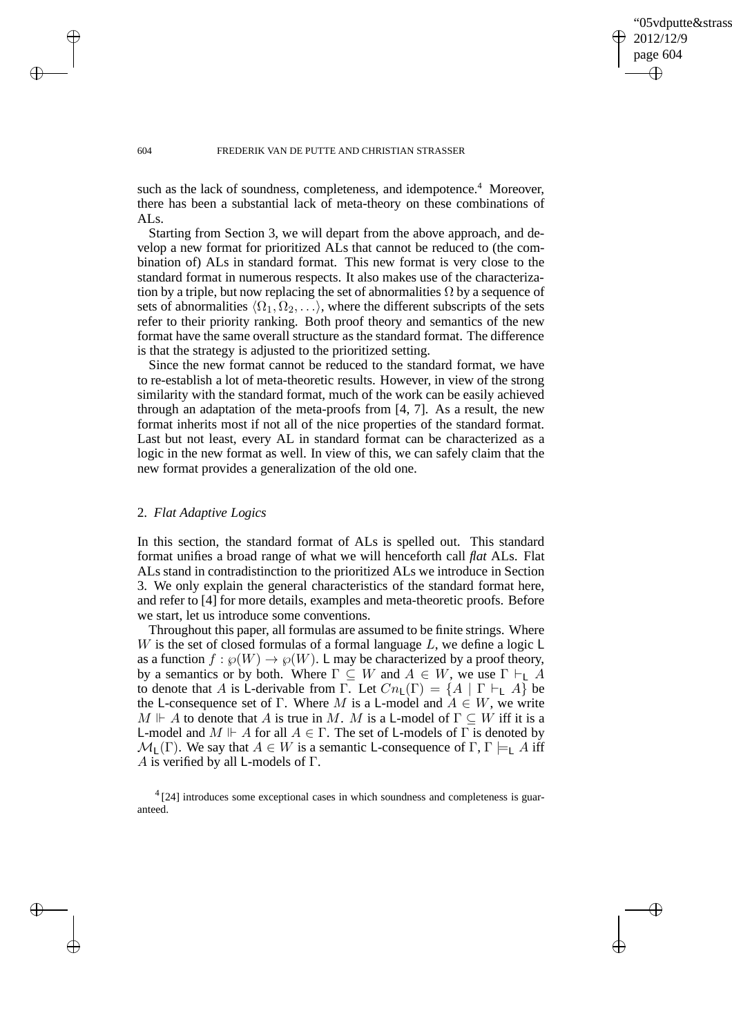✐

#### 604 FREDERIK VAN DE PUTTE AND CHRISTIAN STRASSER

such as the lack of soundness, completeness, and idempotence.<sup>4</sup> Moreover, there has been a substantial lack of meta-theory on these combinations of ALs.

Starting from Section 3, we will depart from the above approach, and develop a new format for prioritized ALs that cannot be reduced to (the combination of) ALs in standard format. This new format is very close to the standard format in numerous respects. It also makes use of the characterization by a triple, but now replacing the set of abnormalities  $\Omega$  by a sequence of sets of abnormalities  $\langle \Omega_1, \Omega_2, \ldots \rangle$ , where the different subscripts of the sets refer to their priority ranking. Both proof theory and semantics of the new format have the same overall structure as the standard format. The difference is that the strategy is adjusted to the prioritized setting.

Since the new format cannot be reduced to the standard format, we have to re-establish a lot of meta-theoretic results. However, in view of the strong similarity with the standard format, much of the work can be easily achieved through an adaptation of the meta-proofs from [4, 7]. As a result, the new format inherits most if not all of the nice properties of the standard format. Last but not least, every AL in standard format can be characterized as a logic in the new format as well. In view of this, we can safely claim that the new format provides a generalization of the old one.

## 2. *Flat Adaptive Logics*

In this section, the standard format of ALs is spelled out. This standard format unifies a broad range of what we will henceforth call *flat* ALs. Flat ALs stand in contradistinction to the prioritized ALs we introduce in Section 3. We only explain the general characteristics of the standard format here, and refer to [4] for more details, examples and meta-theoretic proofs. Before we start, let us introduce some conventions.

Throughout this paper, all formulas are assumed to be finite strings. Where W is the set of closed formulas of a formal language  $L$ , we define a logic  $\mathsf L$ as a function  $f : \wp(W) \to \wp(W)$ . L may be characterized by a proof theory, by a semantics or by both. Where  $\Gamma \subseteq W$  and  $A \in W$ , we use  $\Gamma \vdash_{\mathsf{L}} A$ to denote that A is L-derivable from  $\overline{\Gamma}$ . Let  $Cn_{\mathsf{L}}(\Gamma) = \{A \mid \Gamma \vdash_{\mathsf{L}} A\}$  be the L-consequence set of Γ. Where M is a L-model and  $A \in W$ , we write  $M \Vdash A$  to denote that A is true in M. M is a L-model of  $\Gamma \subseteq W$  iff it is a L-model and  $M \Vdash A$  for all  $A \in \Gamma$ . The set of L-models of  $\Gamma$  is denoted by  $\mathcal{M}_{\mathsf{L}}(\Gamma)$ . We say that  $A \in W$  is a semantic L-consequence of  $\Gamma, \Gamma \models_{\mathsf{L}} A$  iff A is verified by all L-models of  $\Gamma$ .

<sup>4</sup> [24] introduces some exceptional cases in which soundness and completeness is guaranteed.

 $\rightarrow$ 

 $\rightarrow$ 

✐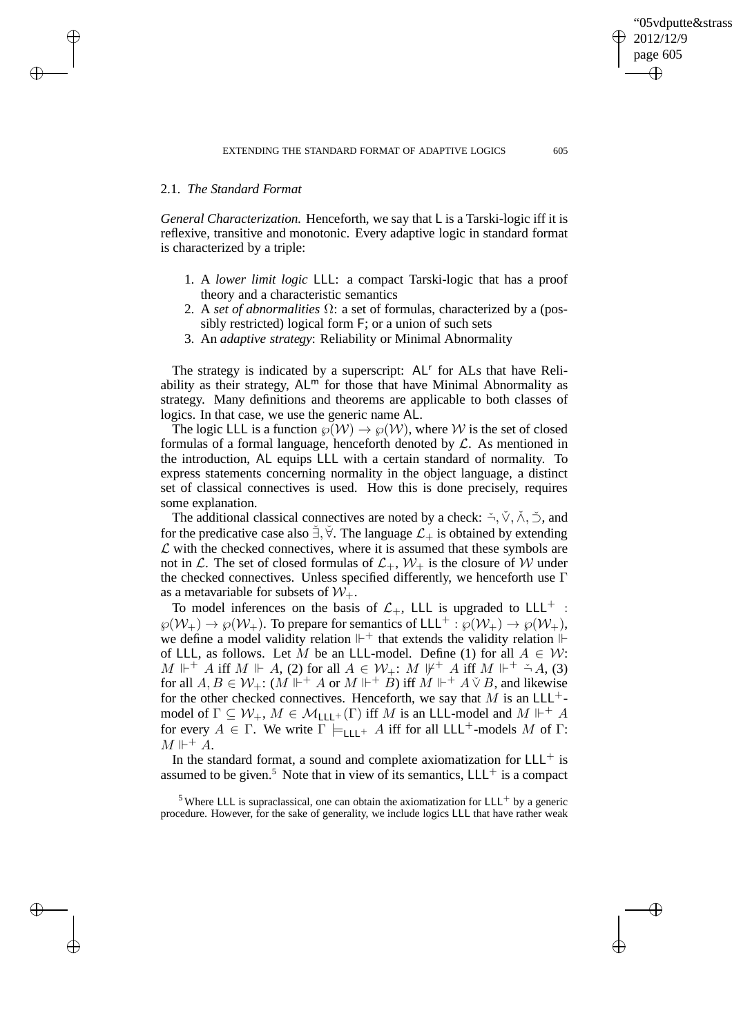$\rightarrow$ 

 $\rightarrow$ 

✐

✐

*General Characterization.* Henceforth, we say that L is a Tarski-logic iff it is reflexive, transitive and monotonic. Every adaptive logic in standard format is characterized by a triple:

- 1. A *lower limit logic* LLL: a compact Tarski-logic that has a proof theory and a characteristic semantics
- 2. A *set of abnormalities* Ω: a set of formulas, characterized by a (possibly restricted) logical form F; or a union of such sets
- 3. An *adaptive strategy*: Reliability or Minimal Abnormality

The strategy is indicated by a superscript: AL<sup>r</sup> for ALs that have Reliability as their strategy,  $AL<sup>m</sup>$  for those that have Minimal Abnormality as strategy. Many definitions and theorems are applicable to both classes of logics. In that case, we use the generic name AL.

The logic LLL is a function  $\wp(\mathcal{W}) \to \wp(\mathcal{W})$ , where W is the set of closed formulas of a formal language, henceforth denoted by  $\mathcal{L}$ . As mentioned in the introduction, AL equips LLL with a certain standard of normality. To express statements concerning normality in the object language, a distinct set of classical connectives is used. How this is done precisely, requires some explanation.

The additional classical connectives are noted by a check:  $\check{\neg}, \check{\vee}, \check{\wedge}, \check{\supset}$ , and for the predicative case also  $\check{\exists}$ ,  $\check{\forall}$ . The language  $\mathcal{L}_+$  is obtained by extending  $\mathcal L$  with the checked connectives, where it is assumed that these symbols are not in L. The set of closed formulas of  $\mathcal{L}_+$ ,  $\mathcal{W}_+$  is the closure of W under the checked connectives. Unless specified differently, we henceforth use  $\Gamma$ as a metavariable for subsets of  $W_+$ .

To model inferences on the basis of  $\mathcal{L}_+$ , LLL is upgraded to LLL<sup>+</sup> :  $\wp(\mathcal{W}_+) \to \wp(\mathcal{W}_+)$ . To prepare for semantics of LLL<sup>+</sup> :  $\wp(\mathcal{W}_+) \to \wp(\mathcal{W}_+)$ , we define a model validity relation  $\mathbb{H}^+$  that extends the validity relation  $\mathbb{H}$ of LLL, as follows. Let M be an LLL-model. Define (1) for all  $A \in \mathcal{W}$ :  $M \Vdash^+ A$  iff  $M \Vdash A$ , (2) for all  $A \in \mathcal{W}_+$ :  $M \Vdash^+ A$  iff  $M \Vdash^+ \stackrel{\sim}{\rightarrow} A$ , (3) for all  $A, B \in \mathcal{W}_+$ :  $(M \Vdash^+ A$  or  $M \Vdash^+ B$ ) iff  $M \Vdash^+ A \check{\vee} B$ , and likewise for the other checked connectives. Henceforth, we say that  $M$  is an LLL<sup>+</sup>model of  $\Gamma \subseteq W_+$ ,  $M \in \mathcal{M}_{\mathsf{LLL}^+}(\Gamma)$  iff M is an LLL-model and  $M \Vdash^+ A$ for every  $A \in \Gamma$ . We write  $\Gamma \models_{\text{LLL}^+} A$  iff for all LLL<sup>+</sup>-models M of  $\Gamma$ :  $M \Vdash^+ A$ .

In the standard format, a sound and complete axiomatization for  $LLL^+$  is assumed to be given.<sup>5</sup> Note that in view of its semantics,  $LLL^+$  is a compact

 $<sup>5</sup>$  Where LLL is supraclassical, one can obtain the axiomatization for LLL<sup>+</sup> by a generic</sup> procedure. However, for the sake of generality, we include logics LLL that have rather weak

✐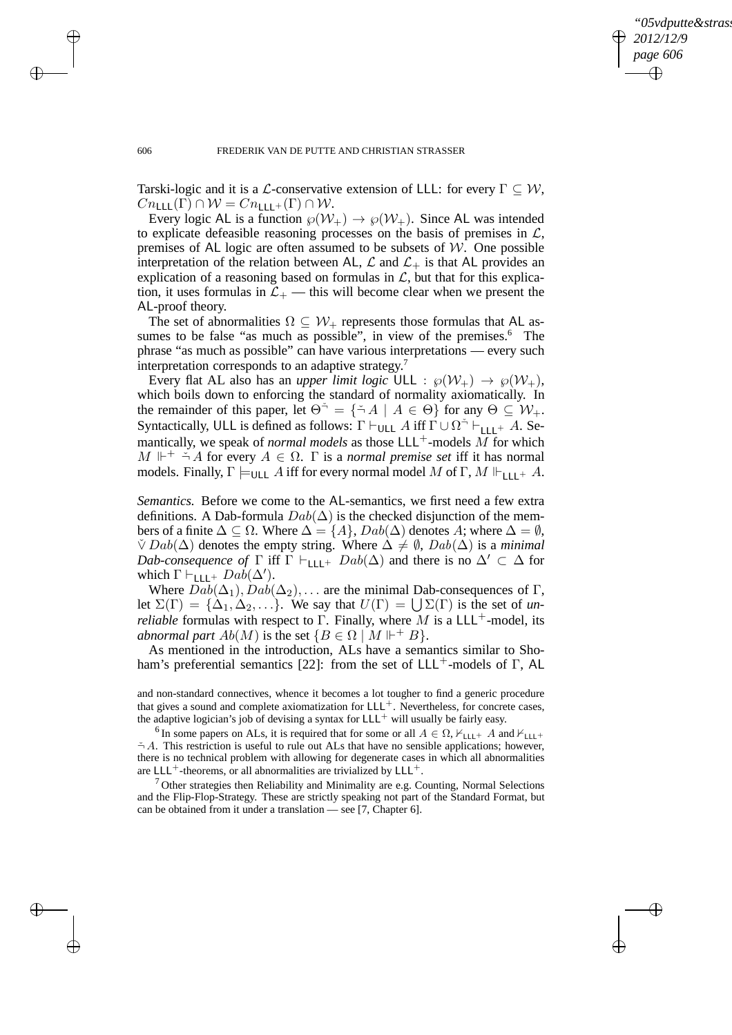✐

#### 606 FREDERIK VAN DE PUTTE AND CHRISTIAN STRASSER

Tarski-logic and it is a L-conservative extension of LLL: for every  $\Gamma \subseteq \mathcal{W}$ ,  $Cn_{\text{LLL}}(\Gamma) \cap \mathcal{W} = Cn_{\text{LLL}^+}(\Gamma) \cap \mathcal{W}.$ 

Every logic AL is a function  $\wp(\mathcal{W}_+) \to \wp(\mathcal{W}_+)$ . Since AL was intended to explicate defeasible reasoning processes on the basis of premises in  $\mathcal{L}$ , premises of AL logic are often assumed to be subsets of  $W$ . One possible interpretation of the relation between AL,  $\mathcal L$  and  $\mathcal L_+$  is that AL provides an explication of a reasoning based on formulas in  $\mathcal{L}$ , but that for this explication, it uses formulas in  $\mathcal{L}_+$  — this will become clear when we present the AL-proof theory.

The set of abnormalities  $\Omega \subseteq \mathcal{W}_+$  represents those formulas that AL assumes to be false "as much as possible", in view of the premises.<sup>6</sup> The phrase "as much as possible" can have various interpretations — every such interpretation corresponds to an adaptive strategy.<sup>7</sup>

Every flat AL also has an *upper limit logic* ULL :  $\wp(\mathcal{W}_+) \to \wp(\mathcal{W}_+),$ which boils down to enforcing the standard of normality axiomatically. In the remainder of this paper, let  $\Theta^{\dagger} = {\{\check{\neg} A \mid A \in \Theta\}}$  for any  $\Theta \subseteq \mathcal{W}_+$ . Syntactically, ULL is defined as follows:  $\Gamma \vdash_{\mathsf{ULL}} A$  iff  $\Gamma \cup \Omega^{\preceq} \vdash_{\mathsf{LLL}^+} A$ . Semantically, we speak of *normal models* as those  $LLL^+$ -models M for which  $M \Vdash^+ \stackrel{\smile}{\rightharpoonup} A$  for every  $A \in \Omega$ .  $\Gamma$  is a *normal premise set* iff it has normal models. Finally,  $\Gamma \models_{\text{ULL}} A$  iff for every normal model M of  $\Gamma, M \Vdash_{\text{L1}} A$ .

*Semantics.* Before we come to the AL-semantics, we first need a few extra definitions. A Dab-formula  $Dab(\Delta)$  is the checked disjunction of the members of a finite  $\Delta \subseteq \Omega$ . Where  $\Delta = \{A\}$ ,  $Dab(\Delta)$  denotes A; where  $\Delta = \emptyset$ ,  $\check{\vee}$  Dab( $\Delta$ ) denotes the empty string. Where  $\Delta \neq \emptyset$ , Dab( $\Delta$ ) is a *minimal Dab-consequence of*  $\Gamma$  iff  $\Gamma \vdash_{\text{LLL}^+} Dab(\Delta)$  and there is no  $\Delta' \subset \Delta$  for which  $\Gamma \vdash_{\mathsf{LLL}^+} Da\check{b}(\Delta').$ 

Where  $Dab(\Delta_1), Dab(\Delta_2), \ldots$  are the minimal Dab-consequences of Γ, let  $\Sigma(\Gamma) = {\Delta_1, \Delta_2, \ldots}$ . We say that  $U(\Gamma) = \bigcup \Sigma(\Gamma)$  is the set of *unreliable* formulas with respect to Γ. Finally, where M is a LLL<sup>+</sup>-model, its *abnormal part*  $Ab(M)$  is the set  $\{B \in \Omega \mid M \Vdash^{+} B\}.$ 

As mentioned in the introduction, ALs have a semantics similar to Shoham's preferential semantics [22]: from the set of  $LLL^{+}$ -models of Γ, AL

and non-standard connectives, whence it becomes a lot tougher to find a generic procedure that gives a sound and complete axiomatization for  $LLL^{+}$ . Nevertheless, for concrete cases, the adaptive logician's job of devising a syntax for  $LLL^{+}$  will usually be fairly easy.

<sup>6</sup> In some papers on ALs, it is required that for some or all  $A \in \Omega$ ,  $\mathcal{F}_{\text{LLL}} + A$  and  $\mathcal{F}_{\text{LLL}} +$  $\stackrel{\sim}{\neg}$  A. This restriction is useful to rule out ALs that have no sensible applications; however, there is no technical problem with allowing for degenerate cases in which all abnormalities are  $LLL^+$ -theorems, or all abnormalities are trivialized by  $LLL^+$ .

 $7$  Other strategies then Reliability and Minimality are e.g. Counting, Normal Selections and the Flip-Flop-Strategy. These are strictly speaking not part of the Standard Format, but can be obtained from it under a translation — see [7, Chapter 6].

 $\rightarrow$ 

 $\rightarrow$ 

✐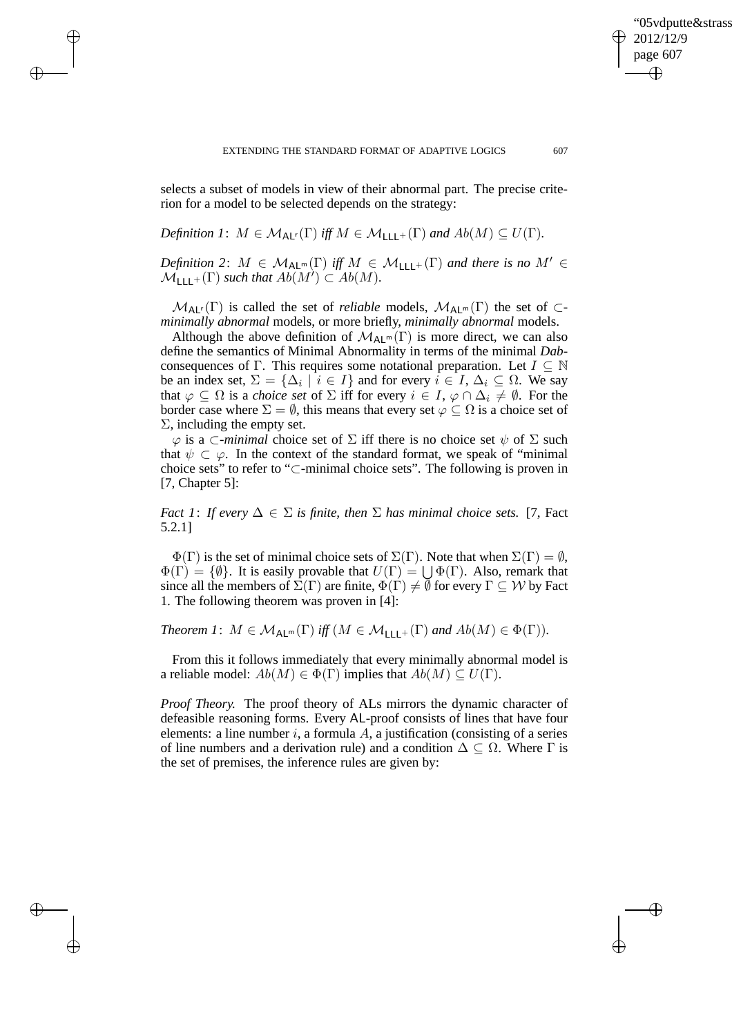selects a subset of models in view of their abnormal part. The precise criterion for a model to be selected depends on the strategy:

*Definition 1*: 
$$
M \in M_{\text{AL}^r}(\Gamma)
$$
 iff  $M \in M_{\text{LLL}^+}(\Gamma)$  and  $Ab(M) \subseteq U(\Gamma)$ .

 $\rightarrow$ 

 $\rightarrow$ 

✐

✐

*Definition 2:*  $M \in \mathcal{M}_{AL^m}(\Gamma)$  *iff*  $M \in \mathcal{M}_{LLL^+}(\Gamma)$  *and there is no*  $M' \in$  $\mathcal{M}_{\mathsf{LLL}^+}(\Gamma)$  *such that*  $Ab(M') \subset Ab(M)$ .

 $M_{AL}(\Gamma)$  is called the set of *reliable* models,  $M_{AL}(\Gamma)$  the set of  $\subset$ *minimally abnormal* models, or more briefly, *minimally abnormal* models.

Although the above definition of  $\mathcal{M}_{Alm}(\Gamma)$  is more direct, we can also define the semantics of Minimal Abnormality in terms of the minimal *Dab*consequences of Γ. This requires some notational preparation. Let  $I \subseteq \mathbb{N}$ be an index set,  $\Sigma = {\{\Delta_i \mid i \in I\}}$  and for every  $i \in I$ ,  $\Delta_i \subseteq \Omega$ . We say that  $\varphi \subseteq \Omega$  is a *choice set* of  $\Sigma$  iff for every  $i \in I$ ,  $\varphi \cap \Delta_i \neq \emptyset$ . For the border case where  $\Sigma = \emptyset$ , this means that every set  $\varphi \subseteq \Omega$  is a choice set of  $\Sigma$ , including the empty set.

 $\varphi$  is a  $\subset$ *-minimal* choice set of  $\Sigma$  iff there is no choice set  $\psi$  of  $\Sigma$  such that  $\psi \subset \varphi$ . In the context of the standard format, we speak of "minimal" choice sets" to refer to "⊂-minimal choice sets". The following is proven in [7, Chapter 5]:

*Fact 1: If every*  $\Delta \in \Sigma$  *is finite, then*  $\Sigma$  *has minimal choice sets.* [7, Fact 5.2.1]

 $\Phi(\Gamma)$  is the set of minimal choice sets of  $\Sigma(\Gamma)$ . Note that when  $\Sigma(\Gamma) = \emptyset$ ,  $\Phi(\Gamma) = \{\emptyset\}.$  It is easily provable that  $U(\Gamma) = \bigcup \Phi(\Gamma)$ . Also, remark that since all the members of  $\Sigma(\Gamma)$  are finite,  $\Phi(\Gamma) \neq \emptyset$  for every  $\Gamma \subseteq W$  by Fact 1. The following theorem was proven in [4]:

Theorem 1: 
$$
M \in M_{\text{ALm}}(\Gamma)
$$
 iff  $(M \in M_{\text{LLL}^+}(\Gamma)$  and  $Ab(M) \in \Phi(\Gamma)$ ).

From this it follows immediately that every minimally abnormal model is a reliable model:  $Ab(M) \in \Phi(\Gamma)$  implies that  $Ab(M) \subseteq U(\Gamma)$ .

*Proof Theory.* The proof theory of ALs mirrors the dynamic character of defeasible reasoning forms. Every AL-proof consists of lines that have four elements: a line number i, a formula A, a justification (consisting of a series of line numbers and a derivation rule) and a condition  $\Delta \subseteq \Omega$ . Where  $\Gamma$  is the set of premises, the inference rules are given by:

'05vdputte&strass

2012/12/9 page 607

✐

✐

✐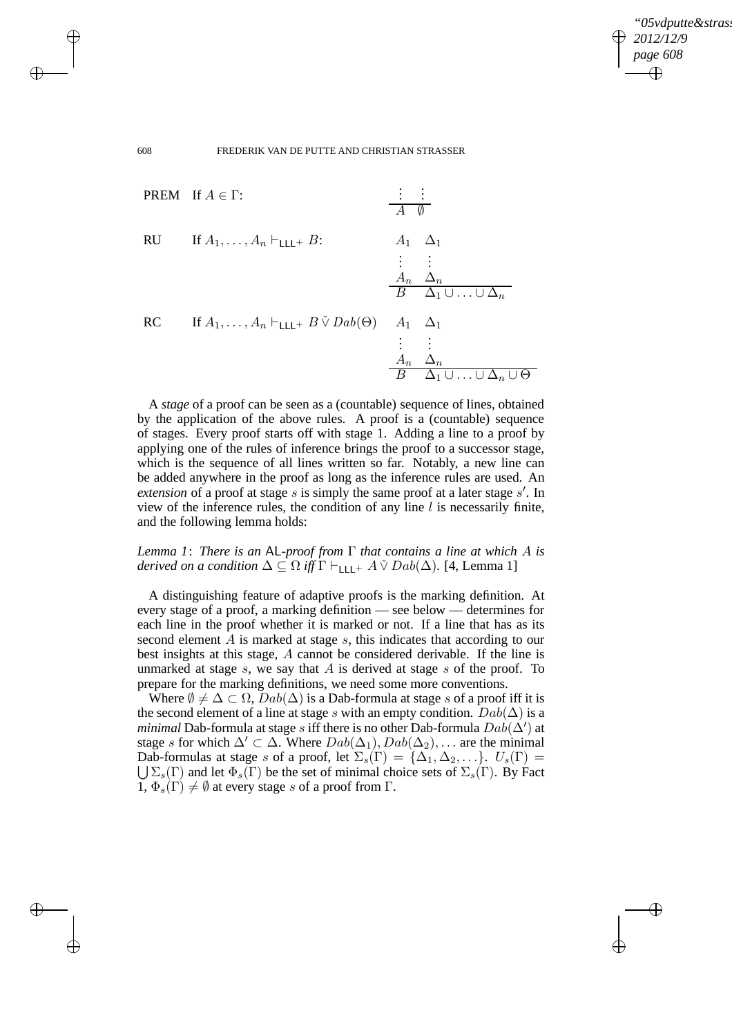✐

#### 608 FREDERIK VAN DE PUTTE AND CHRISTIAN STRASSER

 $\rightarrow$ 

 $\rightarrow$ 

✐

✐



A *stage* of a proof can be seen as a (countable) sequence of lines, obtained by the application of the above rules. A proof is a (countable) sequence of stages. Every proof starts off with stage 1. Adding a line to a proof by applying one of the rules of inference brings the proof to a successor stage, which is the sequence of all lines written so far. Notably, a new line can be added anywhere in the proof as long as the inference rules are used. An extension of a proof at stage  $s$  is simply the same proof at a later stage  $s'$ . In view of the inference rules, the condition of any line  $l$  is necessarily finite, and the following lemma holds:

# *Lemma 1*: *There is an* AL*-proof from* Γ *that contains a line at which* A *is derived on a condition*  $\Delta \subseteq \Omega$  *iff*  $\Gamma \vdash_{\text{LLL}^+} A \check{\vee} Da b(\Delta)$ . [4, Lemma 1]

A distinguishing feature of adaptive proofs is the marking definition. At every stage of a proof, a marking definition — see below — determines for each line in the proof whether it is marked or not. If a line that has as its second element A is marked at stage s, this indicates that according to our best insights at this stage, A cannot be considered derivable. If the line is unmarked at stage s, we say that  $A$  is derived at stage s of the proof. To prepare for the marking definitions, we need some more conventions.

Where  $\emptyset \neq \Delta \subset \Omega$ ,  $Dab(\Delta)$  is a Dab-formula at stage s of a proof iff it is the second element of a line at stage s with an empty condition.  $Dab(\Delta)$  is a *minimal* Dab-formula at stage s iff there is no other Dab-formula  $D a \dot{b}(\Delta')$  at stage s for which  $\Delta' \subset \Delta$ . Where  $Dab(\Delta_1), Dab(\Delta_2), \ldots$  are the minimal Dab-formulas at stage s of a proof, let  $\Sigma_s(\Gamma) = {\Delta_1, \Delta_2, \ldots}$ .  $U_s(\Gamma) =$  $\bigcup \Sigma_s(\Gamma)$  and let  $\Phi_s(\Gamma)$  be the set of minimal choice sets of  $\Sigma_s(\Gamma)$ . By Fact  $1, \Phi_s(\Gamma) \neq \emptyset$  at every stage s of a proof from  $\Gamma$ .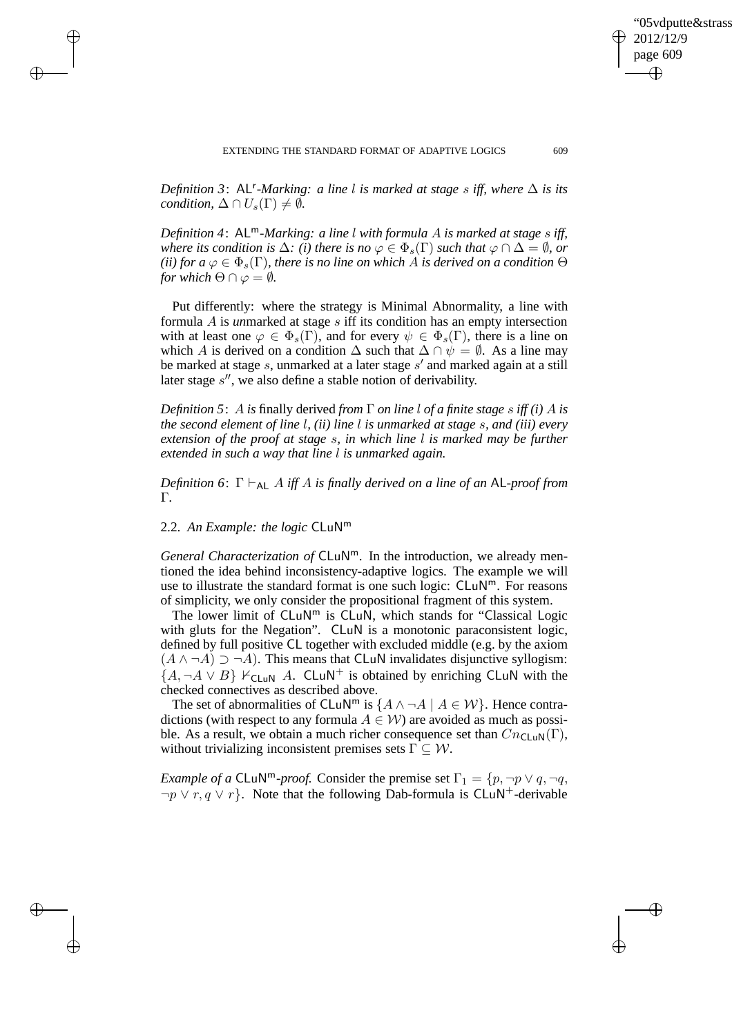*Definition 3:* AL<sup>r</sup>-Marking: a line l is marked at stage s iff, where  $\Delta$  is its *condition,*  $\Delta \cap U_s(\Gamma) \neq \emptyset$ .

*Definition 4*: ALm*-Marking: a line* l *with formula* A *is marked at stage* s *iff, where its condition is*  $\Delta$ *: (i) there is no*  $\varphi \in \Phi_s(\Gamma)$  *such that*  $\varphi \cap \Delta = \emptyset$ *, or (ii) for a*  $\varphi \in \Phi_s(\Gamma)$ *, there is no line on which A is derived on a condition*  $\Theta$ *for which*  $\Theta \cap \varphi = \emptyset$ *.* 

Put differently: where the strategy is Minimal Abnormality, a line with formula A is *un*marked at stage s iff its condition has an empty intersection with at least one  $\varphi \in \Phi_s(\Gamma)$ , and for every  $\psi \in \Phi_s(\Gamma)$ , there is a line on which A is derived on a condition  $\Delta$  such that  $\Delta \cap \psi = \emptyset$ . As a line may be marked at stage s, unmarked at a later stage s' and marked again at a still later stage  $s''$ , we also define a stable notion of derivability.

*Definition 5*: A *is* finally derived *from* Γ *on line* l *of a finite stage* s *iff (i)* A *is the second element of line* l*, (ii) line* l *is unmarked at stage* s*, and (iii) every extension of the proof at stage* s*, in which line* l *is marked may be further extended in such a way that line* l *is unmarked again.*

*Definition 6*: Γ ⊢AL A *iff* A *is finally derived on a line of an* AL*-proof from* Γ*.*

2.2. *An Example: the logic* CLuN<sup>m</sup>

 $\rightarrow$ 

 $\rightarrow$ 

✐

✐

*General Characterization of* CLuN<sup>m</sup>. In the introduction, we already mentioned the idea behind inconsistency-adaptive logics. The example we will use to illustrate the standard format is one such logic:  $CLuN<sup>m</sup>$ . For reasons of simplicity, we only consider the propositional fragment of this system.

The lower limit of  $CLuN<sup>m</sup>$  is  $CLu\overline{N}$ , which stands for "Classical Logic with gluts for the Negation". CLuN is a monotonic paraconsistent logic, defined by full positive CL together with excluded middle (e.g. by the axiom  $(A \land \neg A) \supset \neg A$ ). This means that CLuN invalidates disjunctive syllogism:  $\{A, \neg A \lor B\}$   $\vdash$  CLuN A. CLuN<sup>+</sup> is obtained by enriching CLuN with the checked connectives as described above.

The set of abnormalities of CLuN<sup>m</sup> is  $\{A \land \neg A \mid A \in \mathcal{W}\}\$ . Hence contradictions (with respect to any formula  $A \in W$ ) are avoided as much as possible. As a result, we obtain a much richer consequence set than  $Cn_{\text{CLUN}}(\Gamma)$ , without trivializing inconsistent premises sets  $\Gamma \subseteq \mathcal{W}$ .

*Example of a* CLuN<sup>m</sup>-proof. Consider the premise set  $\Gamma_1 = \{p, \neg p \lor q, \neg q, \neg q\}$  $\neg p \lor r, q \lor r$ . Note that the following Dab-formula is CLuN<sup>+</sup>-derivable

'05vdputte&strass

2012/12/9 page 609

✐

✐

✐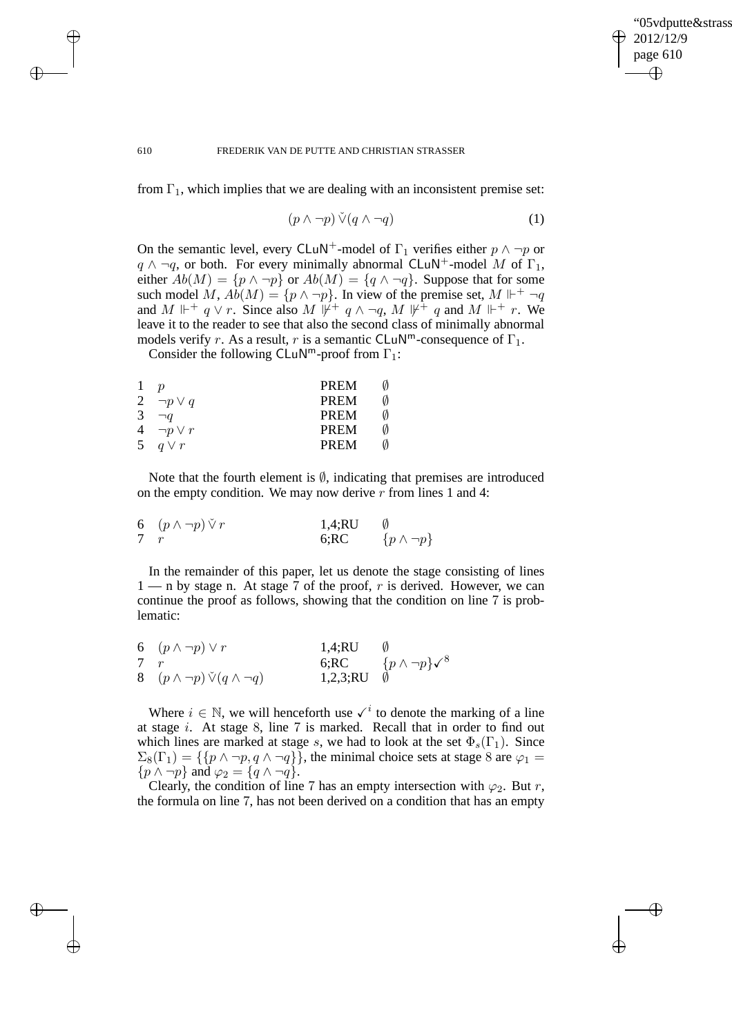✐

#### 610 FREDERIK VAN DE PUTTE AND CHRISTIAN STRASSER

from  $\Gamma_1$ , which implies that we are dealing with an inconsistent premise set:

$$
(p \land \neg p) \check{\lor} (q \land \neg q) \tag{1}
$$

On the semantic level, every CLuN<sup>+</sup>-model of  $\Gamma_1$  verifies either  $p \wedge \neg p$  or  $q \wedge \neg q$ , or both. For every minimally abnormal CLuN<sup>+</sup>-model M of  $\Gamma_1$ , either  $Ab(M) = \{p \land \neg p\}$  or  $Ab(M) = \{q \land \neg q\}$ . Suppose that for some such model M,  $\widehat{Ab}(M) = \{p \wedge \neg p\}$ . In view of the premise set,  $M \Vdash^+ \neg q$ and M  $\mathbb{H}^+$  q  $\vee$  r. Since also M  $\mathbb{H}^+$  q  $\wedge \neg q$ , M  $\mathbb{H}^+$  q and M  $\mathbb{H}^+$  r. We leave it to the reader to see that also the second class of minimally abnormal models verify r. As a result, r is a semantic CLuN<sup>m</sup>-consequence of  $\Gamma_1$ .

Consider the following CLuN<sup>m</sup>-proof from  $\Gamma_1$ :

 $\rightarrow$ 

 $\rightarrow$ 

✐

✐

| 1 |                   | PREM             |
|---|-------------------|------------------|
|   | 2 $\neg p \vee q$ | <b>PREM</b><br>M |
| 3 | $\neg q$          | <b>PREM</b><br>N |
|   | 4 $\neg p \vee r$ | <b>PREM</b>      |
|   | 5 $q \vee r$      | <b>PREM</b>      |

Note that the fourth element is  $\emptyset$ , indicating that premises are introduced on the empty condition. We may now derive r from lines 1 and 4:

| 6 $(p \wedge \neg p) \vee r$ | 1,4;RU |                       |
|------------------------------|--------|-----------------------|
|                              | 6:RC   | $\{p \wedge \neg p\}$ |

In the remainder of this paper, let us denote the stage consisting of lines  $1 - n$  by stage n. At stage 7 of the proof, r is derived. However, we can continue the proof as follows, showing that the condition on line 7 is problematic:

|            | 6 $(p \wedge \neg p) \vee r$                 | 1,4;RU                  |                                         |
|------------|----------------------------------------------|-------------------------|-----------------------------------------|
| $7\quad r$ |                                              |                         | 6;RC $\{p \wedge \neg p\} \checkmark^8$ |
|            | 8 $(p \wedge \neg p) \vee (q \wedge \neg q)$ | 1,2,3; $RU$ $\emptyset$ |                                         |

Where  $i \in \mathbb{N}$ , we will henceforth use  $\checkmark^i$  to denote the marking of a line at stage  $i$ . At stage 8, line 7 is marked. Recall that in order to find out which lines are marked at stage s, we had to look at the set  $\Phi_s(\Gamma_1)$ . Since  $\Sigma_8(\Gamma_1) = \{ \{ p \wedge \neg p, q \wedge \neg q \} \},\$  the minimal choice sets at stage 8 are  $\varphi_1 =$  $\{p \wedge \neg p\}$  and  $\varphi_2 = \{q \wedge \neg q\}.$ 

Clearly, the condition of line 7 has an empty intersection with  $\varphi_2$ . But r, the formula on line 7, has not been derived on a condition that has an empty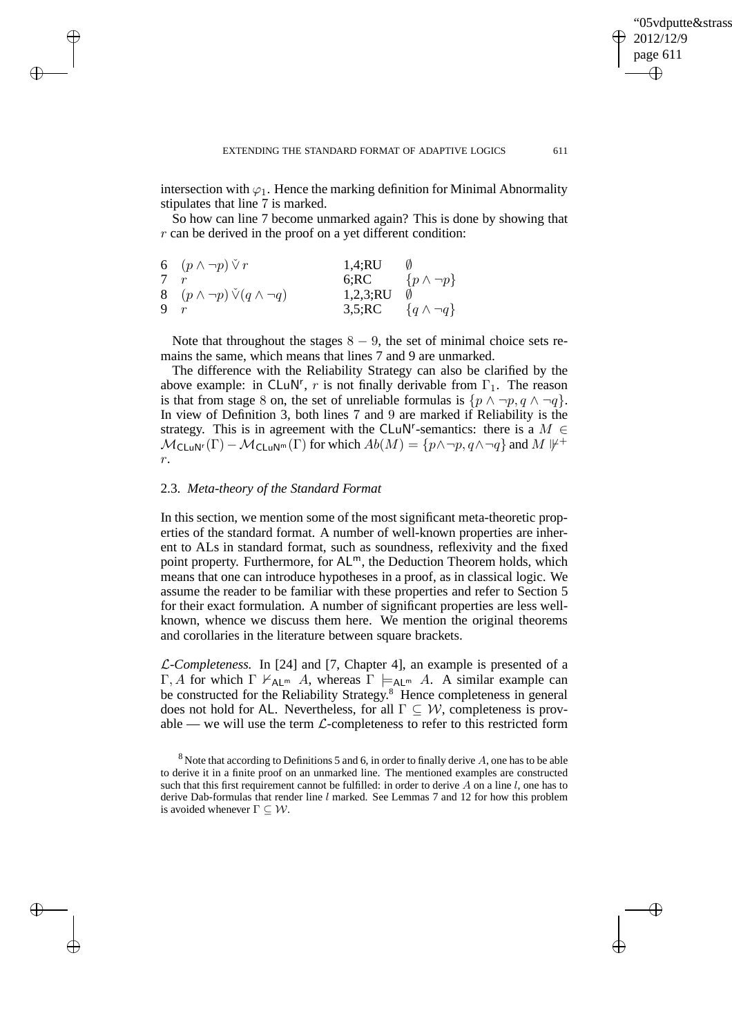✐

intersection with  $\varphi_1$ . Hence the marking definition for Minimal Abnormality stipulates that line 7 is marked.

So how can line 7 become unmarked again? This is done by showing that  $r$  can be derived in the proof on a yet different condition:

|   | 6 $(p \wedge \neg p) \vee r$                 | 1,4;RU   |                              |
|---|----------------------------------------------|----------|------------------------------|
|   |                                              |          | 6;RC $\{p \wedge \neg p\}$   |
|   | 8 $(p \wedge \neg p) \vee (q \wedge \neg q)$ | 1,2,3;RU |                              |
| 9 |                                              |          | 3,5;RC $\{q \wedge \neg q\}$ |

 $\rightarrow$ 

 $\rightarrow$ 

✐

✐

Note that throughout the stages  $8 - 9$ , the set of minimal choice sets remains the same, which means that lines 7 and 9 are unmarked.

The difference with the Reliability Strategy can also be clarified by the above example: in CLuN<sup>r</sup>, r is not finally derivable from  $\Gamma_1$ . The reason is that from stage 8 on, the set of unreliable formulas is  $\{p \land \neg p, q \land \neg q\}$ . In view of Definition 3, both lines 7 and 9 are marked if Reliability is the strategy. This is in agreement with the CLuN<sup>r</sup>-semantics: there is a  $M \in$  $\mathcal{M}_{\mathsf{CLuN}^r}(\Gamma) - \mathcal{M}_{\mathsf{CLuN}^m}(\Gamma)$  for which  $Ab(M) = \{p \land \neg p, q \land \neg q\}$  and  $M \not\Vdash^+$ r.

# 2.3. *Meta-theory of the Standard Format*

In this section, we mention some of the most significant meta-theoretic properties of the standard format. A number of well-known properties are inherent to ALs in standard format, such as soundness, reflexivity and the fixed point property. Furthermore, for  $AL<sup>m</sup>$ , the Deduction Theorem holds, which means that one can introduce hypotheses in a proof, as in classical logic. We assume the reader to be familiar with these properties and refer to Section 5 for their exact formulation. A number of significant properties are less wellknown, whence we discuss them here. We mention the original theorems and corollaries in the literature between square brackets.

L*-Completeness.* In [24] and [7, Chapter 4], an example is presented of a Γ, A for which  $\Gamma \nvdash_{\mathsf{Al}^m} A$ , whereas  $\Gamma \models_{\mathsf{Al}^m} A$ . A similar example can be constructed for the Reliability Strategy.<sup>8</sup> Hence completeness in general does not hold for AL. Nevertheless, for all  $\Gamma \subseteq \mathcal{W}$ , completeness is provable — we will use the term  $\mathcal{L}$ -completeness to refer to this restricted form

 $8$  Note that according to Definitions 5 and 6, in order to finally derive A, one has to be able to derive it in a finite proof on an unmarked line. The mentioned examples are constructed such that this first requirement cannot be fulfilled: in order to derive  $A$  on a line  $l$ , one has to derive Dab-formulas that render line  $l$  marked. See Lemmas 7 and 12 for how this problem is avoided whenever  $\Gamma \subseteq \mathcal{W}$ .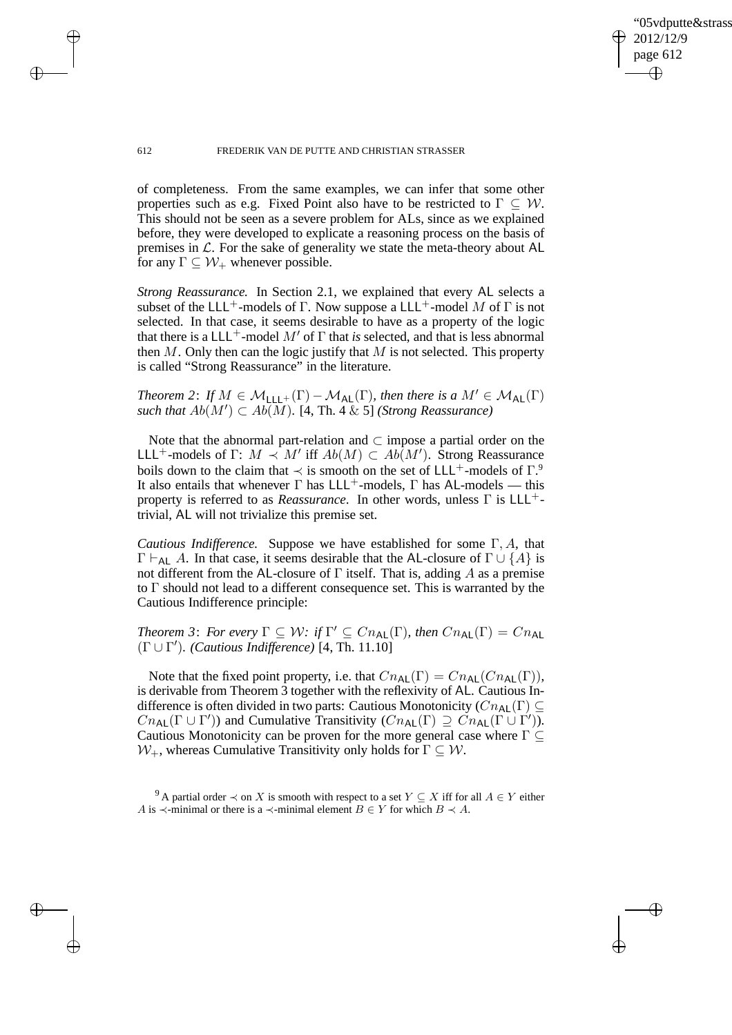✐

#### 612 FREDERIK VAN DE PUTTE AND CHRISTIAN STRASSER

 $\rightarrow$ 

 $\rightarrow$ 

✐

✐

of completeness. From the same examples, we can infer that some other properties such as e.g. Fixed Point also have to be restricted to  $\Gamma \subseteq W$ . This should not be seen as a severe problem for ALs, since as we explained before, they were developed to explicate a reasoning process on the basis of premises in  $\mathcal{L}$ . For the sake of generality we state the meta-theory about AL for any  $\Gamma \subseteq \mathcal{W}_+$  whenever possible.

*Strong Reassurance.* In Section 2.1, we explained that every AL selects a subset of the LLL<sup>+</sup>-models of Γ. Now suppose a LLL<sup>+</sup>-model M of Γ is not selected. In that case, it seems desirable to have as a property of the logic that there is a  $LLL^+$ -model M' of  $\Gamma$  that *is* selected, and that is less abnormal then  $M$ . Only then can the logic justify that  $M$  is not selected. This property is called "Strong Reassurance" in the literature.

*Theorem 2: If*  $M \in \mathcal{M}_{111} + (\Gamma) - \mathcal{M}_{AL}(\Gamma)$ *, then there is a*  $M' \in \mathcal{M}_{AL}(\Gamma)$ such that  $Ab(M')$  ⊂  $Ab(M)$ . [4, Th. 4 & 5] *(Strong Reassurance)* 

Note that the abnormal part-relation and  $\subset$  impose a partial order on the LLL<sup>+</sup>-models of  $\Gamma: M \prec M'$  iff  $Ab(M) \subset Ab(M')$ . Strong Reassurance boils down to the claim that  $\prec$  is smooth on the set of LLL<sup>+</sup>-models of  $\Gamma$ <sup>9</sup> It also entails that whenever  $\Gamma$  has LLL<sup>+</sup>-models,  $\Gamma$  has AL-models — this property is referred to as *Reassurance*. In other words, unless Γ is LLL+ trivial, AL will not trivialize this premise set.

*Cautious Indifference.* Suppose we have established for some Γ, A, that  $\Gamma \vdash_{\mathsf{AL}} A$ . In that case, it seems desirable that the AL-closure of  $\Gamma \cup \{A\}$  is not different from the AL-closure of  $\Gamma$  itself. That is, adding A as a premise to  $\Gamma$  should not lead to a different consequence set. This is warranted by the Cautious Indifference principle:

*Theorem 3: For every*  $\Gamma \subseteq W$ : *if*  $\Gamma' \subseteq Cn_{\text{AL}}(\Gamma)$ *, then*  $Cn_{\text{AL}}(\Gamma) = Cn_{\text{AL}}$ (Γ ∪ Γ ′ )*. (Cautious Indifference)* [4, Th. 11.10]

Note that the fixed point property, i.e. that  $Cn_{AL}(\Gamma) = Cn_{AL}(Cn_{AL}(\Gamma)),$ is derivable from Theorem 3 together with the reflexivity of AL. Cautious Indifference is often divided in two parts: Cautious Monotonicity ( $Cn_{\text{Al}}(\Gamma) \subseteq$  $Cn_{\sf AL}(\Gamma \cup \Gamma')$  and Cumulative Transitivity  $(Cn_{\sf AL}(\Gamma) \supseteq Cn_{\sf AL}(\Gamma \cup \Gamma'))$ . Cautious Monotonicity can be proven for the more general case where  $\Gamma \subseteq$  $W_+$ , whereas Cumulative Transitivity only holds for  $\Gamma \subseteq W$ .

<sup>&</sup>lt;sup>9</sup> A partial order  $\prec$  on X is smooth with respect to a set  $Y \subseteq X$  iff for all  $A \in Y$  either A is  $\prec$ -minimal or there is a  $\prec$ -minimal element  $B \in Y$  for which  $B \prec A$ .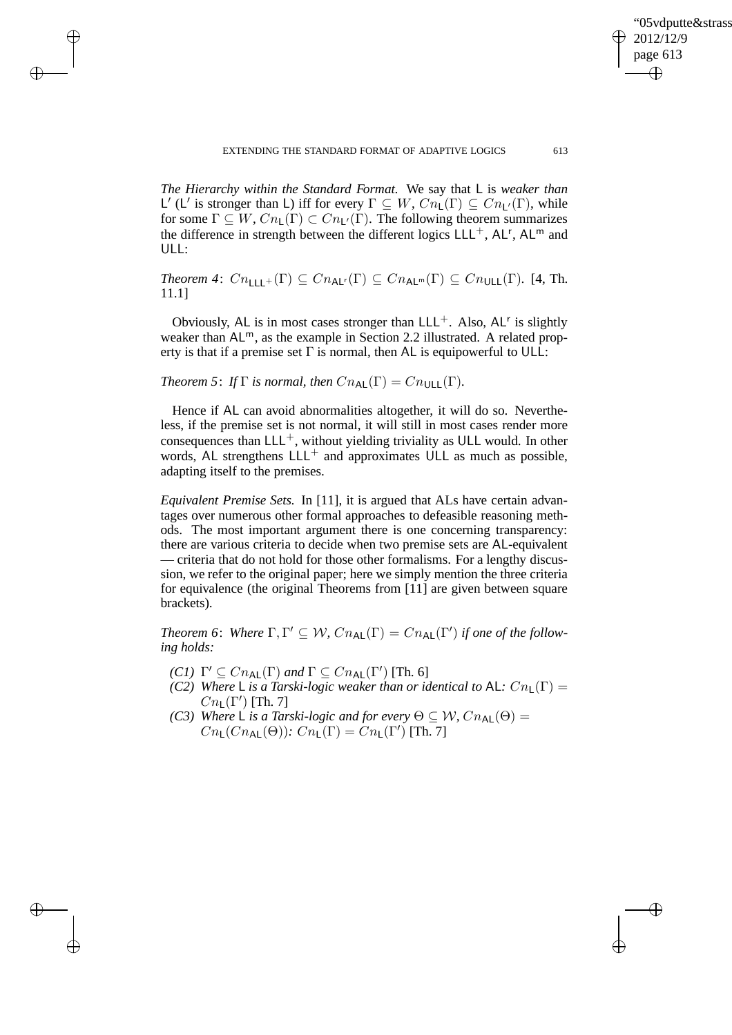✐

*The Hierarchy within the Standard Format.* We say that L is *weaker than*  $\mathsf{L}'$  ( $\mathsf{L}'$  is stronger than L) iff for every Γ ⊆  $W$ ,  $Cn\mathsf{L}'(\Gamma)$  ⊆  $Cn\mathsf{L}'(\Gamma)$ , while for some  $\Gamma \subseteq W$ ,  $Cn_{\mathsf{L}}(\Gamma) \subset Cn_{\mathsf{L}}(\Gamma)$ . The following theorem summarizes the difference in strength between the different logics  $LLL^+$ , AL<sup>r</sup>, AL<sup>m</sup> and ULL:

*Theorem 4:*  $Cn_{\text{LLL}^+}(\Gamma) \subseteq Cn_{\text{AL}^r}(\Gamma) \subseteq Cn_{\text{AL}^m}(\Gamma) \subseteq Cn_{\text{ULL}}(\Gamma)$ . [4, Th. 11.1]

Obviously, AL is in most cases stronger than  $LLL^+$ . Also, AL<sup>r</sup> is slightly weaker than  $AL^m$ , as the example in Section 2.2 illustrated. A related property is that if a premise set  $\Gamma$  is normal, then AL is equipowerful to ULL:

*Theorem 5: If*  $\Gamma$  *is normal, then*  $Cn_{\sf AL}(\Gamma) = Cn_{\sf ULL}(\Gamma)$ *.* 

 $\rightarrow$ 

 $\rightarrow$ 

✐

✐

Hence if AL can avoid abnormalities altogether, it will do so. Nevertheless, if the premise set is not normal, it will still in most cases render more consequences than  $LLL^+$ , without yielding triviality as ULL would. In other words, AL strengthens  $LLL^+$  and approximates ULL as much as possible, adapting itself to the premises.

*Equivalent Premise Sets.* In [11], it is argued that ALs have certain advantages over numerous other formal approaches to defeasible reasoning methods. The most important argument there is one concerning transparency: there are various criteria to decide when two premise sets are AL-equivalent — criteria that do not hold for those other formalisms. For a lengthy discussion, we refer to the original paper; here we simply mention the three criteria for equivalence (the original Theorems from [11] are given between square brackets).

*Theorem* 6: Where  $\Gamma, \Gamma' \subseteq W$ ,  $Cn_{AL}(\Gamma) = Cn_{AL}(\Gamma')$  *if one of the following holds:*

- *(C1)*  $\Gamma' \subseteq Cn_{\sf AL}(\Gamma)$  *and*  $\Gamma \subseteq Cn_{\sf AL}(\Gamma')$  [Th. 6]
- *(C2) Where* L *is a Tarski-logic weaker than or identical to* AL:  $Cn_{\text{L}}(\Gamma)$  =  $Cn_{\sf L}(\Gamma')$  [Th. 7]
- *(C3)* Where L *is a Tarski-logic and for every*  $\Theta \subseteq W$ *, Cn*<sub>AL</sub> $(\Theta)$  =  $Cn_{\mathsf{L}}(Cn_{\mathsf{AL}}(\Theta))$ :  $Cn_{\mathsf{L}}(\Gamma) = Cn_{\mathsf{L}}(\Gamma')$  [Th. 7]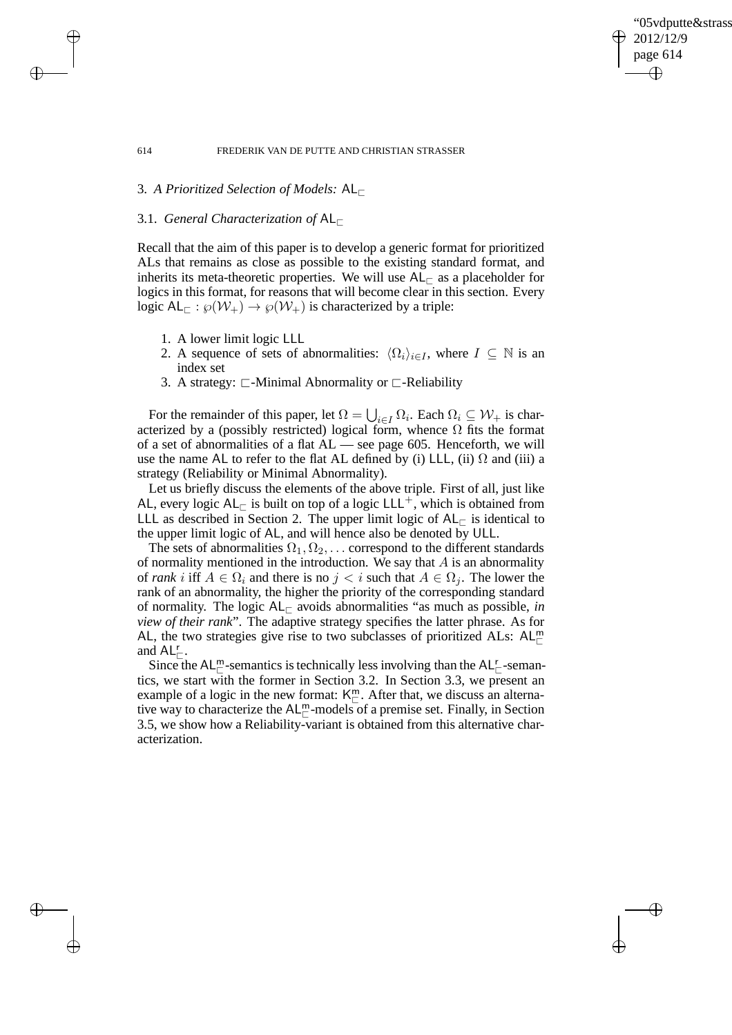✐

#### 614 FREDERIK VAN DE PUTTE AND CHRISTIAN STRASSER

# 3. *A Prioritized Selection of Models:* AL<sup>⊏</sup>

# 3.1. *General Characterization of* AL<sup>⊏</sup>

 $\rightarrow$ 

 $\rightarrow$ 

✐

✐

Recall that the aim of this paper is to develop a generic format for prioritized ALs that remains as close as possible to the existing standard format, and inherits its meta-theoretic properties. We will use  $AL_\Gamma$  as a placeholder for logics in this format, for reasons that will become clear in this section. Every logic AL<sub>⊏</sub> :  $\wp(\mathcal{W}_+) \to \wp(\mathcal{W}_+)$  is characterized by a triple:

- 1. A lower limit logic LLL
- 2. A sequence of sets of abnormalities:  $\langle \Omega_i \rangle_{i \in I}$ , where  $I \subseteq \mathbb{N}$  is an index set
- 3. A strategy: ⊏-Minimal Abnormality or ⊏-Reliability

For the remainder of this paper, let  $\Omega = \bigcup_{i \in I} \Omega_i$ . Each  $\Omega_i \subseteq W_+$  is characterized by a (possibly restricted) logical form, whence  $\Omega$  fits the format of a set of abnormalities of a flat AL — see page 605. Henceforth, we will use the name AL to refer to the flat AL defined by (i) LLL, (ii)  $\Omega$  and (iii) a strategy (Reliability or Minimal Abnormality).

Let us briefly discuss the elements of the above triple. First of all, just like AL, every logic  $AL_\Gamma$  is built on top of a logic LLL<sup>+</sup>, which is obtained from LLL as described in Section 2. The upper limit logic of  $AL_\Gamma$  is identical to the upper limit logic of AL, and will hence also be denoted by ULL.

The sets of abnormalities  $\Omega_1, \Omega_2, \ldots$  correspond to the different standards of normality mentioned in the introduction. We say that  $A$  is an abnormality of *rank* i iff  $A \in \Omega_i$  and there is no  $j < i$  such that  $A \in \Omega_i$ . The lower the rank of an abnormality, the higher the priority of the corresponding standard of normality. The logic  $AL_\sqsubset$  avoids abnormalities "as much as possible, *in view of their rank*". The adaptive strategy specifies the latter phrase. As for AL, the two strategies give rise to two subclasses of prioritized ALs:  $AL_{\square}^m$ and  $AL_{\square}^{r}$ .

Since the AL<sup>m</sup>-semantics is technically less involving than the AL $_{\sqsubset}^r$ -semantics, we start with the former in Section 3.2. In Section 3.3, we present an example of a logic in the new format:  $K^m_{\square}$ . After that, we discuss an alternative way to characterize the  $AL_{\sqsubset}^m$ -models of a premise set. Finally, in Section 3.5, we show how a Reliability-variant is obtained from this alternative characterization.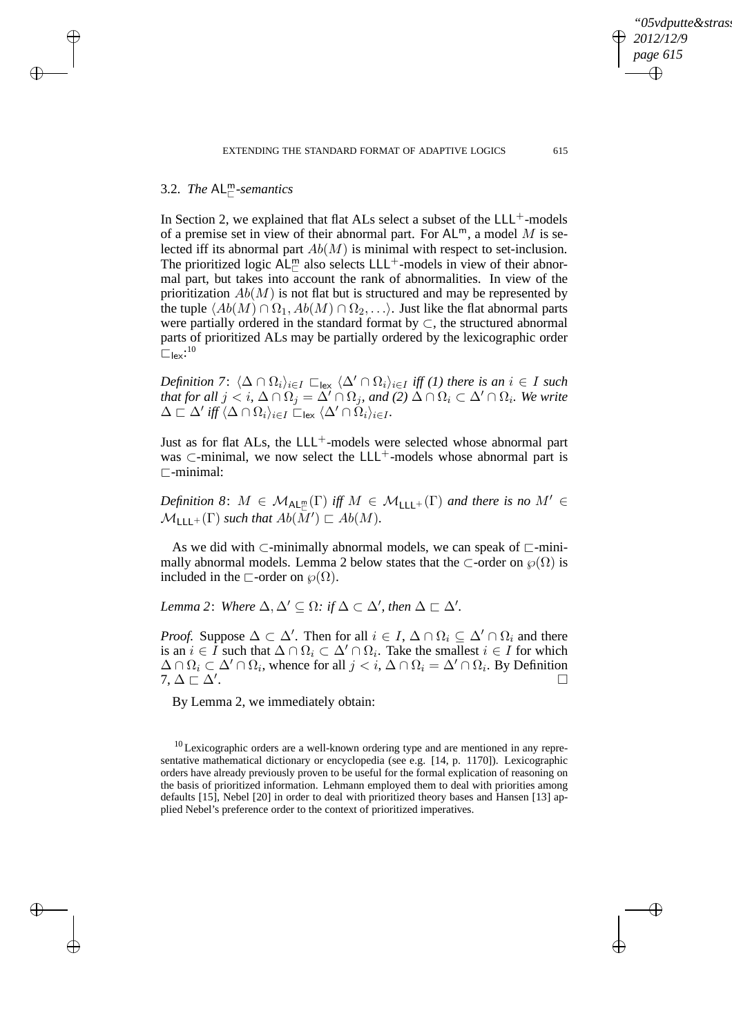# 3.2. *The* AL<sup>m</sup> <sup>⊏</sup>*-semantics*

 $\rightarrow$ 

 $\rightarrow$ 

✐

✐

In Section 2, we explained that flat ALs select a subset of the  $LLL^{+}$ -models of a premise set in view of their abnormal part. For  $AL^m$ , a model M is selected iff its abnormal part  $Ab(M)$  is minimal with respect to set-inclusion. The prioritized logic  $\mathsf{AL}_{\sqsubset}^{\mathsf{m}}$  also selects LLL<sup>+</sup>-models in view of their abnormal part, but takes into account the rank of abnormalities. In view of the prioritization  $Ab(M)$  is not flat but is structured and may be represented by the tuple  $\langle Ab(M) \cap \Omega_1, Ab(M) \cap \Omega_2, \ldots \rangle$ . Just like the flat abnormal parts were partially ordered in the standard format by ⊂, the structured abnormal parts of prioritized ALs may be partially ordered by the lexicographic order  $\square$ lex: $^{10}$ 

*Definition 7*:  $\langle \Delta \cap \Omega_i \rangle_{i \in I}$   $\square_{\text{lex}}$   $\langle \Delta' \cap \Omega_i \rangle_{i \in I}$  *iff (1) there is an*  $i \in I$  *such that for all*  $j < i$ ,  $\Delta \cap \Omega_j = \overline{\Delta'} \cap \Omega_j$ , and  $(2)$   $\Delta \cap \Omega_i \subset \Delta' \cap \Omega_i$ . We write  $\Delta \sqsubset \Delta' \mathit{iff} \, \langle \Delta \cap \Omega_i \rangle_{i \in I}$  .  $\sqsubset_{\mathsf{lex}} \langle \Delta' \cap \Omega_i \rangle_{i \in I}$  .

Just as for flat ALs, the LLL<sup>+</sup>-models were selected whose abnormal part was  $\subset$ -minimal, we now select the LLL<sup>+</sup>-models whose abnormal part is ⊏-minimal:

 $Definition 8: M \in \mathcal{M}_{\mathsf{AL}_{\mathbb{C}}^m}(\Gamma) \text{ iff } M \in \mathcal{M}_{\mathsf{LLL}^+}(\Gamma) \text{ and there is no } M' \in \mathcal{M}_{\mathsf{AL}^+}(\Gamma)$  $\mathcal{M}_{\mathsf{LLL}^+}(\Gamma)$  such that  $Ab(\overline{M}') \sqsubset Ab(M)$ .

As we did with  $\subset$ -minimally abnormal models, we can speak of  $\subset$ -minimally abnormal models. Lemma 2 below states that the  $\subset$ -order on  $\wp(\Omega)$  is included in the  $\sqsubset$ -order on  $\wp(\Omega)$ .

*Lemma* 2: *Where*  $\Delta, \Delta' \subseteq \Omega$ : *if*  $\Delta \subset \Delta'$ , *then*  $\Delta \subset \Delta'$ .

*Proof.* Suppose  $\Delta \subset \Delta'$ . Then for all  $i \in I$ ,  $\Delta \cap \Omega_i \subseteq \Delta' \cap \Omega_i$  and there is an  $i \in I$  such that  $\Delta \cap \Omega_i \subset \Delta' \cap \Omega_i$ . Take the smallest  $i \in I$  for which  $\Delta \cap \Omega_i \subset \Delta' \cap \Omega_i$ , whence for all  $j < i$ ,  $\Delta \cap \Omega_i = \Delta' \cap \Omega_i$ . By Definition  $7, \Delta \sqsubset \Delta'$ . .

By Lemma 2, we immediately obtain:

*05vdputte&strass 2012/12/9 page 615*

✐

✐

✐

 $10$  Lexicographic orders are a well-known ordering type and are mentioned in any representative mathematical dictionary or encyclopedia (see e.g. [14, p. 1170]). Lexicographic orders have already previously proven to be useful for the formal explication of reasoning on the basis of prioritized information. Lehmann employed them to deal with priorities among defaults [15], Nebel [20] in order to deal with prioritized theory bases and Hansen [13] applied Nebel's preference order to the context of prioritized imperatives.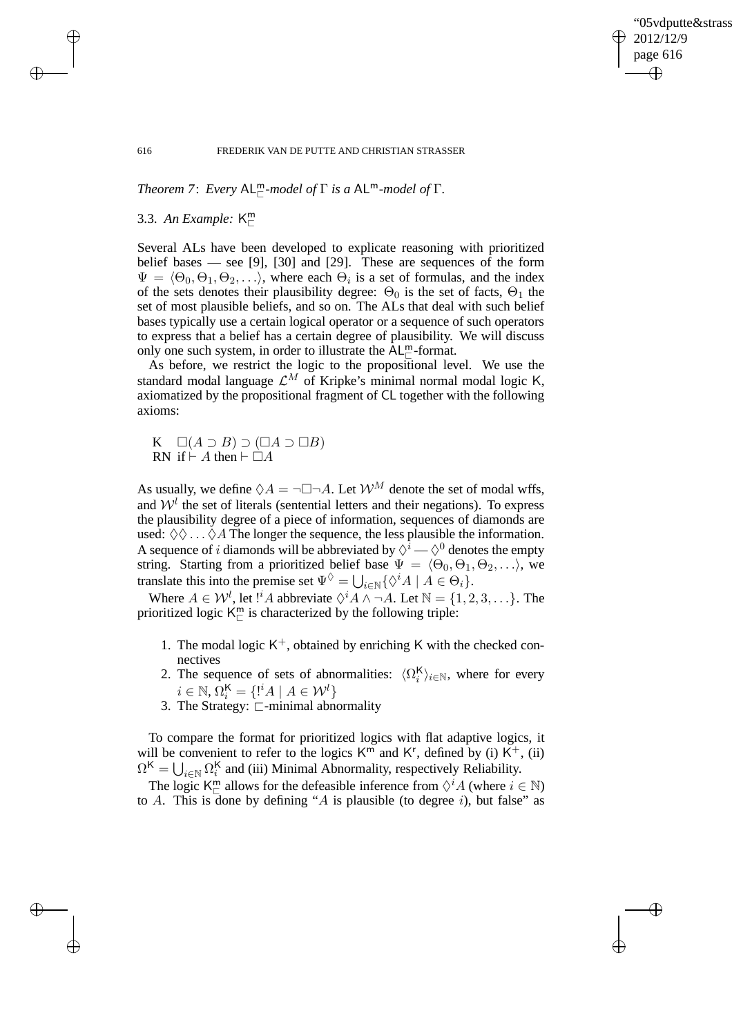✐

#### 616 FREDERIK VAN DE PUTTE AND CHRISTIAN STRASSER

*Theorem 7*: *Every* AL<sup>m</sup> <sup>⊏</sup>*-model of* Γ *is a* ALm*-model of* Γ*.*

# 3.3. *An Example:* K m ⊏

Several ALs have been developed to explicate reasoning with prioritized belief bases — see [9], [30] and [29]. These are sequences of the form  $\Psi = \langle \Theta_0, \Theta_1, \Theta_2, \ldots \rangle$ , where each  $\Theta_i$  is a set of formulas, and the index of the sets denotes their plausibility degree:  $\Theta_0$  is the set of facts,  $\Theta_1$  the set of most plausible beliefs, and so on. The ALs that deal with such belief bases typically use a certain logical operator or a sequence of such operators to express that a belief has a certain degree of plausibility. We will discuss only one such system, in order to illustrate the  $AL^m_{\sqsubset}$ -format.

As before, we restrict the logic to the propositional level. We use the standard modal language  $\mathcal{L}^M$  of Kripke's minimal normal modal logic K, axiomatized by the propositional fragment of CL together with the following axioms:

K  $\square(A \supset B) \supset (\square A \supset \square B)$ RN if  $\vdash$  A then  $\vdash$   $\Box$ A

As usually, we define  $\Diamond A = \neg \Box \neg A$ . Let  $\mathcal{W}^M$  denote the set of modal wffs, and  $W<sup>l</sup>$  the set of literals (sentential letters and their negations). To express the plausibility degree of a piece of information, sequences of diamonds are used:  $\Diamond \Diamond \dots \Diamond A$  The longer the sequence, the less plausible the information. A sequence of *i* diamonds will be abbreviated by  $\Diamond^{\hat{i}} \longrightarrow \Diamond^0$  denotes the empty string. Starting from a prioritized belief base  $\Psi = \langle \Theta_0, \Theta_1, \Theta_2, \ldots \rangle$ , we translate this into the premise set  $\Psi^{\Diamond} = \bigcup_{i \in \mathbb{N}} \{ \Diamond^{i} A \mid A \in \Theta_{i} \}.$ 

Where  $A \in \mathcal{W}^l$ , let  $!^iA$  abbreviate  $\Diamond^i A \land \neg A$ . Let  $\mathbb{N} = \{1, 2, 3, \dots\}$ . The prioritized logic  $K_{\square}^{m}$  is characterized by the following triple:

- 1. The modal logic  $K^+$ , obtained by enriching K with the checked connectives
- 2. The sequence of sets of abnormalities:  $\langle \Omega_i^{\mathsf{K}} \rangle_{i \in \mathbb{N}}$ , where for every  $i \in \mathbb{N}, \Omega_i^{\mathsf{K}} = \{ \mathsf{I}^i A \mid A \in \mathcal{W}^l \}$
- 3. The Strategy: ⊏-minimal abnormality

To compare the format for prioritized logics with flat adaptive logics, it will be convenient to refer to the logics  $K^{\overline{m}}$  and  $K^r$ , defined by (i)  $K^+$ , (ii)  $\Omega^{\mathsf{K}} = \bigcup_{i \in \mathbb{N}} \Omega_i^{\mathsf{K}}$  and (iii) Minimal Abnormality, respectively Reliability.

The logic  $K_{\square}^{m}$  allows for the defeasible inference from  $\Diamond^{i} A$  (where  $i \in \mathbb{N}$ ) to A. This is done by defining "A is plausible (to degree i), but false" as

 $\rightarrow$ 

 $\rightarrow$ 

✐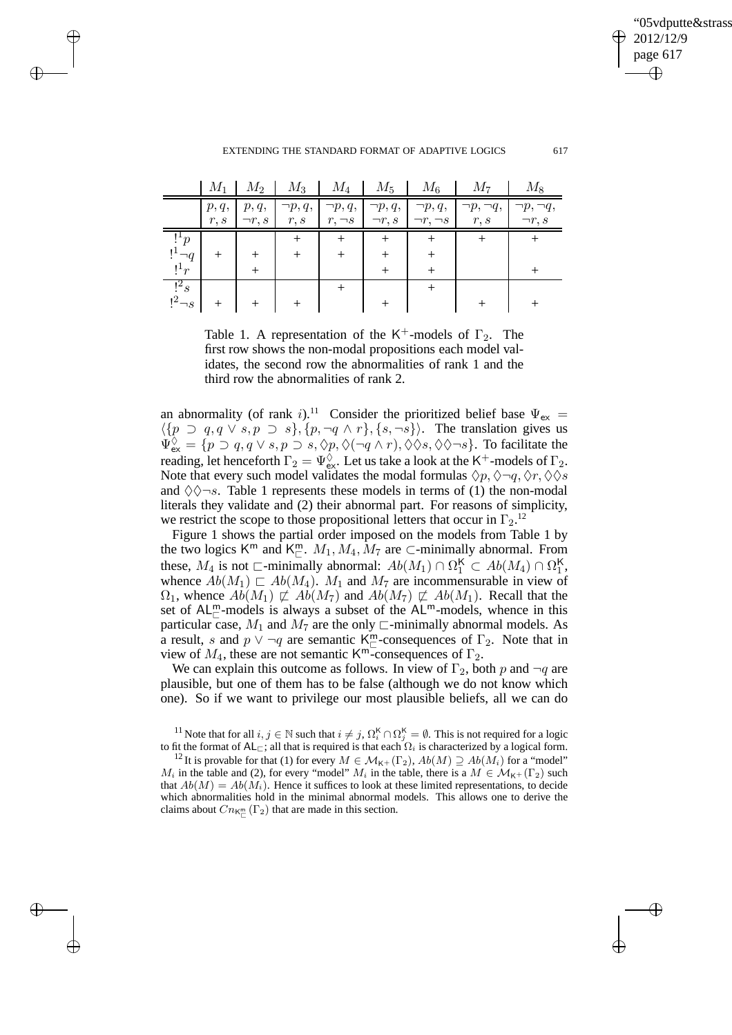'05vdputte&strass 2012/12/9 page 617 ✐ ✐

✐

 $\rightarrow$ 

 $\rightarrow$ 

✐

✐

|                      | $M_1$ | $M_2$        | $M_3$        | $M_4$        | $M_5$              | $M_6$            | $M_7$             | $M_8$             |
|----------------------|-------|--------------|--------------|--------------|--------------------|------------------|-------------------|-------------------|
|                      | p, q, | p, q,        | $\neg p, q,$ | $\neg p, q,$ | $\neg p, q,$       | $\neg p, q,$     | $\neg p, \neg q,$ | $\neg p, \neg q,$ |
|                      | r, s  | $\neg r, s$  | r, s         | $r, \neg s$  | $\neg r, s$        | $\neg r, \neg s$ | r, s              | $\neg r, s$       |
| $!$ <sup>+</sup> $p$ |       |              |              |              |                    |                  |                   |                   |
| $!^1\neg q$          | $^+$  |              |              | $^+$         | $\hspace{0.1mm} +$ |                  |                   |                   |
| $!^1r$               |       | $\mathrm{+}$ |              |              | $^{+}$             |                  |                   |                   |
| $\frac{1}{2}$        |       |              |              | ┿            |                    |                  |                   |                   |
| $!^2\neg s$          |       |              |              |              |                    |                  |                   |                   |

Table 1. A representation of the K<sup>+</sup>-models of  $\Gamma_2$ . The first row shows the non-modal propositions each model validates, the second row the abnormalities of rank 1 and the third row the abnormalities of rank 2.

an abnormality (of rank i).<sup>11</sup> Consider the prioritized belief base  $\Psi_{\text{ex}} =$  $\langle \{p \supset q, q \vee s, p \supset s\}, \{p, \neg q \wedge r\}, \{s, \neg s\}\rangle$ . The translation gives us  $\Psi_{\mathsf{ex}}^{\Diamond} = \{p \supset q, q \lor s, p \supset s, \Diamond p, \Diamond(\neg q \land r), \Diamond \Diamond s, \Diamond \Diamond \neg s\}.$  To facilitate the reading, let henceforth  $\Gamma_2 = \Psi_{\rm ex}^{\overline{\Diamond}}$ . Let us take a look at the K<sup>+</sup>-models of  $\Gamma_2$ . Note that every such model validates the modal formulas  $\Diamond p, \Diamond \neg q, \Diamond r, \Diamond \Diamond s$ and  $\Diamond \Diamond \neg s$ . Table 1 represents these models in terms of (1) the non-modal literals they validate and (2) their abnormal part. For reasons of simplicity, we restrict the scope to those propositional letters that occur in  $\Gamma_2$ <sup>12</sup>

Figure 1 shows the partial order imposed on the models from Table 1 by the two logics  $K^m$  and  $K^m_{\square}$ .  $M_1, M_4, M_7$  are  $\subset$ -minimally abnormal. From these,  $M_4$  is not  $\Box$ -minimally abnormal:  $Ab(M_1) \cap \Omega_1^{\mathsf{K}} \subset Ab(M_4) \cap \Omega_1^{\mathsf{K}}$ , whence  $Ab(M_1) \sqsubset Ab(M_4)$ .  $M_1$  and  $M_7$  are incommensurable in view of  $\Omega_1$ , whence  $Ab(M_1) \not\subset Ab(M_7)$  and  $Ab(M_7) \not\subset Ab(M_1)$ . Recall that the set of  $AL_{\square}^{m}$ -models is always a subset of the  $AL_{\square}^{m}$ -models, whence in this particular case,  $M_1$  and  $M_7$  are the only  $\sqsubset$ -minimally abnormal models. As a result, s and  $p \vee \neg q$  are semantic K<sup>m</sup>-consequences of  $\Gamma_2$ . Note that in view of  $M_4$ , these are not semantic K<sup>m-</sup>consequences of  $\Gamma_2$ .

We can explain this outcome as follows. In view of  $\Gamma_2$ , both p and  $\neg q$  are plausible, but one of them has to be false (although we do not know which one). So if we want to privilege our most plausible beliefs, all we can do

<sup>&</sup>lt;sup>11</sup> Note that for all  $i, j \in \mathbb{N}$  such that  $i \neq j$ ,  $\Omega_i^{\mathsf{K}} \cap \Omega_j^{\mathsf{K}} = \emptyset$ . This is not required for a logic to fit the format of AL<sub>⊏</sub>; all that is required is that each  $\Omega_i$  is characterized by a logical form.

<sup>&</sup>lt;sup>12</sup> It is provable for that (1) for every  $M \in \mathcal{M}_{K^+}(\Gamma_2)$ ,  $Ab(M) \supseteq Ab(M_i)$  for a "model"  $M_i$  in the table and (2), for every "model"  $M_i$  in the table, there is a  $M \in M_{\kappa+}(\Gamma_2)$  such that  $Ab(M) = Ab(M_i)$ . Hence it suffices to look at these limited representations, to decide which abnormalities hold in the minimal abnormal models. This allows one to derive the claims about  $Cn_{K_{\square}}( \Gamma_2)$  that are made in this section.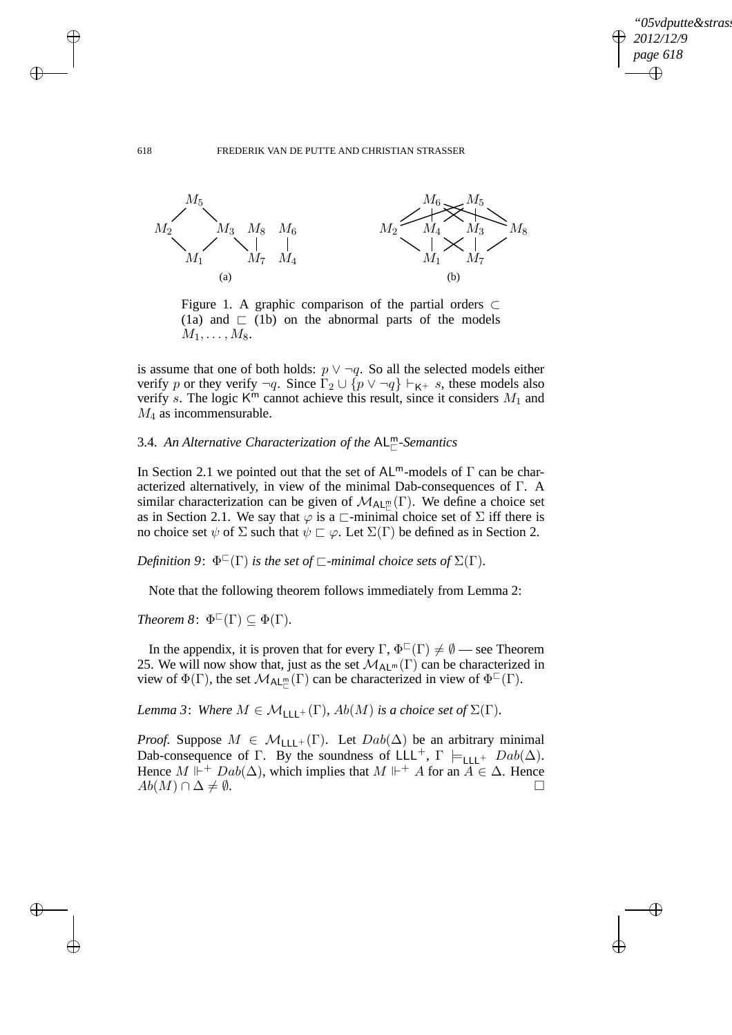✐

### 618 FREDERIK VAN DE PUTTE AND CHRISTIAN STRASSER



Figure 1. A graphic comparison of the partial orders ⊂ (1a) and  $\sqsubset$  (1b) on the abnormal parts of the models  $M_1, \ldots, M_8$ .

is assume that one of both holds:  $p \lor \neg q$ . So all the selected models either verify p or they verify  $\neg q$ . Since  $\Gamma_2 \cup \{p \lor \neg q\} \vdash_{\mathsf{K}^+} s$ , these models also verify s. The logic  $K^m$  cannot achieve this result, since it considers  $M_1$  and  $M_4$  as incommensurable.

# 3.4. An Alternative Characterization of the AL<sup>m</sup>-Semantics

In Section 2.1 we pointed out that the set of  $AL^m$ -models of  $\Gamma$  can be characterized alternatively, in view of the minimal Dab-consequences of Γ. A similar characterization can be given of  $\mathcal{M}_{AL_{\Box}}(\Gamma)$ . We define a choice set as in Section 2.1. We say that  $\varphi$  is a  $\Box$ -minimal choice set of  $\Sigma$  iff there is no choice set  $\psi$  of  $\Sigma$  such that  $\psi \sqsubset \varphi$ . Let  $\Sigma(\Gamma)$  be defined as in Section 2.

*Definition* 9:  $\Phi^{\Box}(\Gamma)$  *is the set of*  $\Box$ *-minimal choice sets of*  $\Sigma(\Gamma)$ *.* 

Note that the following theorem follows immediately from Lemma 2:

*Theorem*  $\mathcal{S}$ :  $\Phi^{\Box}(\Gamma) \subseteq \Phi(\Gamma)$ *.* 

In the appendix, it is proven that for every  $\Gamma$ ,  $\Phi^{\square}(\Gamma) \neq \emptyset$  — see Theorem 25. We will now show that, just as the set  $\mathcal{M}_{AL^m}(\Gamma)$  can be characterized in view of  $\Phi(\Gamma)$ , the set  $\mathcal{M}_{\mathsf{AL}_{\Gamma}^{\mathsf{m}}}(\Gamma)$  can be characterized in view of  $\Phi^{\mathsf{C}}(\Gamma)$ .

*Lemma 3*: *Where*  $M \in \mathcal{M}_{\text{LLL}^+}(\Gamma)$ *, Ab*(*M*) *is a choice set of*  $\Sigma(\Gamma)$ *.* 

*Proof.* Suppose  $M \in \mathcal{M}_{\text{LLL}+}(\Gamma)$ . Let  $Dab(\Delta)$  be an arbitrary minimal Dab-consequence of Γ. By the soundness of LLL<sup>+</sup>, Γ  $\models$ <sub>LLL</sub>+ Dab( $\Delta$ ). Hence  $M \Vdash^{+} Dab(\Delta)$ , which implies that  $M \Vdash^{+} A$  for an  $A \in \Delta$ . Hence  $Ab(M) \cap \Delta \neq \emptyset$ .

 $\rightarrow$ 

 $\rightarrow$ 

✐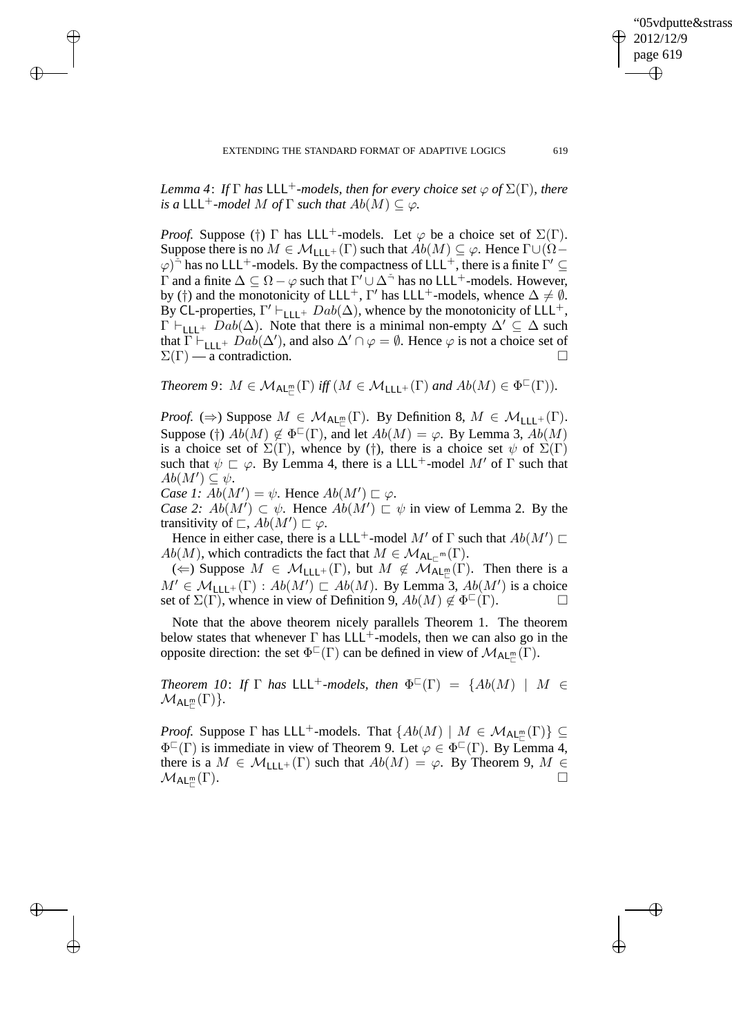*Lemma 4: If*  $\Gamma$  *has*  $LLL^+$ *-models, then for every choice set*  $\varphi$  *of*  $\Sigma(\Gamma)$ *, there is a*  $LLL^+$ *-model M of*  $\Gamma$  *such that*  $Ab(M) \subseteq \varphi$ *.* 

*Proof.* Suppose (†) Γ has LLL<sup>+</sup>-models. Let  $\varphi$  be a choice set of  $\Sigma(\Gamma)$ . Suppose there is no  $M \in \mathcal{M}_{\vert \vert \vert +}(\Gamma)$  such that  $Ab(M) \subseteq \varphi$ . Hence  $\Gamma \cup (\Omega \varphi$ <sup> $\sum_{i=1}^{\infty}$ </sup> has no LLL<sup>+</sup>-models. By the compactness of LLL<sup>+</sup>, there is a finite  $\Gamma' \subseteq$  $\Gamma$  and a finite  $\Delta \subseteq \Omega - \varphi$  such that  $\Gamma' \cup \Delta^{\preceq}$  has no LLL<sup>+</sup>-models. However, by (†) and the monotonicity of LLL<sup>+</sup>, Γ' has LLL<sup>+</sup>-models, whence  $\Delta \neq \emptyset$ . By CL-properties,  $\Gamma' \vdash_{\mathsf{LLL}^+} Dab(\Delta)$ , whence by the monotonicity of LLL<sup>+</sup>,  $\Gamma \vdash_{\text{L11}} \text{Lab}(\Delta)$ . Note that there is a minimal non-empty  $\Delta' \subseteq \Delta$  such that  $\overline{\Gamma} \vdash_{\text{LLL}+} Da\overline{b}(\Delta')$ , and also  $\Delta' \cap \varphi = \emptyset$ . Hence  $\varphi$  is not a choice set of  $\Sigma(\Gamma)$  — a contradiction.

*Theorem 9:*  $M \in \mathcal{M}_{\mathsf{AL}_m^m}(\Gamma)$  *iff*  $(M \in \mathcal{M}_{\mathsf{LLL}^+}(\Gamma)$  *and*  $Ab(M) \in \Phi^{\mathbb{C}}(\Gamma)$ *).* 

*Proof.* ( $\Rightarrow$ ) Suppose  $M \in \mathcal{M}_{\mathsf{AL}_\Box^m}(\Gamma)$ . By Definition 8,  $M \in \mathcal{M}_{\mathsf{LLL}^+}(\Gamma)$ . Suppose (†)  $Ab(M) \notin \Phi^{\square}(\Gamma)$ , and let  $Ab(M) = \varphi$ . By Lemma 3,  $Ab(M)$ is a choice set of  $\Sigma(\Gamma)$ , whence by (†), there is a choice set  $\psi$  of  $\Sigma(\Gamma)$ such that  $\psi \sqsubset \varphi$ . By Lemma 4, there is a LLL<sup>+</sup>-model M' of  $\Gamma$  such that  $Ab(M') \subseteq \psi$ .

*Case 1:*  $\overline{Ab}(M') = \psi$ . Hence  $Ab(M') \sqsubset \varphi$ .

 $\rightarrow$ 

 $\rightarrow$ 

✐

✐

*Case 2:*  $Ab(M') \subset \psi$ . Hence  $Ab(M') \subset \psi$  in view of Lemma 2. By the transitivity of  $\subset A b(M') \subset \varphi$ .

Hence in either case, there is a LLL<sup>+</sup>-model  $M'$  of  $\Gamma$  such that  $Ab(M') \sqsubset$  $Ab(M)$ , which contradicts the fact that  $M \in \mathcal{M}_{\mathsf{AL}_{\square}} \mathsf{m}(\Gamma)$ .

( $\Leftarrow$ ) Suppose  $M \in \mathcal{M}_{\mathsf{LLL}^+}(\Gamma)$ , but  $M \notin \mathcal{M}_{\mathsf{AL}^m_{\mathsf{LL}}}(\Gamma)$ . Then there is a  $M' \in \mathcal{M}_{\mathsf{LLL}^+}(\Gamma) : Ab(M') \sqsubset Ab(M)$ . By Lemma 3,  $Ab(M')$  is a choice set of  $\Sigma(\Gamma)$ , whence in view of Definition 9,  $Ab(M) \notin \Phi^{\Gamma}(\Gamma)$ .

Note that the above theorem nicely parallels Theorem 1. The theorem below states that whenever  $\Gamma$  has  $LLL^+$ -models, then we can also go in the opposite direction: the set  $\Phi^{\square}(\Gamma)$  can be defined in view of  $\mathcal{M}_{\mathsf{AL}_\mathbb{C}^{\mathbb{C}}}(\Gamma)$ .

*Theorem 10: If*  $\Gamma$  *has* LLL<sup>+</sup>-models, then  $\Phi^{\square}(\Gamma) = \{Ab(M) | M \in$  $\mathcal{M}_{\mathsf{AL}^{\mathsf{m}}_{\sqsubset}}(\Gamma)\}.$ 

*Proof.* Suppose  $\Gamma$  has LLL<sup>+</sup>-models. That  $\{Ab(M) \mid M \in \mathcal{M}_{AL_{\Gamma}}(\Gamma)\} \subseteq$  $\Phi^{\Box}(\Gamma)$  is immediate in view of Theorem 9. Let  $\varphi \in \Phi^{\Box}(\Gamma)$ . By Lemma 4, there is a  $M \in \mathcal{M}_{\text{LLL}}(\Gamma)$  such that  $Ab(M) = \varphi$ . By Theorem 9,  $M \in \mathcal{M}_{\text{ALL}}(\Gamma)$  $\mathcal{M}_{\mathsf{AL}^{\mathsf{m}}_{\sqsubset}}$ (Γ).

"05vdputte&strasser

2012/12/9 page 619

✐

✐

✐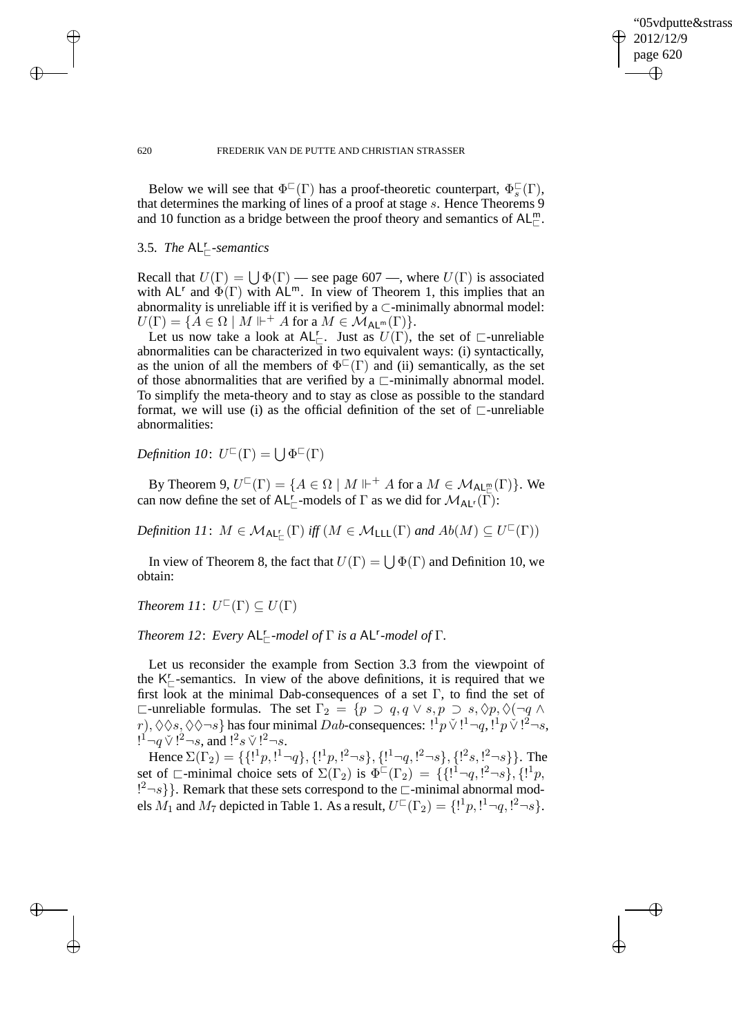✐

### 620 FREDERIK VAN DE PUTTE AND CHRISTIAN STRASSER

Below we will see that  $\Phi^{\Box}(\Gamma)$  has a proof-theoretic counterpart,  $\Phi_s^{\Box}(\Gamma)$ , that determines the marking of lines of a proof at stage s. Hence Theorems 9 and 10 function as a bridge between the proof theory and semantics of  $AL^m_{\mathbb{C}}$ .

# 3.5. *The* AL<sup>r</sup> <sup>⊏</sup>*-semantics*

 $\rightarrow$ 

 $\rightarrow$ 

✐

✐

Recall that  $U(\Gamma) = \bigcup \Phi(\Gamma)$  — see page 607 —, where  $U(\Gamma)$  is associated with AL<sup>r</sup> and  $\Phi(\Gamma)$  with AL<sup>m</sup>. In view of Theorem 1, this implies that an abnormality is unreliable iff it is verified by a  $\subset$ -minimally abnormal model:  $U(\Gamma) = \{ A \in \Omega \mid M \Vdash^+ A \text{ for a } M \in \mathcal{M}_{\mathsf{AL}^m}(\Gamma) \}.$ 

Let us now take a look at  $AL_{\square}^{r}$ . Just as  $U(\Gamma)$ , the set of  $\square$ -unreliable abnormalities can be characterized in two equivalent ways: (i) syntactically, as the union of all the members of  $\Phi^{\Box}(\Gamma)$  and (ii) semantically, as the set of those abnormalities that are verified by a  $\sqsubset$ -minimally abnormal model. To simplify the meta-theory and to stay as close as possible to the standard format, we will use (i) as the official definition of the set of  $\sqsubset$ -unreliable abnormalities:

*Definition 10*:  $U^{\Box}(\Gamma) = \bigcup \Phi^{\Box}(\Gamma)$ 

By Theorem 9,  $U^{\square}(\Gamma) = \{ A \in \Omega \mid M \Vdash^{+} A$  for a  $M \in \mathcal{M}_{\mathsf{AL}_{\square}^{\mathsf{m}}}(\Gamma) \}.$  We can now define the set of AL<sup>r</sup><sub> $\sqsubset$ </sub>-models of  $\Gamma$  as we did for  $\mathcal{M}_{AL}(\Gamma)$ :

 $Definition\ II\colon\ M \in \mathcal{M}_{\mathsf{AL}_{\mathbb{C}}^r}(\Gamma) \textit{ iff } (M \in \mathcal{M}_{\mathsf{LLL}}(\Gamma) \textit{ and } Ab(M) \subseteq U^{\mathbb{C}}(\Gamma))$ 

In view of Theorem 8, the fact that  $U(\Gamma) = \bigcup \Phi(\Gamma)$  and Definition 10, we obtain:

*Theorem 11*:  $U^{\sqsubset}(\Gamma) \subseteq U(\Gamma)$ 

*Theorem 12: Every*  $AL_{\square}^r$ -model of  $\Gamma$  *is a*  $AL^r$ -model of  $\Gamma$ *.* 

Let us reconsider the example from Section 3.3 from the viewpoint of the  $K_{\square}^r$ -semantics. In view of the above definitions, it is required that we first look at the minimal Dab-consequences of a set Γ, to find the set of  $\Box$ -unreliable formulas. The set  $\Gamma_2 = \{p \supset q, q \vee s, p \supset s, \Diamond p, \Diamond(\neg q \wedge p) \}$  $r), \Diamond \Diamond s, \Diamond \Diamond \neg s \}$  has four minimal Dab-consequences:  $[{}^1p\lor [{}^1-q, {}^1p\lor [{}^2-s,$  $1^{\frac{1}{2}}\neg q \vee 1^{2}\neg s$ , and  $1^{\frac{2}{3}}s \vee 1^{2}\neg s$ .

Hence  $\Sigma(\Gamma_2) = \{ \{1^1p, 1^1-q\}, \{1^1p, 1^2-s\}, \{1^1-q, 1^2-s\}, \{1^2s, 1^2-s\} \}$ . The set of  $\Box$ -minimal choice sets of  $\Sigma(\Gamma_2)$  is  $\Phi^{\Box}(\Gamma_2) = \{ \{1^{\Box} \neg q, 1^2 \neg s \}, \{1^{\Box} p, \} \}$  ${!}^2\neg s$ }. Remark that these sets correspond to the  $\Box$ -minimal abnormal models  $M_1$  and  $M_7$  depicted in Table 1. As a result,  $U^{\square}(\Gamma_2) = \{!\cdot\!^1 p, \cdot\!^1 \neg q, \cdot\!^2 \neg s\}.$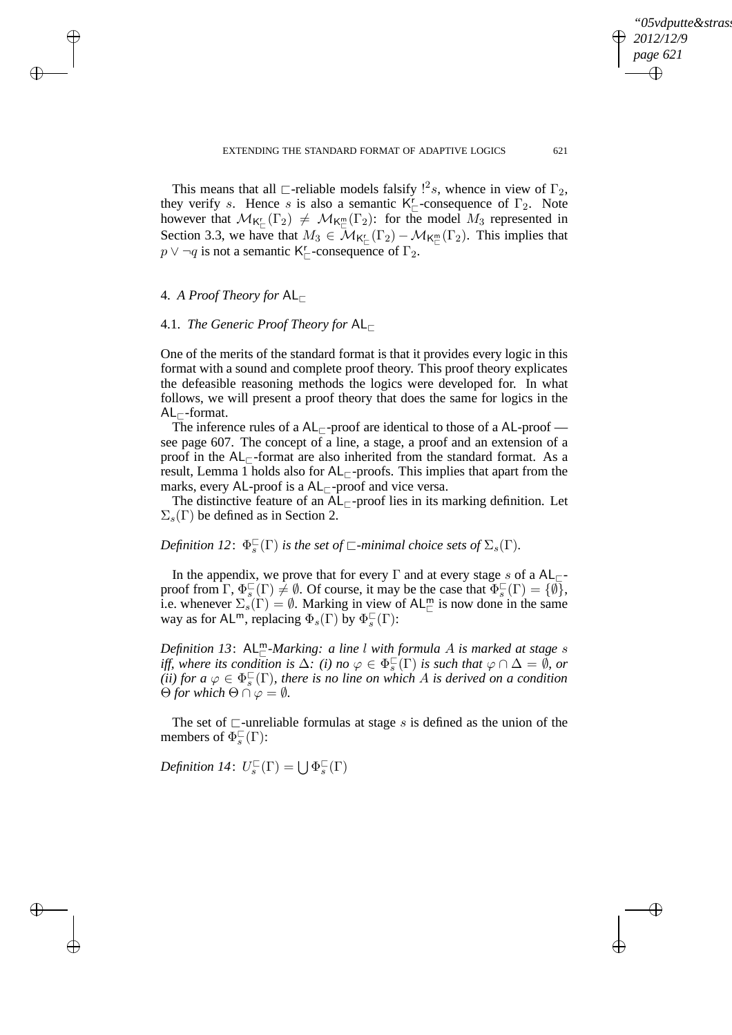✐

This means that all  $\Box$ -reliable models falsify  $!^2s$ , whence in view of  $\Gamma_2$ , they verify s. Hence s is also a semantic  $K_{\square}^{r}$ -consequence of  $\Gamma_2$ . Note however that  $\mathcal{M}_{\mathsf{K}^r_{\Box}}(\Gamma_2) \neq \mathcal{M}_{\mathsf{K}^{\mathsf{m}}_{\Box}}(\Gamma_2)$ : for the model  $M_3$  represented in Section 3.3, we have that  $M_3 \in \mathcal{M}_{\mathsf{K}_{\square}^{\mathsf{r}}}(\Gamma_2) - \mathcal{M}_{\mathsf{K}_{\square}^{\mathsf{m}}}(\Gamma_2)$ . This implies that  $p \vee \neg q$  is not a semantic K<sup>r</sup><sub> $\sqsubset$ </sub>-consequence of  $\Gamma_2$ .

# 4. *A Proof Theory for* AL<sup>⊏</sup>

 $\rightarrow$ 

 $\rightarrow$ 

✐

✐

# 4.1. *The Generic Proof Theory for* AL<sup>⊏</sup>

One of the merits of the standard format is that it provides every logic in this format with a sound and complete proof theory. This proof theory explicates the defeasible reasoning methods the logics were developed for. In what follows, we will present a proof theory that does the same for logics in the  $AL_{\sqsubset}$ -format.

The inference rules of a  $AL_{\sqsubset}$ -proof are identical to those of a AL-proof see page 607. The concept of a line, a stage, a proof and an extension of a proof in the  $AL_{\Gamma}$ -format are also inherited from the standard format. As a result, Lemma 1 holds also for  $AL_\Gamma$ -proofs. This implies that apart from the marks, every AL-proof is a  $AL_{\sqsubset}$ -proof and vice versa.

The distinctive feature of an AL<sub>⊏</sub>-proof lies in its marking definition. Let  $\Sigma<sub>s</sub>(\Gamma)$  be defined as in Section 2.

*Definition 12*:  $\Phi_s^{\square}(\Gamma)$  *is the set of*  $\square$ *-minimal choice sets of*  $\Sigma_s(\Gamma)$ *.* 

In the appendix, we prove that for every  $\Gamma$  and at every stage s of a AL $_{\Gamma}$ proof from  $\Gamma$ ,  $\Phi_s^{\square}(\Gamma) \neq \emptyset$ . Of course, it may be the case that  $\Phi_s^{\square}(\Gamma) = {\emptyset}$ , i.e. whenever  $\Sigma_s(\Gamma) = \emptyset$ . Marking in view of AL<sup>m</sup> is now done in the same way as for AL<sup>m</sup>, replacing  $\Phi_s(\Gamma)$  by  $\Phi_s^{\square}(\Gamma)$ :

*Definition 13*: AL<sup>m</sup>−Marking: a line l with formula A is marked at stage s *iff, where its condition is*  $\Delta$ *: (i) no*  $\varphi \in \Phi_s^{\square}(\Gamma)$  *is such that*  $\varphi \cap \Delta = \emptyset$ *, or*  $\tilde{f}$ *(ii) for a*  $\varphi \in \Phi_s^{\square}(\Gamma)$ *, there is no line on which A is derived on a condition*  $\Theta$  *for which*  $\Theta \cap \varphi = \emptyset$ *.* 

The set of  $\sqsubset$ -unreliable formulas at stage s is defined as the union of the members of  $\Phi_s^{\square}(\Gamma)$ :

*Definition 14*:  $U_s^{\square}(\Gamma) = \bigcup \Phi_s^{\square}(\Gamma)$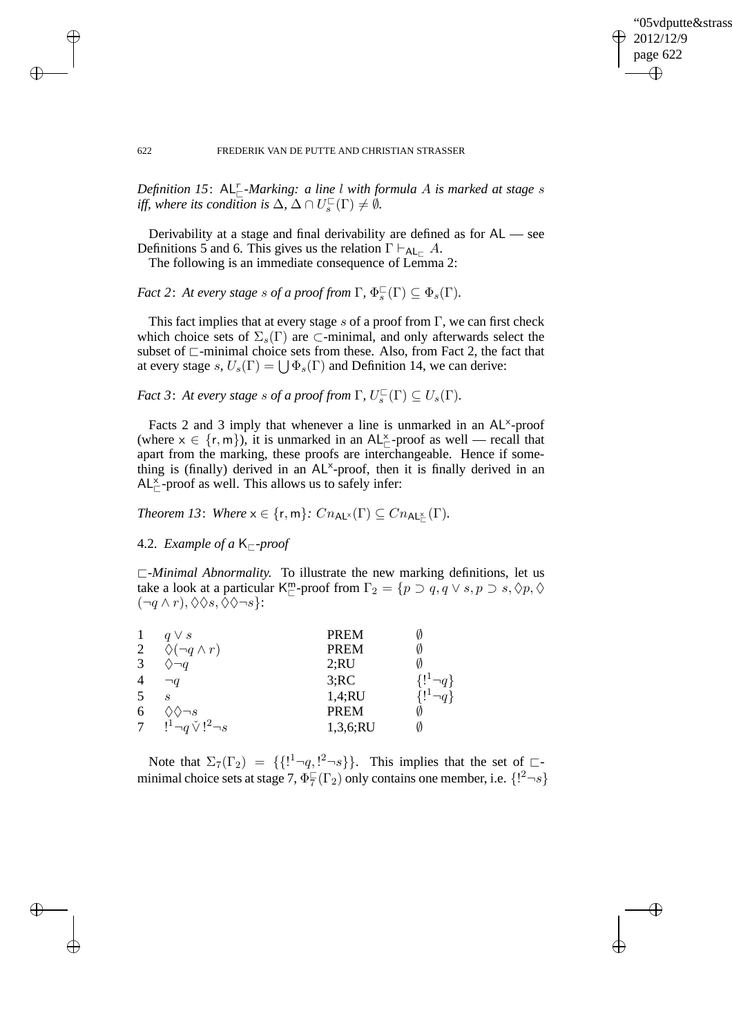✐

### 622 FREDERIK VAN DE PUTTE AND CHRISTIAN STRASSER

Definition 15:  $AL_{\sqsubset}^r$ -Marking: a line l with formula A is marked at stage s *iff, where its condition is*  $\Delta$ ,  $\Delta \cap U_s^{\square}(\Gamma) \neq \emptyset$ .

Derivability at a stage and final derivability are defined as for AL — see Definitions 5 and 6. This gives us the relation  $\Gamma \vdash_{AL} A$ .

The following is an immediate consequence of Lemma 2:

*Fact 2: At every stage s of a proof from*  $\Gamma$ *,*  $\Phi_s^{\square}(\Gamma) \subseteq \Phi_s(\Gamma)$ *.* 

This fact implies that at every stage s of a proof from  $\Gamma$ , we can first check which choice sets of  $\Sigma_s(\Gamma)$  are  $\subset$ -minimal, and only afterwards select the subset of ⊏-minimal choice sets from these. Also, from Fact 2, the fact that at every stage  $s, U_s(\Gamma) = \bigcup \Phi_s(\Gamma)$  and Definition 14, we can derive:

*Fact 3: At every stage s of a proof from*  $\Gamma$ *,*  $U_s^{\square}(\Gamma) \subseteq U_s(\Gamma)$ *.* 

Facts 2 and 3 imply that whenever a line is unmarked in an  $AL^{\times}$ -proof (where  $x \in \{r, m\}$ ), it is unmarked in an  $AL_{\square}^{\times}$ -proof as well — recall that apart from the marking, these proofs are interchangeable. Hence if something is (finally) derived in an AL<sup>x</sup>-proof, then it is finally derived in an  $AL_{\sqsubset}^{\times}$ -proof as well. This allows us to safely infer:

*Theorem 13: Where*  $x \in \{r, m\}$ *:*  $Cn_{\mathsf{AL}^{\times}}(\Gamma) \subseteq Cn_{\mathsf{AL}^{\times}_{\Gamma}}(\Gamma)$ *.* 

# 4.2. *Example of a* K $\vdash$ *-proof*

⊏*-Minimal Abnormality.* To illustrate the new marking definitions, let us take a look at a particular K<sup>m</sup>-proof from  $\Gamma_2 = \{p \supset q, q \vee s, p \supset s, \Diamond p, \Diamond$  $(\neg q \wedge r), \Diamond \Diamond s, \Diamond \Diamond \neg s$ :

|   | $q \vee s$                          | <b>PREM</b> |   |
|---|-------------------------------------|-------------|---|
| 2 | $\Diamond(\neg q \wedge r)$         | <b>PREM</b> |   |
| 3 |                                     | 2;RU        |   |
| 4 | $\neg q$                            | 3;RC        |   |
| 5 | S                                   | 1,4;RU      |   |
| 6 | $\left\langle \right\rangle \neg s$ | <b>PREM</b> |   |
| 7 | $!^1\neg q \vee !^2\neg s$          | 1,3,6;RU    | Ø |

Note that  $\Sigma_7(\Gamma_2) = \{ \{1^1 \neg q, 1^2 \neg s \} \}$ . This implies that the set of  $\Box$ minimal choice sets at stage 7,  $\Phi_7^{\square}(\Gamma_2)$  only contains one member, i.e.  $\{!^2 \neg s\}$ 

 $\rightarrow$ 

 $\rightarrow$ 

✐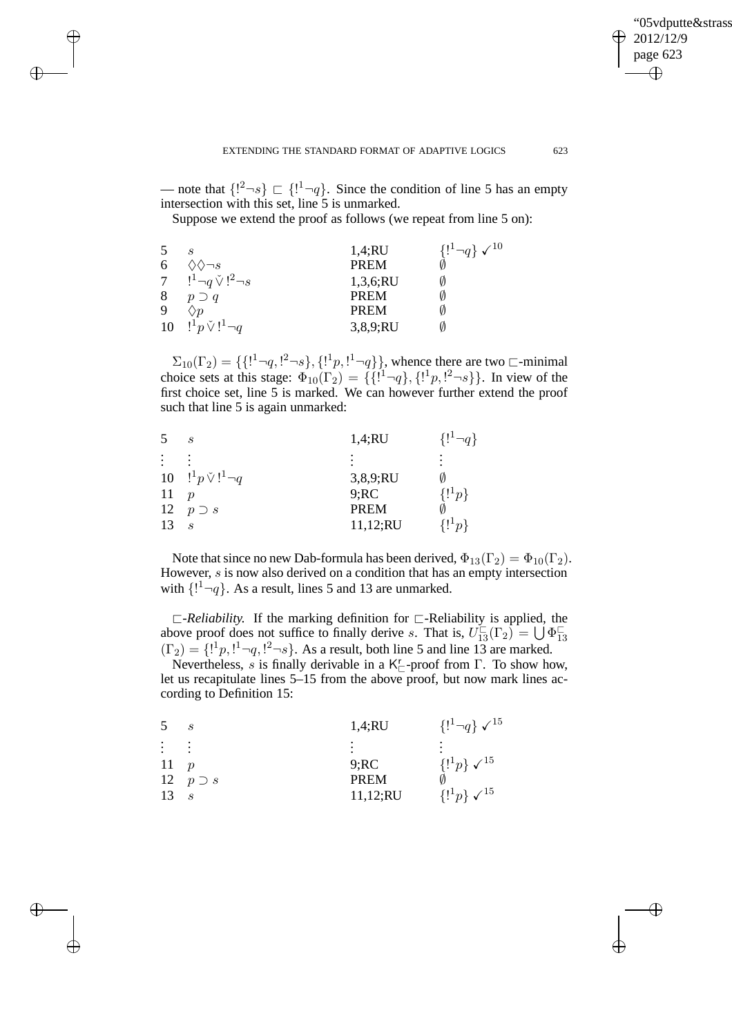✐

— note that  $\{1^2 \neg s\} \sqsubset \{1^1 \neg q\}$ . Since the condition of line 5 has an empty intersection with this set, line 5 is unmarked.

Suppose we extend the proof as follows (we repeat from line 5 on):

|    | $\mathcal{S}_{0}$              | 1,4;RU      | $\{1^1 \neg q\} \checkmark^{10}$ |
|----|--------------------------------|-------------|----------------------------------|
| 6  | $\Diamond \Diamond \neg s$     | PREM        |                                  |
|    | 7 $!^1 \neg q \vee !^2 \neg s$ | 1,3,6;RU    |                                  |
| 8  | $p \supset q$                  | <b>PREM</b> |                                  |
| -9 | $\langle \rangle p$            | <b>PREM</b> |                                  |
| 10 | $!^1p\vee !^1\neg q$           | 3,8,9;RU    |                                  |

 $\rightarrow$ 

 $\rightarrow$ 

✐

✐

 $\Sigma_{10}(\Gamma_2) = \{ \{1^1 \neg q, 1^2 \neg s\}, \{1^1 p, 1^1 \neg q\} \}$ , whence there are two  $\Box$ -minimal choice sets at this stage:  $\Phi_{10}(\Gamma_2) = \{ \{1^1 \neg q\}, \{1^1p, 1^2 \neg s\} \}$ . In view of the first choice set, line 5 is marked. We can however further extend the proof such that line 5 is again unmarked:

| 5         | S                    | 1,4;RU      | ${!}^{1-q}$   |
|-----------|----------------------|-------------|---------------|
| $\bullet$ |                      | ٠           | ٠<br>٠        |
| 10        | $!^1p\vee !^1\neg q$ | 3,8,9;RU    |               |
| 11        |                      | 9;RC        | $\{!^1p\}$    |
| 12        | $p \supset s$        | <b>PREM</b> |               |
| 13        | S                    | 11,12;RU    | $\{!^{11}p\}$ |

Note that since no new Dab-formula has been derived,  $\Phi_{13}(\Gamma_2) = \Phi_{10}(\Gamma_2)$ . However, s is now also derived on a condition that has an empty intersection with  $\{1^1 \neg q\}$ . As a result, lines 5 and 13 are unmarked.

⊏*-Reliability.* If the marking definition for ⊏-Reliability is applied, the above proof does not suffice to finally derive s. That is,  $U_{13}^{\square}(\Gamma_2) = \bigcup \Phi_{13}^{\square}$  $(\Gamma_2) = \{1^1p, 1^1-q, 1^2-s\}$ . As a result, both line 5 and line 13 are marked.

Nevertheless, s is finally derivable in a  $K_{\square}^r$ -proof from  $\Gamma$ . To show how, let us recapitulate lines 5–15 from the above proof, but now mark lines according to Definition 15:

| 5        | S             | 1,4;RU      | $\{1^1 \neg q\} \checkmark^{15}$ |
|----------|---------------|-------------|----------------------------------|
| $\vdots$ | ٠             |             |                                  |
| 11       |               | 9;RC        | $\{!^1p\} \checkmark^{15}$       |
| 12       | $p \supset s$ | <b>PREM</b> |                                  |
| 13       |               | 11,12;RU    | $\{!^1p\} \checkmark^{15}$       |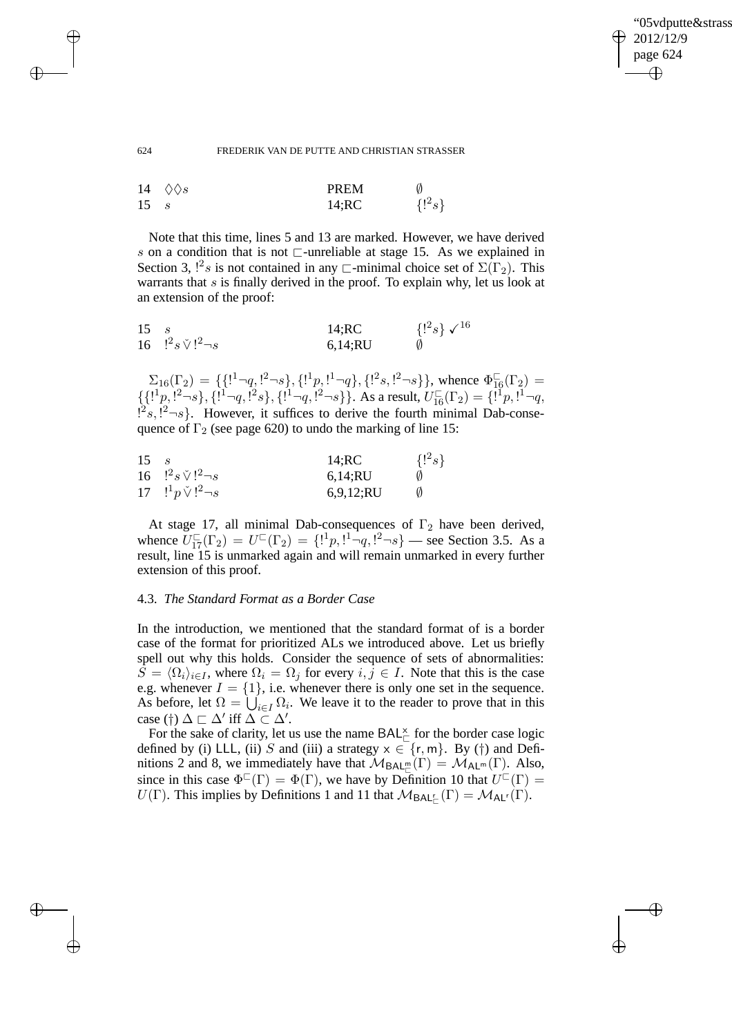✐

#### 624 FREDERIK VAN DE PUTTE AND CHRISTIAN STRASSER

|              | 14 $\Diamond$ $\Diamond$ s | PREM  |            |
|--------------|----------------------------|-------|------------|
| $15 \quad s$ |                            | 14;RC | $\{!^2s\}$ |

Note that this time, lines 5 and 13 are marked. However, we have derived s on a condition that is not ⊏-unreliable at stage 15. As we explained in Section 3,  $1^2s$  is not contained in any  $\Box$ -minimal choice set of  $\Sigma(\Gamma_2)$ . This warrants that  $s$  is finally derived in the proof. To explain why, let us look at an extension of the proof:

| 15 |                                | 14;RC   | $\{1^2s\}\sqrt{16}$ |
|----|--------------------------------|---------|---------------------|
|    | 16 $!^2 s \check{V}!^2 \neg s$ | 6,14;RU |                     |

 $\Sigma_{16}(\Gamma_2) = \{ \{1^1 \neg q, 1^2 \neg s\}, \{1^1p, 1^1 \neg q\}, \{1^2s, 1^2 \neg s\} \},$  whence  $\Phi_{16}^{\square}(\Gamma_2) =$  $\{[{^{1}p}, {^{12}-s}\}, \{{^{11}-q}, {^{12}s}\}, \{{^{11}-q}, {^{12}-s}\}\}.$  As a result,  $U_{16}^{\square}(\Gamma_2) = \{{^{11}p}, {^{11}-q},$  $[{}^{2} \varepsilon, {}^{2} \neg \varepsilon]$ . However, it suffices to derive the fourth minimal Dab-consequence of  $\Gamma_2$  (see page 620) to undo the marking of line 15:

| 15 | $\mathcal{S}$               | 14;RC     | $\{!^2s\}$ |
|----|-----------------------------|-----------|------------|
|    | 16 $!^2s\check{V}!^2\neg s$ | 6,14;RU   |            |
|    | 17 $!^1p\vee !^2\neg s$     | 6,9,12;RU |            |

At stage 17, all minimal Dab-consequences of  $\Gamma_2$  have been derived, whence  $\overline{U_{17}^{\square}}(\Gamma_2) = U^{\square}(\Gamma_2) = \{1^1p, 1^1\overline{\neg q}, 1^2\overline{\neg s}\}$  — see Section 3.5. As a result, line 15 is unmarked again and will remain unmarked in every further extension of this proof.

# 4.3. *The Standard Format as a Border Case*

In the introduction, we mentioned that the standard format of is a border case of the format for prioritized ALs we introduced above. Let us briefly spell out why this holds. Consider the sequence of sets of abnormalities:  $S = \langle \Omega_i \rangle_{i \in I}$ , where  $\Omega_i = \Omega_j$  for every  $i, j \in I$ . Note that this is the case e.g. whenever  $I = \{1\}$ , i.e. whenever there is only one set in the sequence. As before, let  $\Omega = \bigcup_{i \in I} \Omega_i$ . We leave it to the reader to prove that in this case (†)  $\Delta \sqsubset \Delta'$  iff  $\Delta \subset \Delta'$ .

For the sake of clarity, let us use the name  $\mathsf{BAL}_{\sqsubset}^{\times}$  for the border case logic defined by (i) LLL, (ii) S and (iii) a strategy  $x \in \{r, m\}$ . By (†) and Definitions 2 and 8, we immediately have that  $M_{\text{BAL}_\Box^m}(\Gamma) = M_{\text{AL}^m}(\Gamma)$ . Also, since in this case  $\Phi^{\Box}(\Gamma) = \Phi(\Gamma)$ , we have by Definition 10 that  $U^{\Box}(\Gamma) =$  $U(\Gamma)$ . This implies by Definitions 1 and 11 that  $\mathcal{M}_{\text{BAL}_{\Gamma}}(\Gamma) = \mathcal{M}_{\text{AL}^r}(\Gamma)$ .

 $\rightarrow$ 

 $\rightarrow$ 

✐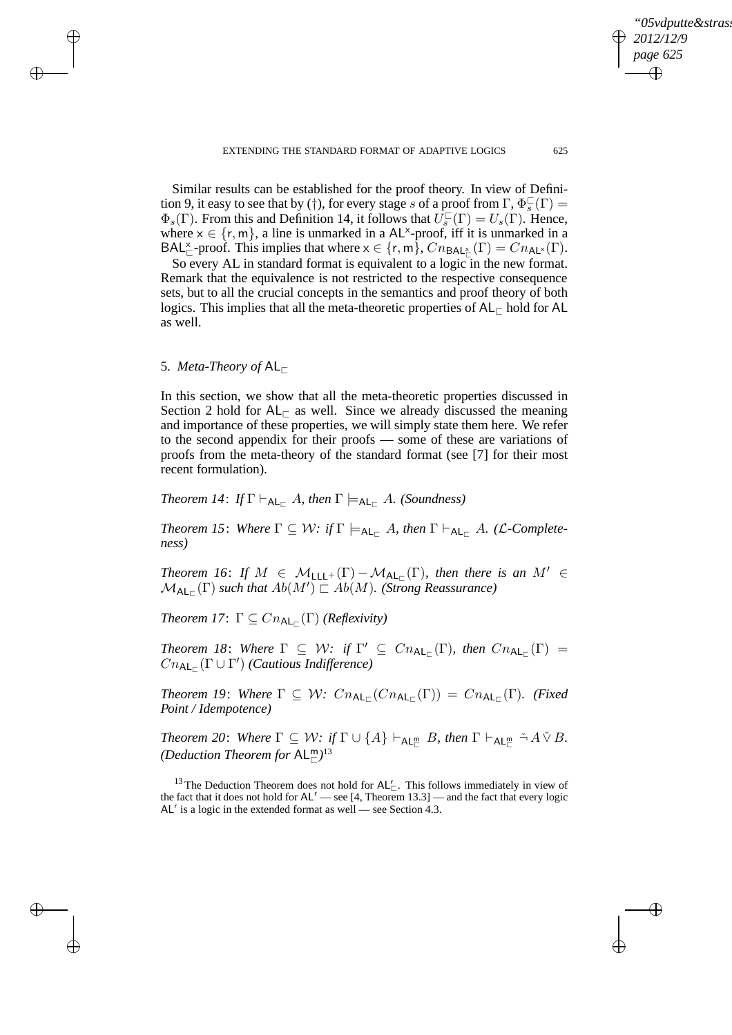✐

Similar results can be established for the proof theory. In view of Definition 9, it easy to see that by (†), for every stage s of a proof from  $\Gamma$ ,  $\Phi_s^{\square}(\Gamma)$  =  $\Phi_s(\Gamma)$ . From this and Definition 14, it follows that  $\hat{U}_s^{\square}(\Gamma) = U_s(\Gamma)$ . Hence, where  $x \in \{r, m\}$ , a line is unmarked in a AL<sup>x</sup>-proof, iff it is unmarked in a  $\mathsf{BAL}_{\sqsubset}^{\times}$ -proof. This implies that where  $x \in \{r, m\}$ ,  $Cn_{\mathsf{BAL}_{\sqsubset}^{\times}}(\Gamma) = Cn_{\mathsf{AL}^{\times}}(\Gamma)$ .

So every AL in standard format is equivalent to a logic in the new format. Remark that the equivalence is not restricted to the respective consequence sets, but to all the crucial concepts in the semantics and proof theory of both logics. This implies that all the meta-theoretic properties of  $AL_{\Box}$  hold for AL as well.

# 5. *Meta-Theory of* AL<sup>⊏</sup>

 $\rightarrow$ 

 $\rightarrow$ 

✐

✐

In this section, we show that all the meta-theoretic properties discussed in Section 2 hold for  $AL_\text{F}$  as well. Since we already discussed the meaning and importance of these properties, we will simply state them here. We refer to the second appendix for their proofs — some of these are variations of proofs from the meta-theory of the standard format (see [7] for their most recent formulation).

*Theorem 14: If*  $\Gamma \vdash_{AL_{\Gamma}} A$ *, then*  $\Gamma \models_{AL_{\Gamma}} A$ *. (Soundness)* 

*Theorem 15: Where*  $\Gamma \subseteq \mathcal{W}$ *: if*  $\Gamma \models_{\mathsf{AL}_{\Gamma}} A$ *, then*  $\Gamma \vdash_{\mathsf{AL}_{\Gamma}} A$ *.* (*L*-Complete*ness)*

*Theorem 16: If*  $M \in M_{\text{LLL}^+}(\Gamma) - M_{\text{AL}_\Gamma}(\Gamma)$ , then there is an  $M' \in$  $\mathcal{M}_{\mathsf{AL}_{\Box}}(\Gamma)$  such that  $Ab(M') \Box \overrightarrow{Ab(M)}$ . (Strong Reassurance)

*Theorem 17*:  $\Gamma \subseteq Cn_{\mathsf{AL}_{\square}}(\Gamma)$  (*Reflexivity*)

*Theorem 18: Where*  $\Gamma \subseteq W$ : *if*  $\Gamma' \subseteq Cn_{\mathsf{AL}_{\square}}(\Gamma)$ , then  $Cn_{\mathsf{AL}_{\square}}(\Gamma) =$  $Cn_{\mathsf{AL}_{\Box}}(\Gamma \cup \Gamma')$  (Cautious Indifference)

Theorem 19: Where  $\Gamma \subseteq \mathcal{W}$ :  $Cn_{\mathsf{AL}_{\square}}(Cn_{\mathsf{AL}_{\square}}(\Gamma)) = Cn_{\mathsf{AL}_{\square}}(\Gamma)$ . (Fixed *Point / Idempotence)*

 $Theorem 20: \text{ Where } \Gamma \subseteq \mathcal{W} \text{: if } \Gamma \cup \{A\} \vdash_{\mathsf{AL}_\Box^\mathsf{m}} B \text{, then } \Gamma \vdash_{\mathsf{AL}_\Box^\mathsf{m}} \tilde{\neg} A \check{\vee} B$ . (Deduction Theorem for  $AL^m_{\square}$ <sup>13</sup>

<sup>13</sup> The Deduction Theorem does not hold for  $AL_{\square}^r$ . This follows immediately in view of the fact that it does not hold for  $AL^r$  — see [4, Theorem 13.3] — and the fact that every logic  $AL<sup>r</sup>$  is a logic in the extended format as well — see Section 4.3.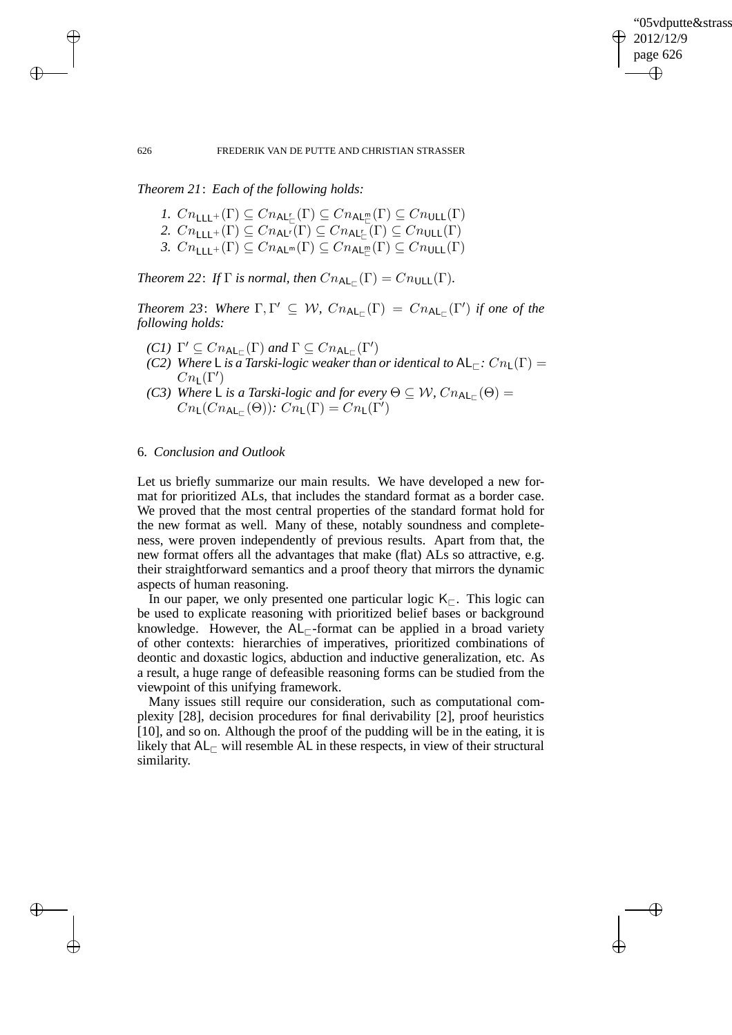✐

#### 626 FREDERIK VAN DE PUTTE AND CHRISTIAN STRASSER

*Theorem 21*: *Each of the following holds:*

- *1.*  $Cn_{\mathsf{LLL}^+}(\Gamma) \subseteq Cn_{\mathsf{AL}^r_\Box}(\Gamma) \subseteq Cn_{\mathsf{AL}^m_\Box}(\Gamma) \subseteq Cn_{\mathsf{ULL}}(\Gamma)$
- 2.  $C n_{\mathsf{LLL}^+}(\Gamma) \subseteq C n_{\mathsf{AL}^r}(\Gamma) \subseteq C n_{\mathsf{AL}^r_{\square}}(\Gamma) \subseteq C n_{\mathsf{ULL}}(\Gamma)$
- 3.  $Cn_{\mathsf{LLL}^+}(\Gamma) \subseteq Cn_{\mathsf{AL}^m}(\Gamma) \subseteq Cn_{\mathsf{AL}^m_{\square}}(\Gamma) \subseteq Cn_{\mathsf{ULL}}(\Gamma)$

*Theorem* 22: *If*  $\Gamma$  *is normal, then*  $Cn_{\sf AL_{\Gamma}}(\Gamma) = Cn_{\sf ULL}(\Gamma)$ *.* 

*Theorem 23: Where*  $\Gamma, \Gamma' \subseteq W$ ,  $Cn_{\mathsf{AL}_{\square}}(\Gamma) = Cn_{\mathsf{AL}_{\square}}(\Gamma')$  *if one of the following holds:*

- *(C1)*  $\Gamma' \subseteq Cn_{\mathsf{AL}_{\square}}(\Gamma)$  *and*  $\Gamma \subseteq Cn_{\mathsf{AL}_{\square}}(\Gamma')$
- *(C2) Where* L *is a Tarski-logic weaker than or identical to*  $AL_\mathbb{C}$ *:*  $Cn_\mathbb{L}(\Gamma)$  =  $Cn_{\mathsf{L}}(\Gamma')$
- *(C3)* Where  $\mathsf{L}$  *is a Tarski-logic and for every*  $\Theta \subseteq \mathcal{W}$ ,  $Cn_{\mathsf{AL}_{\mathsf{L}}}(\Theta)$  =  $Cn_{\mathsf{L}}(Cn_{\mathsf{AL}_{\Box}}(\Theta))$ :  $Cn_{\mathsf{L}}(\Gamma) = Cn_{\mathsf{L}}(\Gamma')$

# 6. *Conclusion and Outlook*

Let us briefly summarize our main results. We have developed a new format for prioritized ALs, that includes the standard format as a border case. We proved that the most central properties of the standard format hold for the new format as well. Many of these, notably soundness and completeness, were proven independently of previous results. Apart from that, the new format offers all the advantages that make (flat) ALs so attractive, e.g. their straightforward semantics and a proof theory that mirrors the dynamic aspects of human reasoning.

In our paper, we only presented one particular logic K<sub>⊏</sub>. This logic can be used to explicate reasoning with prioritized belief bases or background knowledge. However, the  $AL_\Gamma$ -format can be applied in a broad variety of other contexts: hierarchies of imperatives, prioritized combinations of deontic and doxastic logics, abduction and inductive generalization, etc. As a result, a huge range of defeasible reasoning forms can be studied from the viewpoint of this unifying framework.

Many issues still require our consideration, such as computational complexity [28], decision procedures for final derivability [2], proof heuristics [10], and so on. Although the proof of the pudding will be in the eating, it is likely that  $AL_\Gamma$  will resemble AL in these respects, in view of their structural similarity.

 $\rightarrow$ 

 $\rightarrow$ 

✐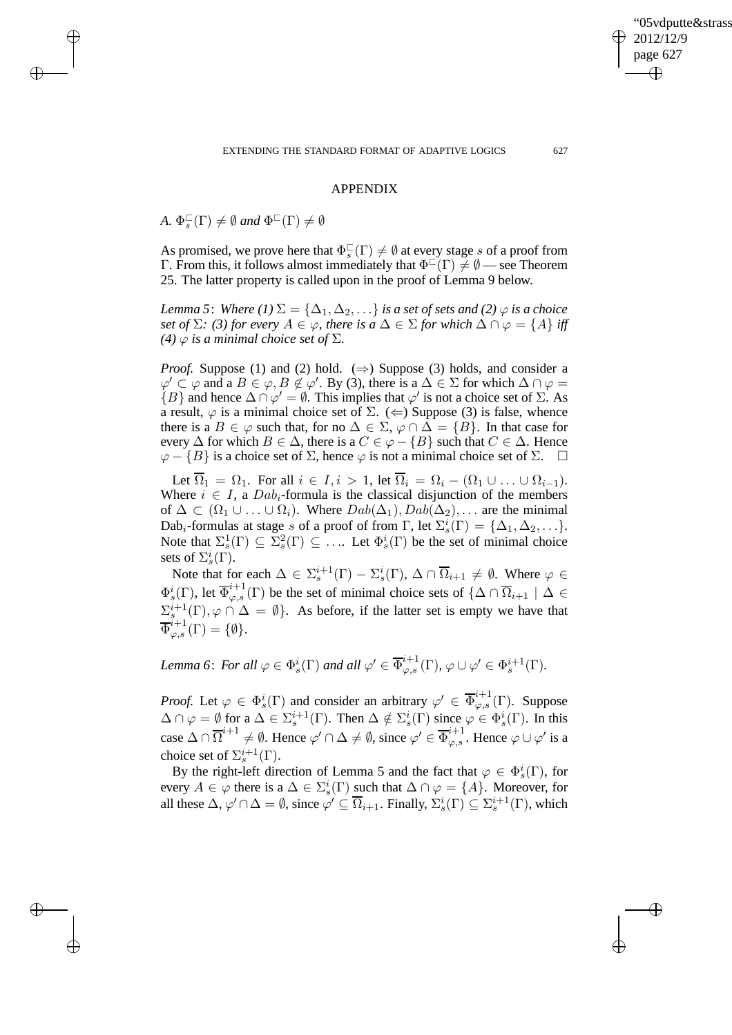✐

APPENDIX

*A.*  $\Phi_s^{\square}(\Gamma) \neq \emptyset$  *and*  $\Phi^{\square}(\Gamma) \neq \emptyset$ 

 $\rightarrow$ 

 $\rightarrow$ 

✐

✐

As promised, we prove here that  $\Phi_s^{\square}(\Gamma) \neq \emptyset$  at every stage s of a proof from  $\Gamma$ . From this, it follows almost immediately that  $\Phi^{\square}(\Gamma) \neq \emptyset$  — see Theorem 25. The latter property is called upon in the proof of Lemma 9 below.

*Lemma 5: Where (1)*  $\Sigma = {\Delta_1, \Delta_2, \ldots}$  *is a set of sets and (2)*  $\varphi$  *is a choice set of*  $\Sigma$ *: (3) for every*  $A \in \varphi$ *, there is a*  $\Delta \in \Sigma$  *for which*  $\Delta \cap \varphi = \{A\}$  *iff (4)*  $\varphi$  *is a minimal choice set of*  $\Sigma$ *.* 

*Proof.* Suppose (1) and (2) hold. ( $\Rightarrow$ ) Suppose (3) holds, and consider a  $\varphi' \subset \varphi$  and a  $B \in \varphi$ ,  $B \notin \varphi'$ . By (3), there is a  $\Delta \in \Sigma$  for which  $\Delta \cap \varphi =$  ${B}$  and hence  $\Delta \cap \varphi' = \emptyset$ . This implies that  $\varphi'$  is not a choice set of  $\Sigma$ . As a result,  $\varphi$  is a minimal choice set of  $\Sigma$ . ( $\Leftarrow$ ) Suppose (3) is false, whence there is a  $B \in \varphi$  such that, for no  $\Delta \in \Sigma$ ,  $\varphi \cap \Delta = \{B\}$ . In that case for every  $\Delta$  for which  $B \in \Delta$ , there is a  $C \in \varphi - \{B\}$  such that  $C \in \Delta$ . Hence  $\varphi - \{B\}$  is a choice set of  $\Sigma$ , hence  $\varphi$  is not a minimal choice set of  $\Sigma$ .  $\square$ 

Let  $\overline{\Omega}_1 = \Omega_1$ . For all  $i \in I, i > 1$ , let  $\overline{\Omega}_i = \Omega_i - (\Omega_1 \cup \ldots \cup \Omega_{i-1})$ . Where  $i \in I$ , a  $Dab_i$ -formula is the classical disjunction of the members of  $\Delta \subset (\Omega_1 \cup \ldots \cup \Omega_i)$ . Where  $Dab(\Delta_1), Dab(\Delta_2), \ldots$  are the minimal Dab<sub>i</sub>-formulas at stage s of a proof of from  $\Gamma$ , let  $\Sigma_s^i(\Gamma) = {\Delta_1, \Delta_2, \ldots}.$ Note that  $\Sigma_s^1(\Gamma) \subseteq \Sigma_s^2(\Gamma) \subseteq \ldots$  Let  $\Phi_s^i(\Gamma)$  be the set of minimal choice sets of  $\Sigma^i_s(\Gamma)$ .

Note that for each  $\Delta \in \Sigma_s^{i+1}(\Gamma) - \Sigma_s^i(\Gamma)$ ,  $\Delta \cap \overline{\Omega}_{i+1} \neq \emptyset$ . Where  $\varphi \in$  $\Phi_s^i(\Gamma)$ , let  $\overline{\Phi}_{\varphi,s}^{i+1}(\Gamma)$  be the set of minimal choice sets of  $\{\Delta \cap \overline{\Omega}_{i+1} \mid \Delta \in$  $\Sigma_{s}^{i+1}(\Gamma), \varphi \cap \Delta = \emptyset$ . As before, if the latter set is empty we have that  $\overline{\Phi}_{\varphi,s}^{\v i+1}(\Gamma)=\{\emptyset\}.$ 

*Lemma 6: For all*  $\varphi \in \Phi_s^i(\Gamma)$  *and all*  $\varphi' \in \overline{\Phi}_{\varphi,s}^{i+1}(\Gamma)$ ,  $\varphi \cup \varphi' \in \Phi_s^{i+1}(\Gamma)$ .

*Proof.* Let  $\varphi \in \Phi_s^i(\Gamma)$  and consider an arbitrary  $\varphi' \in \overline{\Phi}_{\varphi,s}^{i+1}(\Gamma)$ . Suppose  $\Delta \cap \varphi = \emptyset$  for a  $\Delta \in \Sigma_s^{i+1}(\Gamma)$ . Then  $\Delta \notin \Sigma_s^i(\Gamma)$  since  $\varphi \in \Phi_s^i(\Gamma)$ . In this case  $\Delta \cap \overline{\Omega}^{i+1} \neq \emptyset$ . Hence  $\varphi' \cap \Delta \neq \emptyset$ , since  $\varphi' \in \overline{\Phi}_{\varphi,s}^{i+1}$ . Hence  $\varphi \cup \varphi'$  is a choice set of  $\Sigma^{i+1}_s(\Gamma)$ .

By the right-left direction of Lemma 5 and the fact that  $\varphi \in \Phi_s^i(\Gamma)$ , for every  $A \in \varphi$  there is a  $\Delta \in \Sigma_s^i(\Gamma)$  such that  $\Delta \cap \varphi = \{A\}$ . Moreover, for all these  $\Delta$ ,  $\varphi' \cap \Delta = \emptyset$ , since  $\varphi' \subseteq \overline{\Omega}_{i+1}$ . Finally,  $\Sigma_s^i(\Gamma) \subseteq \Sigma_s^{i+1}(\Gamma)$ , which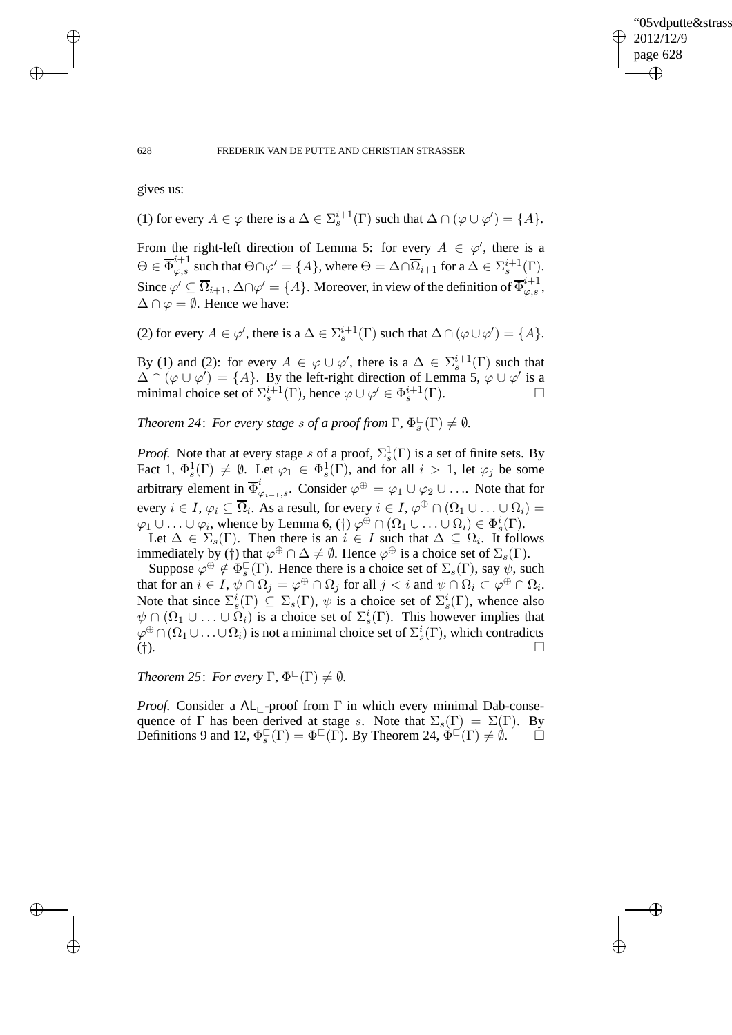✐

#### 628 FREDERIK VAN DE PUTTE AND CHRISTIAN STRASSER

gives us:

 $\rightarrow$ 

 $\rightarrow$ 

✐

✐

(1) for every  $A \in \varphi$  there is a  $\Delta \in \Sigma_s^{i+1}(\Gamma)$  such that  $\Delta \cap (\varphi \cup \varphi') = \{A\}.$ 

From the right-left direction of Lemma 5: for every  $A \in \varphi'$ , there is a  $\Theta \in \overline{\Phi}_{\varphi,s}^{i+1}$  such that  $\Theta \cap \varphi' = \{A\}$ , where  $\Theta = \Delta \cap \overline{\Omega}_{i+1}$  for  $a \Delta \in \Sigma_s^{i+1}(\Gamma)$ . Since  $\varphi' \subseteq \overline{\Omega}_{i+1}$ ,  $\Delta \cap \varphi' = \{A\}$ . Moreover, in view of the definition of  $\overline{\Phi}_{\varphi,s}^{i+1}$ ,  $\Delta \cap \varphi = \emptyset$ . Hence we have:

(2) for every  $A \in \varphi'$ , there is a  $\Delta \in \Sigma_s^{i+1}(\Gamma)$  such that  $\Delta \cap (\varphi \cup \varphi') = \{A\}.$ 

By (1) and (2): for every  $A \in \varphi \cup \varphi'$ , there is a  $\Delta \in \Sigma_s^{i+1}(\Gamma)$  such that  $\Delta \cap (\varphi \cup \varphi') = \{A\}$ . By the left-right direction of Lemma 5,  $\varphi \cup \varphi'$  is a minimal choice set of  $\Sigma_s^{i+1}(\Gamma)$ , hence  $\varphi \cup \varphi' \in \Phi_s^{i+1}(\Gamma)$ .

*Theorem 24: For every stage s of a proof from*  $\Gamma$ ,  $\Phi_s^{\square}(\Gamma) \neq \emptyset$ .

*Proof.* Note that at every stage s of a proof,  $\Sigma_s^1(\Gamma)$  is a set of finite sets. By Fact 1,  $\Phi_s^1(\Gamma) \neq \emptyset$ . Let  $\varphi_1 \in \Phi_s^1(\Gamma)$ , and for all  $i > 1$ , let  $\varphi_j$  be some arbitrary element in  $\overline{\Phi}_{\varphi_{i-1},s}^i$ . Consider  $\varphi^{\oplus} = \varphi_1 \cup \varphi_2 \cup \dots$  Note that for every  $i \in I$ ,  $\varphi_i \subseteq \overline{\Omega}_i$ . As a result, for every  $i \in I$ ,  $\varphi^\oplus \cap (\Omega_1 \cup \ldots \cup \Omega_i) =$  $\varphi_1 \cup \ldots \cup \varphi_i$ , whence by Lemma 6,  $(\dagger) \varphi^{\oplus} \cap (\Omega_1 \cup \ldots \cup \Omega_i) \in \Phi_s^i(\Gamma)$ .

Let  $\Delta \in \Sigma_s(\Gamma)$ . Then there is an  $i \in I$  such that  $\Delta \subseteq \Omega_i$ . It follows immediately by (†) that  $\varphi^{\oplus} \cap \Delta \neq \emptyset$ . Hence  $\varphi^{\oplus}$  is a choice set of  $\Sigma_s(\Gamma)$ .

Suppose  $\varphi^{\oplus} \notin \Phi_s^{\square}(\Gamma)$ . Hence there is a choice set of  $\Sigma_s(\Gamma)$ , say  $\psi$ , such that for an  $i \in I$ ,  $\psi \cap \Omega_j = \varphi^\oplus \cap \Omega_j$  for all  $j < i$  and  $\psi \cap \Omega_i \subset \varphi^\oplus \cap \Omega_i$ . Note that since  $\Sigma_s^i(\Gamma) \subseteq \Sigma_s(\Gamma)$ ,  $\psi$  is a choice set of  $\Sigma_s^i(\Gamma)$ , whence also  $\psi \cap (\Omega_1 \cup ... \cup \Omega_i)$  is a choice set of  $\Sigma_s^i(\Gamma)$ . This however implies that  $\varphi^{\oplus}\cap(\Omega_1\cup\ldots\cup\Omega_i)$  is not a minimal choice set of  $\Sigma^i_s(\Gamma)$ , which contradicts (†).

*Theorem 25: For every*  $\Gamma$ ,  $\Phi^{\square}(\Gamma) \neq \emptyset$ *.* 

*Proof.* Consider a AL<sub> $\Gamma$ </sub>-proof from  $\Gamma$  in which every minimal Dab-consequence of Γ has been derived at stage s. Note that  $\Sigma_s(\Gamma) = \Sigma(\Gamma)$ . By Definitions 9 and 12,  $\Phi_s^{\square}(\Gamma) = \Phi^{\square}(\Gamma)$ . By Theorem 24,  $\Phi^{\square}(\Gamma) \neq \emptyset$ .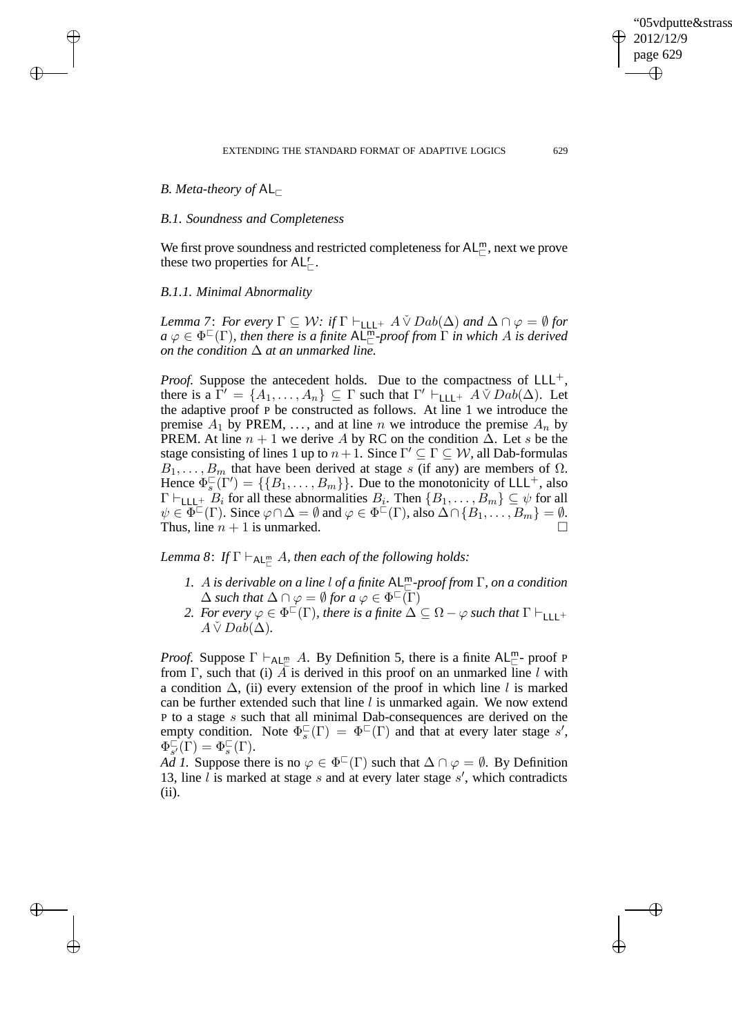✐

# *B. Meta-theory of* AL<sub>□</sub>

 $\rightarrow$ 

 $\rightarrow$ 

✐

✐

## *B.1. Soundness and Completeness*

We first prove soundness and restricted completeness for  $AL^m_{\square}$ , next we prove these two properties for  $AL_{\square}^{r}$ .

## *B.1.1. Minimal Abnormality*

*Lemma 7: For every*  $\Gamma \subseteq W$ : *if*  $\Gamma \vdash_{\text{LLL}+} A \check{\vee} Dab(\Delta)$  *and*  $\Delta \cap \varphi = \emptyset$  *for*  $a \varphi \in \Phi^{\square}(\Gamma)$ , then there is a finite  $\mathsf{AL}_{\square}^{\mathsf{m}}$ -proof from  $\Gamma$  in which A is derived *on the condition* ∆ *at an unmarked line.*

*Proof.* Suppose the antecedent holds. Due to the compactness of  $LLL^{+}$ , there is a  $\Gamma' = \{A_1, \ldots, A_n\} \subseteq \Gamma$  such that  $\Gamma' \vdash_{\mathsf{LLL}^+} A \check{\vee} Da b(\Delta)$ . Let the adaptive proof P be constructed as follows. At line 1 we introduce the premise  $A_1$  by PREM, ..., and at line n we introduce the premise  $A_n$  by PREM. At line  $n + 1$  we derive A by RC on the condition  $\overline{\Delta}$ . Let s be the stage consisting of lines 1 up to  $n+1$ . Since  $\Gamma' \subseteq \Gamma \subseteq W$ , all Dab-formulas  $B_1, \ldots, B_m$  that have been derived at stage s (if any) are members of  $\Omega$ . Hence  $\Phi_s^{\square}(\Gamma') = \{\{B_1, \ldots, B_m\}\}\.$  Due to the monotonicity of LLL<sup>+</sup>, also  $\Gamma \vdash_{\mathsf{LLL}^+} B_i$  for all these abnormalities  $B_i$ . Then  $\{B_1, \ldots, B_m\} \subseteq \psi$  for all  $\psi \in \overline{\Phi}^{\square}(\Gamma)$ . Since  $\varphi \cap \Delta = \emptyset$  and  $\varphi \in \Phi^{\square}(\Gamma)$ , also  $\Delta \cap \{B_1, \ldots, B_m\} = \emptyset$ . Thus, line  $n + 1$  is unmarked.

Lemma 8: If  $\Gamma \vdash_{\mathsf{AL}^{\mathsf{m}}_{\mathsf{L}}} A$ , then each of the following holds:

- *1.* A *is derivable on a line* l *of a finite* AL<sup>m</sup> <sup>⊏</sup>*-proof from* Γ*, on a condition*  $\Delta$  *such that*  $\Delta \cap \varphi = \emptyset$  *for a*  $\varphi \in \Phi^{\square}(\overline{\Gamma})$
- 2. For every  $\varphi \in \Phi^{\sqsubset}(\Gamma)$ , there is a finite  $\Delta \subseteq \Omega \varphi$  such that  $\Gamma \vdash_{\mathsf{LLL}^+}$  $A \check{V}$ *Dab* $(\Delta)$ *.*

*Proof.* Suppose  $\Gamma \vdash_{AL_{\Box}} A$ . By Definition 5, there is a finite  $AL_{\Box}^m$ - proof P from Γ, such that (i)  $\overline{A}$  is derived in this proof on an unmarked line l with a condition  $\Delta$ , (ii) every extension of the proof in which line l is marked can be further extended such that line  $l$  is unmarked again. We now extend P to a stage s such that all minimal Dab-consequences are derived on the empty condition. Note  $\Phi_s^{\square}(\Gamma) = \Phi^{\square}(\Gamma)$  and that at every later stage s',  $\Phi_{s'}^\square$  $\overline{\zeta'}(\dot{\Gamma}) = \Phi_s^{\square}(\Gamma).$ 

*Ad 1.* Suppose there is no  $\varphi \in \Phi^{\square}(\Gamma)$  such that  $\Delta \cap \varphi = \emptyset$ . By Definition 13, line  $\hat{l}$  is marked at stage s and at every later stage s', which contradicts (ii).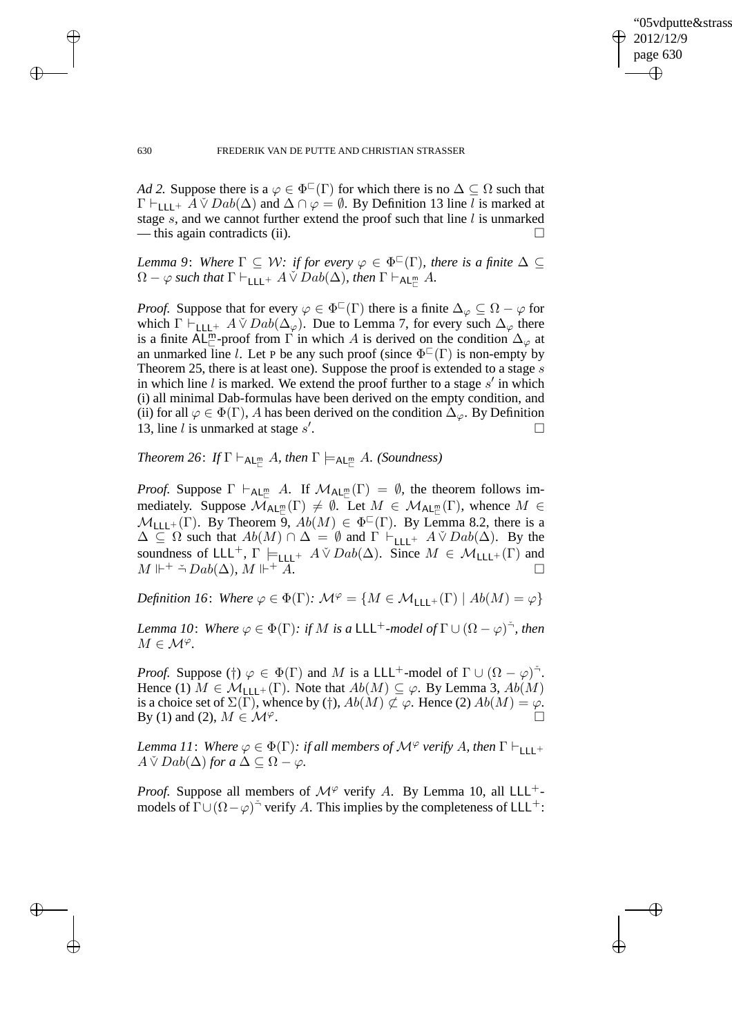✐

#### 630 FREDERIK VAN DE PUTTE AND CHRISTIAN STRASSER

*Ad 2.* Suppose there is a  $\varphi \in \Phi^{\square}(\Gamma)$  for which there is no  $\Delta \subseteq \Omega$  such that  $\Gamma \vdash_{\text{LLL}+} A \check{\vee} Dab(\Delta)$  and  $\Delta \cap \varphi = \emptyset$ . By Definition 13 line l is marked at stage  $s$ , and we cannot further extend the proof such that line  $l$  is unmarked — this again contradicts (ii).

*Lemma 9: Where*  $\Gamma \subseteq W$ *: if for every*  $\varphi \in \Phi^{\square}(\Gamma)$ *, there is a finite*  $\Delta \subseteq$  $\Omega - \varphi$  such that  $\Gamma \vdash_{\mathsf{LLL}^+} A \check{\vee} Dab(\Delta)$ , then  $\Gamma \vdash_{\mathsf{AL}^{\mathsf{m}}_{\Box}} A$ .

*Proof.* Suppose that for every  $\varphi \in \Phi^{\square}(\Gamma)$  there is a finite  $\Delta_{\varphi} \subseteq \Omega - \varphi$  for which  $\Gamma \vdash_{\text{LLL}+} A \check{\vee} Da b(\Delta_{\varphi})$ . Due to Lemma 7, for every such  $\Delta_{\varphi}$  there is a finite AL<sup>m</sup>-proof from  $\Gamma$  in which A is derived on the condition  $\Delta_{\varphi}$  at an unmarked line l. Let P be any such proof (since  $\Phi^{\Box}(\Gamma)$  is non-empty by Theorem 25, there is at least one). Suppose the proof is extended to a stage s in which line  $l$  is marked. We extend the proof further to a stage  $s'$  in which (i) all minimal Dab-formulas have been derived on the empty condition, and (ii) for all  $\varphi \in \Phi(\Gamma)$ , A has been derived on the condition  $\Delta_{\varphi}$ . By Definition 13, line  $l$  is unmarked at stage  $s'$ .

 $Theorem 26: If  $\Gamma \vdash_{\mathsf{AL}^m_{\sqsubset}} A$ *, then*  $\Gamma \models_{\mathsf{AL}^m_{\sqsubset}} A$ *.* (Soundness)$ 

*Proof.* Suppose  $\Gamma \vdash_{AL_{\Box}} A$ . If  $\mathcal{M}_{AL_{\Box}}(\Gamma) = \emptyset$ , the theorem follows immediately. Suppose  $\mathcal{M}_{\mathsf{AL}_{\Box}^m}(\Gamma) \neq \emptyset$ . Let  $M \in \mathcal{M}_{\mathsf{AL}_{\Box}^m}(\Gamma)$ , whence  $M \in$  $M_{\text{LLL}+}(\Gamma)$ . By Theorem 9,  $Ab(M) \in \Phi^{\mathbb{C}}(\Gamma)$ . By Lemma 8.2, there is a  $\Delta \subseteq \Omega$  such that  $Ab(M) \cap \Delta = \emptyset$  and  $\Gamma \vdash_{\mathsf{LLL}^+} A \check{\vee} Da b(\Delta)$ . By the soundness of LLL<sup>+</sup>,  $\Gamma \models_{\text{LLL}^+} A \check{\vee} Da b(\Delta)$ . Since  $M \in \mathcal{M}_{\text{LLL}^+}(\Gamma)$  and  $M\Vdash^{\div}\check\lnot\operatorname{Dab}(\Delta),\,M\Vdash^{\dot{}}$  $+ A$ .

*Definition 16: Where*  $\varphi \in \Phi(\Gamma)$ *:*  $\mathcal{M}^{\varphi} = \{M \in \mathcal{M}_{1}(\Gamma) \mid Ab(M) = \varphi\}$ 

*Lemma 10: Where*  $\varphi \in \Phi(\Gamma)$ : *if* M *is a* LLL<sup>+</sup>-model of  $\Gamma \cup (\Omega - \varphi)^{\prec}$ , *then*  $M \in \mathcal{M}^{\varphi}$ .

*Proof.* Suppose (†)  $\varphi \in \Phi(\Gamma)$  and M is a LLL<sup>+</sup>-model of  $\Gamma \cup (\Omega - \varphi)^{\tilde{\neg}}$ . Hence (1)  $M \in \mathcal{M}_{L\text{L}+}(\Gamma)$ . Note that  $Ab(M) \subseteq \varphi$ . By Lemma 3,  $Ab(M)$ is a choice set of  $\Sigma(\Gamma)$ , whence by (†),  $Ab(M) \not\subset \varphi$ . Hence (2)  $Ab(M) = \varphi$ . By (1) and (2),  $M \in \mathcal{M}^{\varphi}$ .

*Lemma 11: Where*  $\varphi \in \Phi(\Gamma)$ *: if all members of*  $\mathcal{M}^{\varphi}$  *verify* A, then  $\Gamma \vdash_{\Pi}$  +  $A \check{V}$  *Dab*( $\Delta$ ) *for a*  $\Delta \subset \Omega - \varphi$ *.* 

*Proof.* Suppose all members of  $\mathcal{M}^{\varphi}$  verify A. By Lemma 10, all LLL<sup>+</sup>models of  $\Gamma \cup (\Omega - \varphi)^{-\gamma}$  verify A. This implies by the completeness of LLL<sup>+</sup>:

 $\rightarrow$ 

 $\rightarrow$ 

✐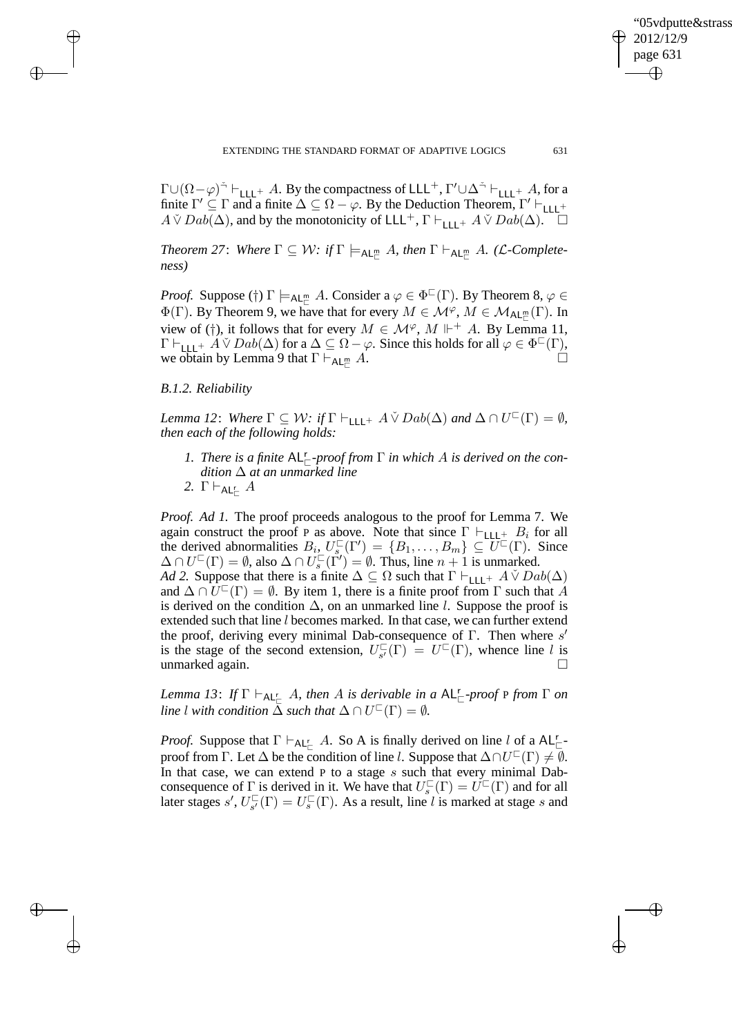EXTENDING THE STANDARD FORMAT OF ADAPTIVE LOGICS 631

'05vdputte&strass

2012/12/9 page 631

✐

✐

✐

✐

 $\Gamma \cup (\Omega - \varphi)^{\prec} \vdash_{\mathsf{LLL}^+} A$ . By the compactness of  $\mathsf{LLL}^+, \Gamma' \cup \Delta^{\prec} \vdash_{\mathsf{LLL}^+} A$ , for a finite  $\Gamma' \subseteq \Gamma$  and a finite  $\Delta \subseteq \Omega - \varphi$ . By the Deduction Theorem,  $\Gamma' \vdash_{\text{LLL}} +$  $A \check{V}$   $Dab(\Delta)$ , and by the monotonicity of LLL<sup>+</sup>,  $\Gamma \vdash$ <sub>LLL</sub>+  $A \check{V}$   $Dab(\Delta)$ .

 $Theorem 27: \; Where \; \Gamma \subseteq \mathcal{W}: \textit{if} \; \Gamma \models_{\mathsf{AL}^{\mathsf{m}}_{\sqsubset}} A, \textit{then} \; \Gamma \vdash_{\mathsf{AL}^{\mathsf{m}}_{\sqsubset}} A. \; (\mathcal{L}\text{-}Complete\text{-}1)$ *ness)*

*Proof.* Suppose (†)  $\Gamma \models_{AL_{\Box}^m} A$ . Consider  $a \varphi \in \Phi^{\Box}(\Gamma)$ . By Theorem 8,  $\varphi \in$  $\Phi(\Gamma)$ . By Theorem 9, we have that for every  $M \in \mathcal{M}^{\varphi}$ ,  $M \in \mathcal{M}_{\mathsf{AL}_{\square}^m}(\Gamma)$ . In view of (†), it follows that for every  $M \in \mathcal{M}^{\varphi}$ ,  $M \Vdash^{+} A$ . By Lemma 11,  $\Gamma \vdash_{\mathsf{LLL}^+} A \vee Dab(\Delta)$  for a  $\Delta \subseteq \Omega - \varphi$ . Since this holds for all  $\varphi \in \Phi^{\square}(\Gamma)$ , we obtain by Lemma 9 that  $\Gamma \vdash_{AL_{\Box}^m} A$ .

# *B.1.2. Reliability*

 $\rightarrow$ 

 $\rightarrow$ 

✐

✐

*Lemma 12*: *Where*  $\Gamma \subseteq W$ : *if*  $\Gamma \vdash_{\mathsf{LLL}^+} A \check{\vee} Dab(\Delta)$  *and*  $\Delta \cap U^{\square}(\Gamma) = \emptyset$ *, then each of the following holds:*

- 1. There is a finite  $AL_{\sqsubset}^r$ -proof from  $\Gamma$  in which A is derived on the con*dition* ∆ *at an unmarked line*
- 2.  $\Gamma\vdash_{\mathsf{AL}^r_\sqsubset} A$

*Proof. Ad 1.* The proof proceeds analogous to the proof for Lemma 7. We again construct the proof P as above. Note that since  $\Gamma \vdash_{\text{LLL}+} B_i$  for all the derived abnormalities  $B_i$ ,  $U_s^{\square}(\Gamma') = \{B_1, \ldots, B_m\} \subseteq U^{\square}(\Gamma)$ . Since  $\Delta \cap U^{\square}(\Gamma) = \emptyset$ , also  $\Delta \cap U_s^{\square}(\tilde{\Gamma}') = \emptyset$ . Thus, line  $n + 1$  is unmarked. *Ad 2.* Suppose that there is a finite  $\Delta \subseteq \Omega$  such that  $\Gamma \vdash_{\text{LLL}^+} A \check{\vee} Da b(\Delta)$ and  $\Delta \cap \widetilde{U}^{\square}(\Gamma) = \emptyset$ . By item 1, there is a finite proof from  $\Gamma$  such that A is derived on the condition  $\Delta$ , on an unmarked line l. Suppose the proof is extended such that line l becomes marked. In that case, we can further extend the proof, deriving every minimal Dab-consequence of Γ. Then where s' is the stage of the second extension,  $U_{s'}^{\square}$  $\overline{C}_{s'}(\Gamma) = U^{\square}(\Gamma)$ , whence line l is unmarked again.

 $Lemma 13: If  $\Gamma \vdash_{\mathsf{AL}^r_{\square}} A$ , then A is derivable in a  $\mathsf{AL}^r_{\square}$ -proof  $P$  from  $\Gamma$  on$ *line l* with condition  $\overline{\Delta}$  *such that*  $\Delta \cap U^{\square}(\Gamma) = \emptyset$ *.* 

*Proof.* Suppose that  $\Gamma \vdash_{\mathsf{AL}^r_\sqsubset} A$ . So A is finally derived on line l of a  $\mathsf{AL}^r_\sqsubset$ proof from  $\Gamma$ . Let  $\Delta$  be the condition of line l. Suppose that  $\Delta \cap U^{\square}(\Gamma) \neq \emptyset$ . In that case, we can extend  $P$  to a stage  $s$  such that every minimal Dabconsequence of  $\Gamma$  is derived in it. We have that  $U_s^{\square}(\Gamma) = U^{\square}(\Gamma)$  and for all later stages s',  $U_{s'}^{\square}$  $C_{s'}^{\square}(\Gamma) = U_s^{\square}(\Gamma)$ . As a result, line l is marked at stage s and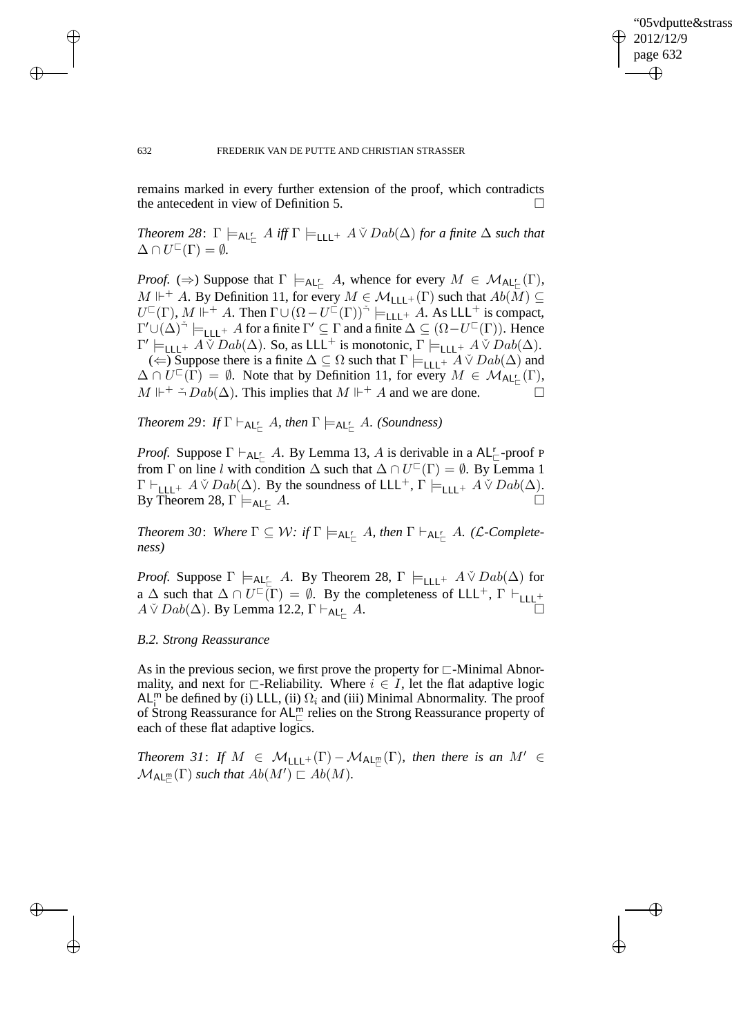✐

#### 632 FREDERIK VAN DE PUTTE AND CHRISTIAN STRASSER

remains marked in every further extension of the proof, which contradicts the antecedent in view of Definition 5.

 $Theorem 28: \Gamma \models_{\mathsf{AL}_\Box^r} A \text{ iff } \Gamma \models_{\mathsf{LLL}^+} A \check{\vee} Da\phi(\Delta) \text{ for a finite } \Delta \text{ such that }$  $\Delta \cap U^{\sqsubset}(\Gamma) = \emptyset.$ 

*Proof.* ( $\Rightarrow$ ) Suppose that  $\Gamma \models_{\mathsf{AL}^r_{\sqsubset}} A$ , whence for every  $M \in \mathcal{M}_{\mathsf{AL}^r_{\sqsubset}}(\Gamma)$ ,  $M \Vdash^+ A$ . By Definition 11, for every  $M \in \mathcal{M}_{\mathsf{LLL}^+}(\Gamma)$  such that  $Ab(\overline{M}) \subseteq$  $U^{\square}(\Gamma)$ ,  $M \Vdash^{+} A$ . Then  $\Gamma \cup (\Omega - U^{\square}(\Gamma))^{\preceq} \models_{\text{LLL}^{+}} A$ . As LLL<sup>+</sup> is compact,  $\Gamma' \cup (\Delta)^{\prec} \models_{\mathsf{LLL}^+} A$  for a finite  $\Gamma' \subseteq \Gamma$  and a finite  $\Delta \subseteq (\Omega - U^{\sqsubset}(\Gamma))$ . Hence  $\Gamma' \models_{\mathsf{LLL}^+} A \check{\vee} Da b(\Delta)$ . So, as  $\mathsf{LLL}^+$  is monotonic,  $\Gamma \models_{\mathsf{LLL}^+} A \check{\vee} Da b(\Delta)$ .

(←) Suppose there is a finite  $\Delta \subseteq \Omega$  such that  $\Gamma \models_{\text{LLL}^+} A \check{\vee} Dab(\Delta)$  and  $\Delta \cap U^{\square}(\Gamma) = \emptyset$ . Note that by Definition 11, for every  $M \in \mathcal{M}_{\mathsf{AL}_{\mathbb{C}}^{\mathbb{C}}}(\Gamma)$ ,  $M \Vdash^+ \stackrel{\sim}{\rightarrow} Dab(\Delta)$ . This implies that  $M \Vdash^+ A$  and we are done.

 $Theorem 29: If  $\Gamma \vdash_{\mathsf{AL}^{\mathsf{r}}_{\sqsubset}} A$ , then  $\Gamma \models_{\mathsf{AL}^{\mathsf{r}}_{\sqsubset}} A$ . (Soundness)$ 

*Proof.* Suppose  $\Gamma \vdash_{\mathsf{AL}^r_{\sqsubset}} A$ . By Lemma 13, A is derivable in a  $\mathsf{AL}^r_{\sqsubset}$ -proof P from  $\Gamma$  on line l with condition  $\Delta$  such that  $\Delta \cap U^{\square}(\Gamma) = \emptyset$ . By Lemma 1  $\Gamma \vdash_{\mathsf{LLL}^+} A \check{\vee} Da b(\Delta)$ . By the soundness of  $\mathsf{LLL}^+$ ,  $\Gamma \models_{\mathsf{LLL}^+} A \check{\vee} Da b(\Delta)$ . By Theorem 28,  $\Gamma \models_{AL_r^r} A$ .  $\mathcal{L}_{\sqsubset}$  A.

 $Theorem 30:$  Where  $\Gamma \subseteq \mathcal{W}$ : if  $\Gamma \models_{\mathsf{AL}^{\mathsf{r}}_{\mathsf{C}}} A$ , then  $\Gamma \vdash_{\mathsf{AL}^{\mathsf{r}}_{\mathsf{C}}} A$ . (L-Complete*ness)*

*Proof.* Suppose  $\Gamma \models_{\mathsf{AL}^{\mathsf{r}}_{{\mathsf{C}}}} A$ . By Theorem 28,  $\Gamma \models_{\mathsf{LLL}^+} A \check{\vee} Da b(\Delta)$  for a  $\Delta$  such that  $\Delta \cap U^{\square}(\Gamma) = \emptyset$ . By the completeness of LLL<sup>+</sup>,  $\Gamma \vdash_{\text{LLL}^+}$  $A \check{V}$  Dab( $\Delta$ ). By Lemma 12.2,  $\Gamma \vdash_{AL_r^{\mathcal{L}}} A$ .  $\mathcal{L}$   $\mathcal{A}.$ 

# *B.2. Strong Reassurance*

As in the previous secion, we first prove the property for ⊏-Minimal Abnormality, and next for  $\Box$ -Reliability. Where  $i \in I$ , let the flat adaptive logic AL<sup>m</sup> be defined by (i) LLL, (ii)  $\Omega_i$  and (iii) Minimal Abnormality. The proof of Strong Reassurance for AL<sup>m</sup> relies on the Strong Reassurance property of each of these flat adaptive logics.

*Theorem 31: If*  $M \in M_{\text{LLL}^+}(\Gamma) - M_{\text{AL}_\Gamma^m}(\Gamma)$ , then there is an  $M' \in$  $\mathcal{M}_{\mathsf{AL}_{\mathbb{C}}^{\mathsf{m}}}(\Gamma)$  *such that*  $Ab(M') \sqsubset Ab(M)$ *.* 

 $\rightarrow$ 

 $\rightarrow$ 

✐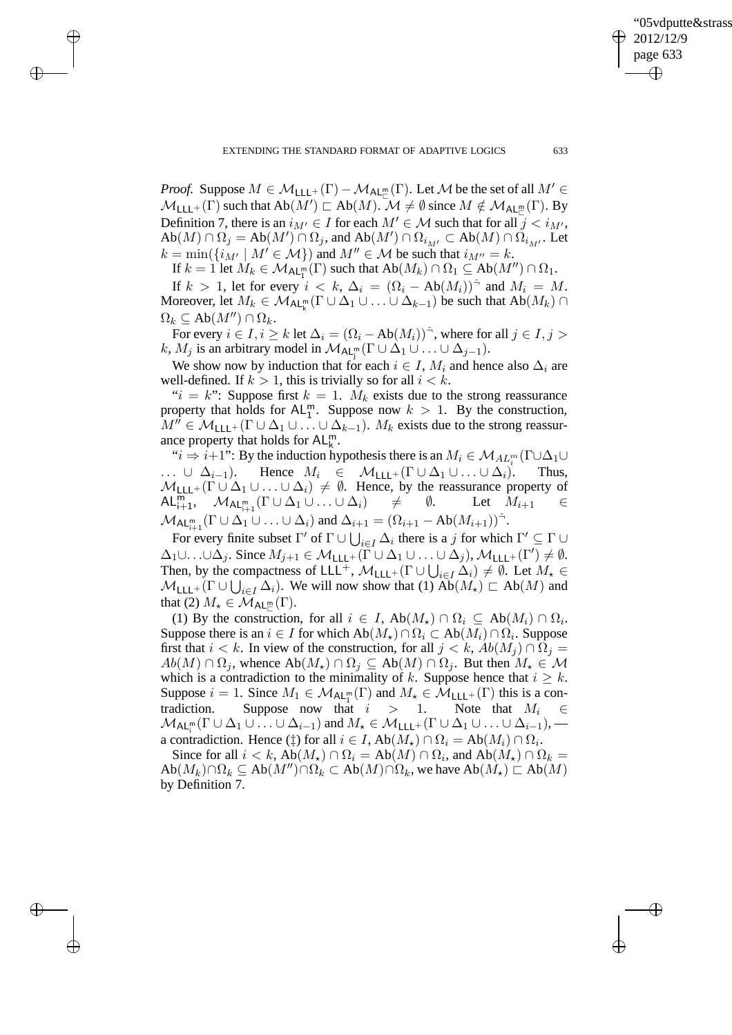✐

 $\rightarrow$ 

 $\rightarrow$ 

✐

✐

*Proof.* Suppose  $M \in \mathcal{M}_{\mathsf{LLL}^+}(\Gamma) - \mathcal{M}_{\mathsf{AL}_\Box^m}(\Gamma)$ . Let  $\mathcal M$  be the set of all  $M' \in$  $M_{\mathsf{LLL}^+}(\Gamma)$  such that  $\mathrm{Ab}(M') \sqsubset \mathrm{Ab}(M)$ .  $\mathcal{M} \neq \emptyset$  since  $M \notin \mathcal{M}_{\mathsf{AL}_\Box^\mathsf{m}}(\Gamma)$ . By Definition 7, there is an  $i_{M'} \in I$  for each  $M' \in \mathcal{M}$  such that for all  $j < i_{M'}$ ,  $Ab(M) \cap \Omega_j = Ab(M') \cap \Omega_j$ , and  $Ab(M') \cap \Omega_{i_{M'}} \subset Ab(M) \cap \Omega_{i_{M'}}$ . Let  $k = \min(\{i_{M'} \mid M' \in \mathcal{M}\})$  and  $M'' \in \mathcal{M}$  be such that  $i_{M''} = k$ .

If  $k = 1$  let  $M_k \in \mathcal{M}_{\mathsf{AL}_{1}^{\mathsf{m}}}(\Gamma)$  such that  $\mathsf{Ab}(M_k) \cap \Omega_1 \subseteq \mathsf{Ab}(M'') \cap \Omega_1$ .

If  $k > 1$ , let for every  $i < k$ ,  $\Delta_i = (\Omega_i - Ab(M_i))^2$  and  $M_i = M$ . Moreover, let  $M_k \in \mathcal{M}_{\mathsf{AL}_k^m}(\Gamma \cup \Delta_1 \cup \ldots \cup \Delta_{k-1})$  be such that  $\mathsf{Ab}(M_k) \cap$  $\Omega_k \subseteq Ab(M'') \cap \Omega_k$ .

For every  $i \in I, i \geq k$  let  $\Delta_i = (\Omega_i - \mathrm{Ab}(M_i))^{\check{}}$ , where for all  $j \in I, j > k$ k,  $M_j$  is an arbitrary model in  $\mathcal{M}_{\mathsf{AL}_j^m}(\Gamma \cup \Delta_1 \cup \ldots \cup \Delta_{j-1}).$ 

We show now by induction that for each  $i \in I$ ,  $M_i$  and hence also  $\Delta_i$  are well-defined. If  $k > 1$ , this is trivially so for all  $i < k$ .

" $i = k$ ": Suppose first  $k = 1$ .  $M_k$  exists due to the strong reassurance property that holds for  $AL_1^m$ . Suppose now  $k > 1$ . By the construction,  $M'' \in \mathcal{M}_{1+1} + (\Gamma \cup \Delta_1 \cup \ldots \cup \Delta_{k-1}).$   $M_k$  exists due to the strong reassurance property that holds for  $AL_k^m$ .

" $i \Rightarrow i+1$ ": By the induction hypothesis there is an  $M_i \in \mathcal{M}_{AL_i^m}(\Gamma \cup \Delta_1 \cup$  $\ldots \cup \Delta_{i-1}$ ). Hence  $M_i \in \mathcal{M}_{\mathsf{LLL}^+}(\Gamma \cup \Delta_1 \cup \ldots \cup \Delta_i)$ . Thus,  $M_{\text{LLL}^+}(\Gamma \cup \Delta_1 \cup ... \cup \Delta_i) \neq \emptyset$ . Hence, by the reassurance property of  $\mathsf{AL}_{i+1}^{\mathsf{m}}, \mathcal{M}_{\mathsf{AL}_{i+1}^{\mathsf{m}}}(\Gamma \cup \Delta_1 \cup ... \cup \Delta_i) \neq \emptyset$ . Let  $M_{i+1} \in$  $\mathsf{AL}^{\mathsf{m}}_{i+1}, \quad \mathcal{M}_{\mathsf{AL}^{\mathsf{m}}_{i+1}}(\Gamma \cup \Delta_1 \cup \ldots \cup \Delta_i) \quad \neq \quad \emptyset.$  Let  $M_{i+1} \in$  $\mathcal{M}_{\mathsf{AL}_{i+1}^m}(\Gamma \cup \Delta_1 \cup \ldots \cup \Delta_i)$  and  $\Delta_{i+1} = (\Omega_{i+1} - \mathsf{Ab}(M_{i+1}))^{\preceq}$ .

For every finite subset  $\Gamma'$  of  $\Gamma \cup \bigcup_{i \in I} \Delta_i$  there is a j for which  $\Gamma' \subseteq \Gamma \cup$  $\Delta_1 \cup \ldots \cup \Delta_j$ . Since  $M_{j+1} \in \mathcal{M}_{\mathsf{LLL}^+}(\Gamma \cup \Delta_1 \cup \ldots \cup \Delta_j)$ ,  $\mathcal{M}_{\mathsf{LLL}^+}(\Gamma') \neq \emptyset$ . Then, by the compactness of LLL<sup>+</sup>,  $\mathcal{M}_{\text{LLL+}}(\Gamma \cup \bigcup_{i \in I} \Delta_i) \neq \emptyset$ . Let  $M_{\star} \in$  $M_{\text{LLL}^+}(\Gamma \cup \bigcup_{i \in I} \Delta_i)$ . We will now show that (1)  $Ab(M_\star) \sqsubset Ab(M)$  and that (2)  $M_{\star} \in \mathcal{M}_{\mathsf{AL}_{\square}^{\mathsf{m}}}(\Gamma)$ .

(1) By the construction, for all  $i \in I$ ,  $Ab(M_{\star}) \cap \Omega_i \subseteq Ab(M_i) \cap \Omega_i$ . Suppose there is an  $i \in I$  for which  $\mathrm{Ab}(M_\star) \cap \Omega_i \subset \mathrm{Ab}(M_i) \cap \Omega_i$ . Suppose first that  $i < k$ . In view of the construction, for all  $j < k$ ,  $Ab(M_j) \cap \Omega_j =$  $Ab(M) \cap \Omega_j$ , whence  $Ab(M_\star) \cap \Omega_j \subseteq Ab(M) \cap \Omega_j$ . But then  $M_\star \in \mathcal{M}$ which is a contradiction to the minimality of k. Suppose hence that  $i \geq k$ . Suppose  $i = 1$ . Since  $M_1 \in M_{\mathsf{AL}_1^m}(\Gamma)$  and  $M_* \in \mathcal{M}_{\mathsf{LLL}^+}(\Gamma)$  this is a contradiction. Suppose now that  $i > 1$ . Note that  $M_i \in$  $\mathcal{M}_{\mathsf{AL}_{i}^{\mathsf{m}}}(\Gamma\cup \Delta_1\cup\ldots\cup\Delta_{i-1})$  and  $M_{\star}\in \mathcal{M}_{\mathsf{LLL}^+}(\Gamma\cup \Delta_1\cup\ldots\cup\Delta_{i-1}),$ a contradiction. Hence  $(\dagger)$  for all  $i \in I$ ,  $Ab(M_{\star}) \cap \Omega_i = Ab(M_i) \cap \Omega_i$ .

Since for all  $i < k$ ,  $Ab(M_\star) \cap \Omega_i = Ab(M) \cap \Omega_i$ , and  $Ab(M_\star) \cap \Omega_k =$  $Ab(M_k) \cap \Omega_k \subseteq Ab(M'') \cap \Omega_k \subset Ab(M) \cap \Omega_k$ , we have  $Ab(M_\star) \sqsubset Ab(M)$ by Definition 7.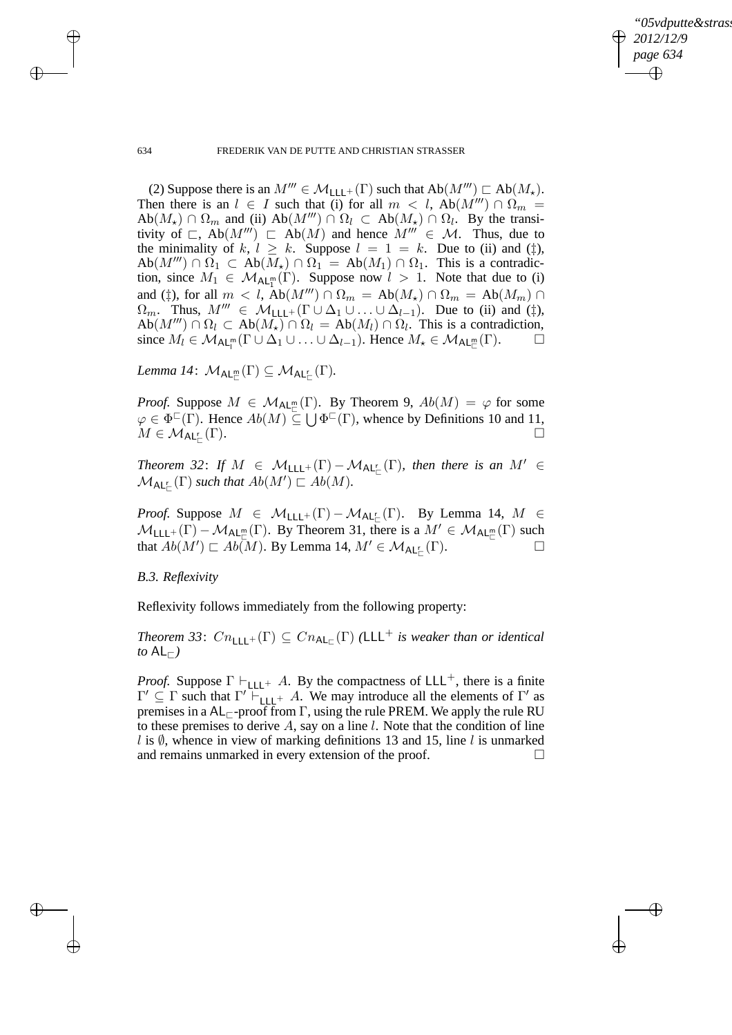✐

634 FREDERIK VAN DE PUTTE AND CHRISTIAN STRASSER

(2) Suppose there is an  $M''' \in \mathcal{M}_{\mathsf{LLL}^+}(\Gamma)$  such that  $\mathrm{Ab}(M''') \sqsubset \mathrm{Ab}(M_*)$ . Then there is an  $l \in I$  such that (i) for all  $m < l$ , Ab $(M''') \cap \Omega_m =$  $Ab(M_{\star}) \cap \Omega_m$  and (ii)  $Ab(M''') \cap \Omega_l \subset Ab(M_{\star}) \cap \Omega_l$ . By the transitivity of  $\Box$ , Ab $(M''') \Box$  Ab $(M)$  and hence  $M''' \in \mathcal{M}$ . Thus, due to the minimality of k,  $l \ge k$ . Suppose  $l = 1 = k$ . Due to (ii) and ( $\ddagger$ ),  $Ab(M''') \cap \Omega_1 \subset Ab(M_{\star}) \cap \Omega_1 = Ab(M_1) \cap \Omega_1$ . This is a contradiction, since  $M_1 \in \mathcal{M}_{\mathsf{AL}_1^m}(\Gamma)$ . Suppose now  $l > 1$ . Note that due to (i) and (‡), for all  $m < l$ , Ab $(M<sup>m</sup>) \cap \Omega_m = Ab(M<sub>\star</sub>) \cap \Omega_m = Ab(M<sub>m</sub>) \cap$  $\Omega_m$ . Thus,  $M'''\in \mathcal{M}_{\mathsf{LLL}^+}(\Gamma \cup \Delta_1 \cup \ldots \cup \Delta_{l-1})$ . Due to (ii) and (‡),  $Ab(M''') \cap \Omega_l \subset Ab(M_{\star}) \cap \Omega_l = Ab(M_l) \cap \Omega_l$ . This is a contradiction, since  $M_l \in \mathcal{M}_{\mathsf{AL}_l^m}(\Gamma \cup \Delta_1 \cup \ldots \cup \Delta_{l-1})$ . Hence  $M_{\star} \in \mathcal{M}_{\mathsf{AL}_l^m}(\Gamma)$ .  $\Box$ 

 $Lemma \; 14 \colon \; \mathcal{M}_{\mathsf{AL}^{\mathsf{m}}_{\mathsf{C}}}(\Gamma) \subseteq \mathcal{M}_{\mathsf{AL}^{\mathsf{r}}_{\mathsf{C}}}(\Gamma).$ 

*Proof.* Suppose  $M \in \mathcal{M}_{\mathsf{AL}_m^m}(\Gamma)$ . By Theorem 9,  $Ab(M) = \varphi$  for some  $\varphi \in \Phi^{\square}(\Gamma)$ . Hence  $Ab(M) \subseteq \bigcup \Phi^{\square}(\Gamma)$ , whence by Definitions 10 and 11,  $M\in \mathcal{M}_{\mathsf{AL}_{\Box}^{\mathsf{r}}}$ (Γ).

*Theorem 32: If*  $M \in M_{\text{LLL}^+}(\Gamma) - M_{\text{AL}_L^+}(\Gamma)$ *, then there is an*  $M' \in$  $\mathcal{M}_{\mathsf{AL}_{\mathsf{L}}^r}(\Gamma)$  such that  $Ab(M') \sqsubset Ab(M)$ .

*Proof.* Suppose  $M \in \mathcal{M}_{\mathsf{LLL}^+}(\Gamma) - \mathcal{M}_{\mathsf{AL}^{\mathsf{r}}_{\mathsf{LC}}}(\Gamma)$ . By Lemma 14,  $M \in$  $M_{\text{LLL}^+}(\Gamma) - M_{\text{AL}_L^m}(\Gamma)$ . By Theorem 31, there is a  $M' \in M_{\text{AL}_L^m}(\Gamma)$  such that  $Ab(M') \sqsubset Ab(M)$ . By Lemma 14,  $M' \in \mathcal{M}_{\mathsf{AL}_\sqsubset^{\mathsf{L}}}(\Gamma)$ .

*B.3. Reflexivity*

Reflexivity follows immediately from the following property:

 $Theorem 33: Cn_{\text{LLL}^+}(\Gamma) \subseteq Cn_{\text{AL}_{\square}}(\Gamma)$  (LLL<sup>+</sup> is weaker than or identical *to* AL $⊩$ *)* 

*Proof.* Suppose  $\Gamma \vdash_{\text{LLL}+} A$ . By the compactness of LLL<sup>+</sup>, there is a finite  $\Gamma' \subseteq \Gamma$  such that  $\Gamma' \vdash_{\text{LLL}^+} A$ . We may introduce all the elements of  $\Gamma'$  as premises in a  $AL_{\sqsubset}$ -proof from  $\Gamma$ , using the rule PREM. We apply the rule RU to these premises to derive  $A$ , say on a line  $l$ . Note that the condition of line l is  $\emptyset$ , whence in view of marking definitions 13 and 15, line l is unmarked and remains unmarked in every extension of the proof.

 $\rightarrow$ 

 $\rightarrow$ 

✐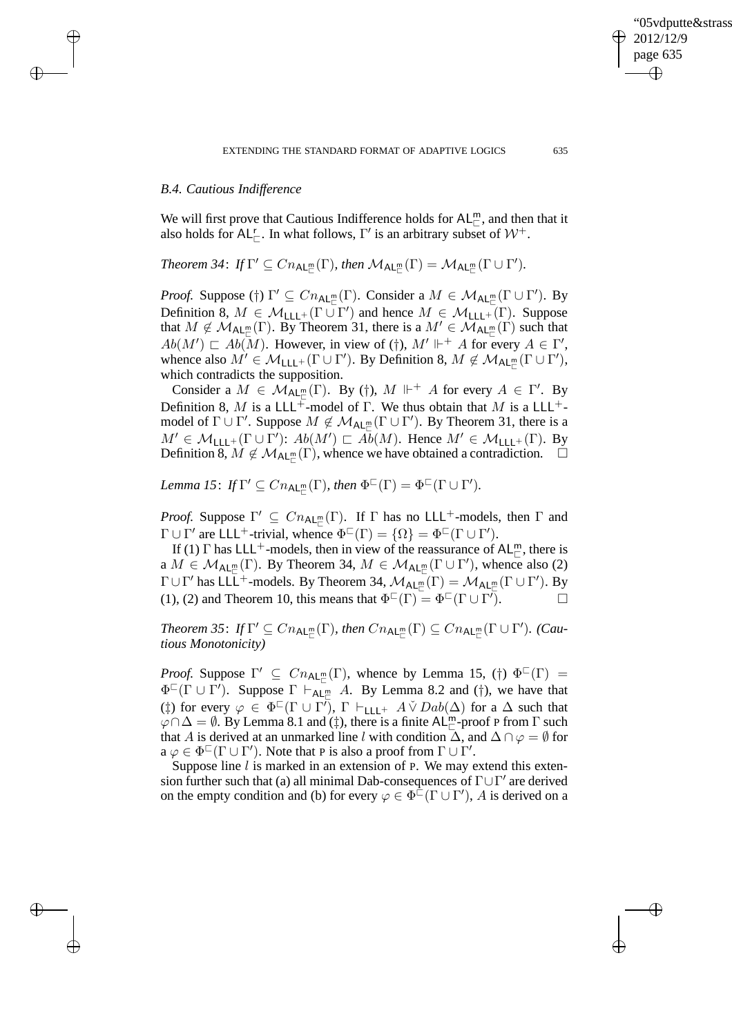# *B.4. Cautious Indifference*

 $\rightarrow$ 

 $\rightarrow$ 

✐

✐

We will first prove that Cautious Indifference holds for  $AL_{\Box}^{m}$ , and then that it also holds for  $AL_{\square}^r$ . In what follows,  $\Gamma'$  is an arbitrary subset of  $\mathcal{W}^+$ .

Theorem 34:  $If \Gamma' \subseteq Cn_{\mathsf{AL}_\mathbb{L}^m}(\Gamma)$ , then  $\mathcal{M}_{\mathsf{AL}_\mathbb{L}^m}(\Gamma) = \mathcal{M}_{\mathsf{AL}_\mathbb{L}^m}(\Gamma \cup \Gamma').$ 

*Proof.* Suppose (†)  $\Gamma' \subseteq Cn_{\text{AL}_{\square}^m}(\Gamma)$ . Consider a  $M \in \mathcal{M}_{\text{AL}_{\square}^m}(\Gamma \cup \Gamma')$ . By Definition 8,  $M \in \mathcal{M}_{\mathsf{LLL}^+}(\Gamma \cup \Gamma')$  and hence  $M \in \mathcal{M}_{\mathsf{LLL}^+}(\Gamma)$ . Suppose that  $M \notin \mathcal{M}_{\mathsf{AL}_{\mathbb{L}}^m}(\Gamma)$ . By Theorem 31, there is a  $M' \in \mathcal{M}_{\mathsf{AL}_{\mathbb{L}}^m}(\Gamma)$  such that  $Ab(M') \sqsubset Ab(M)$ . However, in view of (†),  $M' \Vdash^+ A$  for every  $A \in \Gamma'$ , whence also  $M' \in \mathcal{M}_{\mathsf{LLL}^+}(\Gamma \cup \Gamma')$ . By Definition 8,  $M \notin \mathcal{M}_{\mathsf{AL}_\Box^{\mathsf{mc}}}(\Gamma \cup \Gamma')$ , which contradicts the supposition.

Consider a  $M \in \mathcal{M}_{\mathsf{AL}_{\Box}^m}(\Gamma)$ . By (†),  $M \Vdash^{+} A$  for every  $A \in \Gamma'$ . By Definition 8, M is a LLL<sup>+</sup>-model of Γ. We thus obtain that M is a LLL<sup>+</sup>model of  $\Gamma \cup \Gamma'$ . Suppose  $M \notin \mathcal{M}_{\mathsf{AL}_\Box^\mathsf{m}}(\Gamma \cup \Gamma')$ . By Theorem 31, there is a  $M' \in \mathcal{M}_{\mathsf{LLL}^+}(\Gamma \cup \Gamma')$ :  $Ab(M') \sqsubset \overline{Ab}(M)$ . Hence  $M' \in \mathcal{M}_{\mathsf{LLL}^+}(\Gamma)$ . By Definition 8,  $M \notin \mathcal{M}_{\mathsf{AL}_\Box^\mathsf{m}}(\Gamma)$ , whence we have obtained a contradiction.  $\Box$ 

Lemma 15: If  $\Gamma' \subseteq Cn_{\text{AL}_m^m}(\Gamma)$ , then  $\Phi^{\square}(\Gamma) = \Phi^{\square}(\Gamma \cup \Gamma')$ .

*Proof.* Suppose  $\Gamma' \subseteq Cn_{\text{AL}_{\square}^m}(\Gamma)$ . If  $\Gamma$  has no LLL<sup>+</sup>-models, then  $\Gamma$  and  $\Gamma \cup \Gamma'$  are LLL<sup>+</sup>-trivial, whence  $\Phi^{\Box}(\Gamma) = {\Omega} = {\Phi}^{\Box}(\Gamma \cup \Gamma').$ 

If (1)  $\Gamma$  has LLL<sup>+</sup>-models, then in view of the reassurance of AL<sup>m</sup>, there is a  $M \in \mathcal{M}_{\mathsf{AL}_{\Box}^m}(\Gamma)$ . By Theorem 34,  $M \in \mathcal{M}_{\mathsf{AL}_{\Box}^m}(\Gamma \cup \Gamma')$ , whence also (2)  $\Gamma \cup \Gamma'$  has LLL<sup>+</sup>-models. By Theorem 34,  $\mathcal{M}_{AL_{\Gamma}^m}(\Gamma) = \mathcal{M}_{AL_{\Gamma}^m}(\Gamma \cup \Gamma')$ . By (1), (2) and Theorem 10, this means that  $\Phi^{\Box}(\Gamma) = \Phi^{\Box}(\Gamma \cup \Gamma)$ .

 $Theorem 35: If  $\Gamma' \subseteq Cn_{\mathsf{AL}_m^m}(\Gamma), then Cn_{\mathsf{AL}_m^m}(\Gamma) \subseteq Cn_{\mathsf{AL}_m^m}(\Gamma \cup \Gamma').$  (Cau$ *tious Monotonicity)*

*Proof.* Suppose  $\Gamma' \subseteq Cn_{\mathsf{AL}_{\mathbb{C}}^m}(\Gamma)$ , whence by Lemma 15, (†)  $\Phi^{\mathbb{C}}(\Gamma) =$  $\Phi^{\square}(\Gamma \cup \Gamma')$ . Suppose  $\Gamma \vdash_{\mathsf{AL}_\Box^m} A$ . By Lemma 8.2 and (†), we have that (‡) for every  $\varphi \in \Phi^{\mathbb{C}}(\Gamma \cup \Gamma^{\overline{\prime}}), \Gamma \vdash_{\mathsf{LLL}^+} A \check{\vee} Dab(\Delta)$  for a  $\Delta$  such that  $\varphi \cap \Delta = \emptyset$ . By Lemma 8.1 and (‡), there is a finite AL<sup>m</sup>-proof P from  $\Gamma$  such that A is derived at an unmarked line l with condition  $\Delta$ , and  $\Delta \cap \varphi = \emptyset$  for  $a \varphi \in \Phi^{\Box}(\Gamma \cup \Gamma')$ . Note that P is also a proof from  $\Gamma \cup \Gamma'$ .

Suppose line  $l$  is marked in an extension of P. We may extend this extension further such that (a) all minimal Dab-consequences of  $\Gamma \cup \Gamma'$  are derived on the empty condition and (b) for every  $\varphi \in \Phi^{\hat{\sqsubset}}(\Gamma \cup \Gamma')$ , A is derived on a

"05vdputte&strasser

2012/12/9 page 635

✐

✐

✐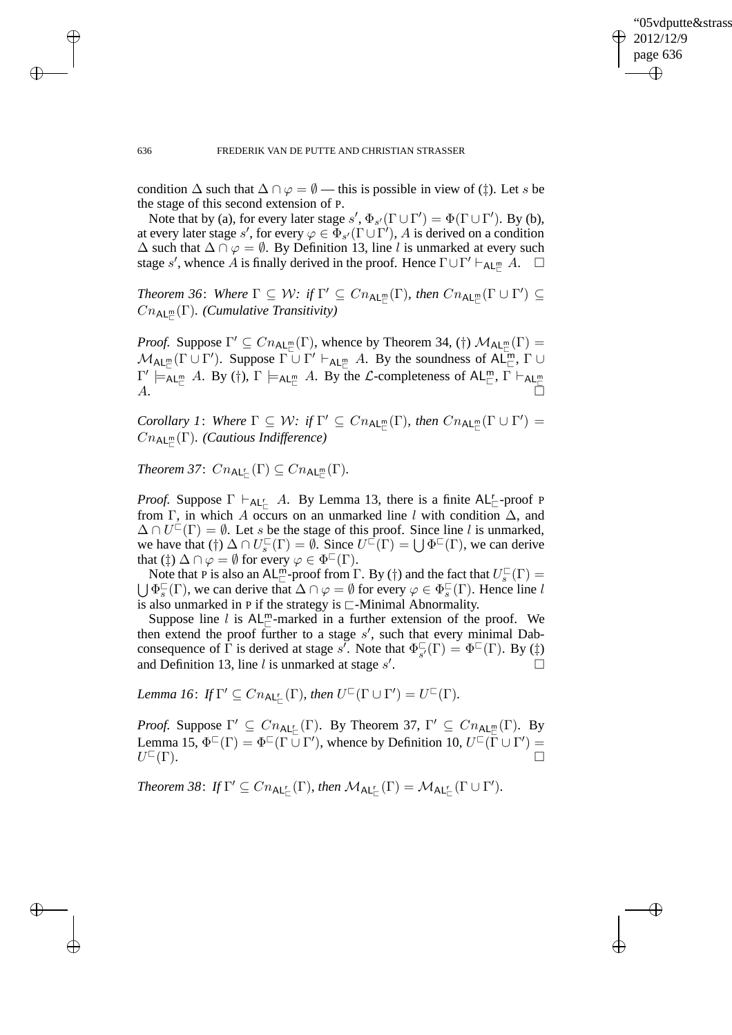✐

#### 636 FREDERIK VAN DE PUTTE AND CHRISTIAN STRASSER

condition  $\Delta$  such that  $\Delta \cap \varphi = \emptyset$  — this is possible in view of (‡). Let s be the stage of this second extension of P.

Note that by (a), for every later stage  $s', \Phi_{s'}(\Gamma \cup \Gamma') = \Phi(\Gamma \cup \Gamma')$ . By (b), at every later stage s', for every  $\varphi \in \Phi_{s'}(\Gamma \cup \Gamma')$ , A is derived on a condition  $\Delta$  such that  $\Delta \cap \varphi = \emptyset$ . By Definition 13, line l is unmarked at every such stage s', whence A is finally derived in the proof. Hence  $\Gamma \cup \Gamma' \vdash_{AL_{\Gamma}^m} A$ .  $\square$ 

Theorem 36: Where  $\Gamma \subseteq W$ : if  $\Gamma' \subseteq Cn_{\text{AL}_m^m}(\Gamma)$ , then  $Cn_{\text{AL}_m^m}(\Gamma \cup \Gamma') \subseteq$  $Cn_{\sf AL}_{\sqsubset}^m(\Gamma)$ . (Cumulative Transitivity)

*Proof.* Suppose  $\Gamma' \subseteq Cn_{\mathsf{AL}_m^m}(\Gamma)$ , whence by Theorem 34, (†)  $\mathcal{M}_{\mathsf{AL}_m^m}(\Gamma) =$  $\mathcal{M}_{\mathsf{AL}_{\Box}^m}(\Gamma \cup \Gamma')$ . Suppose  $\Gamma \cup \Gamma' \vdash_{\mathsf{AL}_{\Box}^m} A$ . By the soundness of  $\mathsf{AL}_{\Box}^m$ ,  $\Gamma \cup$  $\Gamma' \models_{\mathsf{AL}^{\mathsf{m}}_{\mathsf{C}}} A$ . By (†),  $\Gamma \models_{\mathsf{AL}^{\mathsf{m}}_{\mathsf{C}}} A$ . By the  $\mathcal{L}$ -completeness of  $\mathsf{AL}^{\mathsf{m}}_{\mathsf{C}}$ ,  $\Gamma \vdash_{\mathsf{AL}^{\mathsf{m}}_{\mathsf{C}}} A$ .

*Corollary 1: Where*  $\Gamma \subseteq W$ *: if*  $\Gamma' \subseteq Cn_{\text{AL}_\Box^\text{m}}(\Gamma)$ *, then*  $Cn_{\text{AL}_\Box^\text{m}}(\Gamma \cup \Gamma') =$ CnAL<sup>m</sup> ⊏ (Γ)*. (Cautious Indifference)*

*Theorem 37*:  $C_{n_{\mathsf{AL}_{\Box}^{\mathsf{r}}}}(\Gamma) \subseteq C_{n_{\mathsf{AL}_{\Box}^{\mathsf{m}}}}(\Gamma)$ .

*Proof.* Suppose  $\Gamma \vdash_{AL_{\Box}} A$ . By Lemma 13, there is a finite  $AL_{\Box}$ -proof P from Γ, in which A occurs on an unmarked line l with condition  $\Delta$ , and  $\Delta \cap U^{\perp}(\Gamma) = \emptyset$ . Let s be the stage of this proof. Since line l is unmarked, we have that (†)  $\Delta \cap U_s^{\square}(\Gamma) = \emptyset$ . Since  $U^{\square}(\Gamma) = \bigcup \Phi^{\square}(\Gamma)$ , we can derive that  $(\ddagger) \Delta \cap \varphi = \emptyset$  for every  $\varphi \in \Phi^{\square}(\Gamma)$ .

Note that P is also an AL<sup>m</sup>-proof from  $\Gamma$ . By (†) and the fact that  $U_s^{\square}(\Gamma) =$ Solution is also an  $AL_{\square}$ -proof from  $\square$ . By (1) and the fact that  $\mathcal{O}_s$  ( $\Gamma$ ) =  $\bigcup \Phi_s^{\square}(\Gamma)$ , we can derive that  $\Delta \cap \varphi = \emptyset$  for every  $\varphi \in \Phi_s^{\square}(\Gamma)$ . Hence line l is also unmarked in P if the strategy is ⊏-Minimal Abnormality.

Suppose line l is  $AL_{\square}^m$ -marked in a further extension of the proof. We then extend the proof further to a stage  $s'$ , such that every minimal Dabconsequence of  $\Gamma$  is derived at stage s'. Note that  $\Phi_{\mathbf{s}'}^{\square}$  $\mathcal{L}_{s'}^{\square}(\Gamma) = \Phi^{\square}(\Gamma)$ . By (‡) and Definition 13, line  $l$  is unmarked at stage  $s'$ . — Процессиональные продаже продаже на продаже продаже продаже на продаже продаже на продаже продаже на прода<br>В 1990 году стала продаже продаже продаже продаже продаже продаже продаже продаже продаже продаже продаже прод

Lemma 16: If  $\Gamma' \subseteq Cn_{\mathsf{AL}_E^{\mathsf{L}}}(\Gamma)$ , then  $U^{\square}(\Gamma \cup \Gamma') = U^{\square}(\Gamma)$ .

*Proof.* Suppose  $\Gamma' \subseteq Cn_{\mathsf{AL}_{\Box}^{\mathsf{r}}}(\Gamma)$ . By Theorem 37,  $\Gamma' \subseteq Cn_{\mathsf{AL}_{\Box}^{\mathsf{m}}}(\Gamma)$ . By Lemma 15,  $\Phi^{\Box}(\Gamma) = \Phi^{\Box}(\Gamma \cup \Gamma')$ , whence by Definition 10,  $U^{\Box}(\Gamma \cup \Gamma') =$  $U^{\sqsubset}(\Gamma).$  $\Box$   $\Box$ 

*Theorem 38: If*  $\Gamma' \subseteq Cn_{\mathsf{AL}_{\mathsf{L}}^{\mathsf{r}}}(\Gamma)$ *, then*  $\mathcal{M}_{\mathsf{AL}_{\mathsf{L}}^{\mathsf{r}}}(\Gamma) = \mathcal{M}_{\mathsf{AL}_{\mathsf{L}}^{\mathsf{r}}}(\Gamma \cup \Gamma')$ *.* 

 $\rightarrow$ 

 $\rightarrow$ 

✐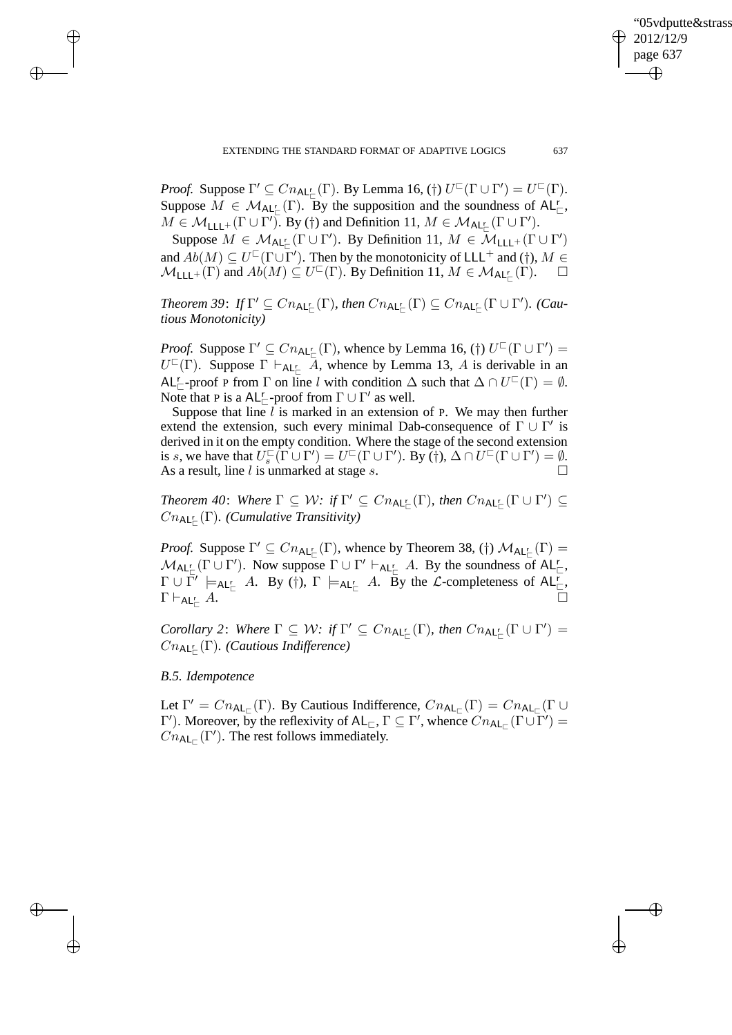✐

*Proof.* Suppose  $\Gamma' \subseteq Cn_{\mathsf{AL}_\mathbb{L}^{\mathbb{L}}}(\Gamma)$ . By Lemma 16, (†)  $U^{\mathbb{L}}(\Gamma \cup \Gamma') = U^{\mathbb{L}}(\Gamma)$ . Suppose  $M \in \mathcal{M}_{\mathsf{AL}_{\Box}^r}(\Gamma)$ . By the supposition and the soundness of  $\mathsf{AL}_{\Box}^r$ ,  $M \in \mathcal{M}_{\mathsf{LLL}^+}(\Gamma \cup \Gamma')$ . By (†) and Definition 11,  $M \in \mathcal{M}_{\mathsf{AL}^{\mathsf{r}}_{\Gamma}}(\Gamma \cup \Gamma')$ .

Suppose  $M \in \mathcal{M}_{\mathsf{AL}_{\mathbb{C}}^{\mathbb{C}}}(\Gamma \cup \Gamma')$ . By Definition 11,  $M \in \mathcal{M}_{\mathsf{LLL}}(\Gamma \cup \Gamma')$ and  $Ab(M) \subseteq U^{\sqsubset}(\Gamma \cup \Gamma')$ . Then by the monotonicity of LLL<sup>+</sup> and (†),  $M \in$  $\mathcal{M}_{\mathsf{LLL}^+}(\Gamma)$  and  $Ab(M) \subseteq U^{\mathsf{C}}(\Gamma)$ . By Definition 11,  $M \in \mathcal{M}_{\mathsf{AL'_{\mathsf{C}}}}(\Gamma)$ .  $\square$ 

 $Theorem 39: If  $\Gamma' \subseteq Cn_{\mathsf{AL}_\sqsubset^{\mathsf{L}}}(\Gamma)$ , then  $Cn_{\mathsf{AL}_\sqsubset^{\mathsf{L}}}(\Gamma) \subseteq Cn_{\mathsf{AL}_\sqsubset^{\mathsf{L}}}(\Gamma \cup \Gamma')$ . (Cau$ *tious Monotonicity)*

*Proof.* Suppose  $\Gamma' \subseteq Cn_{\mathsf{AL}_\Box}(\Gamma)$ , whence by Lemma 16, (†)  $U^\Box(\Gamma \cup \Gamma') =$  $U^{\square}(\Gamma)$ . Suppose  $\Gamma \vdash_{\mathsf{AL}_{\square}^{\mathbb{L}}} \overline{A}$ , whence by Lemma 13, A is derivable in an AL<sup>r</sup><sub> $\sqsubset$ </sub>-proof P from  $\Gamma$  on line l with condition  $\Delta$  such that  $\Delta \cap U^{\sqsubset}(\Gamma) = \emptyset$ . Note that P is a  $AL_{\square}^r$ -proof from  $\Gamma \cup \Gamma'$  as well.

Suppose that line  $l$  is marked in an extension of P. We may then further extend the extension, such every minimal Dab-consequence of  $\Gamma \cup \Gamma'$  is derived in it on the empty condition. Where the stage of the second extension is s, we have that  $U_s^{\square}(\Gamma \cup \Gamma') = U^{\square}(\Gamma \cup \Gamma')$ . By (†),  $\Delta \cap U^{\square}(\Gamma \cup \Gamma') = \emptyset$ . As a result, line l is unmarked at stage s.  $\Box$ 

Theorem 40: Where  $\Gamma \subseteq W$ : if  $\Gamma' \subseteq Cn_{\mathsf{AL}_{\Box}^{\mathsf{r}}}(\Gamma)$ *, then*  $Cn_{\mathsf{AL}_{\Box}^{\mathsf{r}}}(\Gamma \cup \Gamma') \subseteq$ CnAL<sup>r</sup> ⊏ (Γ)*. (Cumulative Transitivity)*

*Proof.* Suppose  $\Gamma' \subseteq Cn_{\mathsf{AL}_{\mathsf{L}}}( \Gamma)$ , whence by Theorem 38, (†)  $\mathcal{M}_{\mathsf{AL}_{\mathsf{L}}}( \Gamma) =$  $M_{\mathsf{AL}_{\Box}^r}(\Gamma \cup \Gamma')$ . Now suppose  $\Gamma \cup \Gamma' \vdash_{\mathsf{AL}_{\Box}^r} A$ . By the soundness of  $\mathsf{AL}_{\Box}^r$ ,  $\Gamma \cup \overline{\Gamma'} \models_{\mathsf{AL}^{\mathsf{r}}_{\mathsf{C}}} A$ . By (†),  $\Gamma \models_{\mathsf{AL}^{\mathsf{r}}_{\mathsf{C}}} A$ . By the *L*-completeness of  $\mathsf{AL}^{\mathsf{r}}_{\mathsf{C}}$ ,  $\Gamma\vdash_{\mathsf{AL}^r_{\vdash}} A$ .  $\Gamma_{\vdash}$  A.

*Corollary 2: Where*  $\Gamma \subseteq W$ *: if*  $\Gamma' \subseteq Cn_{\mathsf{AL}_{\Box}^{\mathsf{r}}}(\Gamma)$ *, then*  $Cn_{\mathsf{AL}_{\Box}^{\mathsf{r}}}(\Gamma \cup \Gamma') =$ CnAL<sup>r</sup> ⊏ (Γ)*. (Cautious Indifference)*

# *B.5. Idempotence*

 $\rightarrow$ 

 $\rightarrow$ 

✐

✐

Let  $\Gamma' = C n_{\mathsf{AL}_{\square}}(\Gamma)$ . By Cautious Indifference,  $C n_{\mathsf{AL}_{\square}}(\Gamma) = C n_{\mathsf{AL}_{\square}}(\Gamma \cup \Gamma)$  $\Gamma'$ ). Moreover, by the reflexivity of AL<sub>⊏</sub>, Γ ⊆ Γ', whence  $Cn_{AL<sub>⊏</sub>}(\Gamma \cup \Gamma')=$  $Cn_{\mathsf{AL}_{\square}}(\Gamma')$ . The rest follows immediately.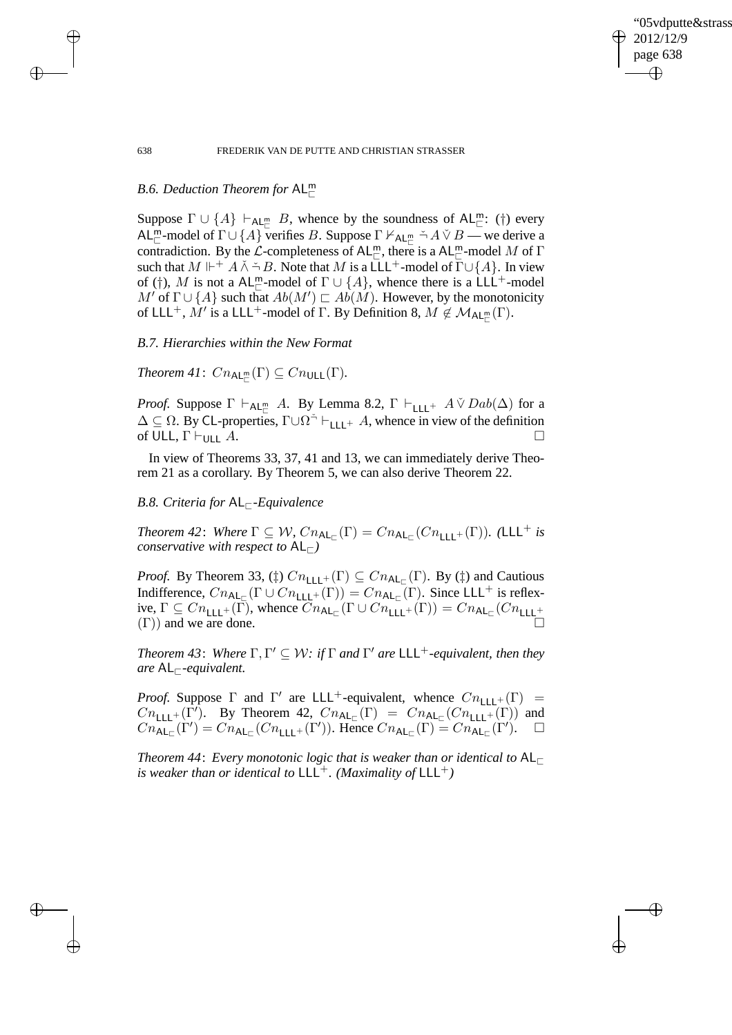✐

### 638 FREDERIK VAN DE PUTTE AND CHRISTIAN STRASSER

# *B.6. Deduction Theorem for* AL<sup>m</sup>

Suppose  $\Gamma \cup \{A\} \vdash_{AL_{\Box}} B$ , whence by the soundness of  $AL_{\Box}^m$ : (†) every AL<sup>m</sup> -model of  $\Gamma \cup \{A\}$  verifies B. Suppose  $\Gamma \nvdash_{AL_{\Box}^m} \neg A \lor B$  — we derive a contradiction. By the  $\mathcal L$ -completeness of AL<sup>m</sup>, there is a AL<sup>m</sup>-model M of  $\Gamma$ such that  $M \Vdash^+ A \wedge \neg B$ . Note that M is a LLL<sup>+</sup>-model of  $\Gamma \cup \{A\}$ . In view of (†), M is not a AL<sup>m</sup>-model of  $\Gamma \cup \{A\}$ , whence there is a LLL<sup>+</sup>-model  $M'$  of  $\Gamma \cup \{A\}$  such that  $Ab(M') \sqsubset Ab(M)$ . However, by the monotonicity of LLL<sup>+</sup>,  $\tilde{M}'$  is a LLL<sup>+</sup>-model of  $\Gamma$ . By Definition 8,  $M \notin \mathcal{M}_{AL_{\Gamma}^m}(\Gamma)$ .

# *B.7. Hierarchies within the New Format*

*Theorem 41*:  $Cn_{\mathsf{AL}_{\mathbb{C}}^m}(\Gamma) \subseteq Cn_{\mathsf{ULL}}(\Gamma)$ .

*Proof.* Suppose  $\Gamma \vdash_{AL_{\Box}} A$ . By Lemma 8.2,  $\Gamma \vdash_{LLL^+} A \check{\vee} Da b(\Delta)$  for a  $\Delta \subseteq \Omega$ . By CL-properties,  $\Gamma \cup \Omega^{\dagger} \vdash_{\text{LLL}+} A$ , whence in view of the definition of ULL,  $\Gamma \vdash_{\mathsf{ULL}} A$ .

In view of Theorems 33, 37, 41 and 13, we can immediately derive Theorem 21 as a corollary. By Theorem 5, we can also derive Theorem 22.

# *B.8. Criteria for* AL<sub>Γ</sub>-*Equivalence*

*Theorem 42: Where*  $\Gamma \subseteq W$ ,  $Cn_{\mathsf{AL}_{\square}}(\Gamma) = Cn_{\mathsf{AL}_{\square}}(Cn_{\mathsf{LLL}^+}(\Gamma))$ . (LLL<sup>+</sup> *is conservative with respect to*  $AL_{\vdash}$ *)* 

*Proof.* By Theorem 33, ( $\sharp$ )  $Cn_{\text{LLL}}(\Gamma) \subseteq Cn_{\text{AL}}(\Gamma)$ . By ( $\sharp$ ) and Cautious Indifference,  $Cn_{\mathsf{AL}_{\Box}}(\Gamma \cup Cn_{\mathsf{LLL}^+}(\Gamma)) = Cn_{\mathsf{AL}_{\Box}}(\Gamma)$ . Since LLL<sup>+</sup> is reflexive,  $\Gamma \subseteq Cn_{\text{LLL}} + (\Gamma)$ , whence  $Cn_{\text{AL}_{\square}}(\Gamma \cup Cn_{\text{LLL}} + (\Gamma)) = Cn_{\text{AL}_{\square}}(Cn_{\text{LLL}} +$  $(\Gamma)$ ) and we are done.

*Theorem 43: Where*  $\Gamma, \Gamma' \subseteq \mathcal{W}$ : if  $\Gamma$  *and*  $\Gamma'$  *are* LLL<sup>+</sup>-equivalent, then they *are* AL⊏*-equivalent.*

*Proof.* Suppose  $\Gamma$  and  $\Gamma'$  are LLL<sup>+</sup>-equivalent, whence  $Cn_{\text{LLL}+}(\Gamma)$  =  $Cn_{\text{LLL}+}(\hat{\Gamma}')$ . By Theorem 42,  $Cn_{\text{AL}_{\square}}(\Gamma) = Cn_{\text{AL}_{\square}}(Cn_{\text{LLL}+}(\Gamma))$  and  $Cn_{\mathsf{AL}_{\mathbb{C}}}(\Gamma') = Cn_{\mathsf{AL}_{\mathbb{C}}}(Cn_{\mathsf{LLL}^+}(\Gamma')).$  Hence  $Cn_{\mathsf{AL}_{\mathbb{C}}}(\Gamma) = Cn_{\mathsf{AL}_{\mathbb{C}}}(\Gamma').$   $\square$ 

*Theorem 44*: *Every monotonic logic that is weaker than or identical to* AL<sup>⊏</sup> *is weaker than or identical to*  $LLL^+$ *. (Maximality of*  $LLL^+$ *)* 

 $\rightarrow$ 

 $\rightarrow$ 

✐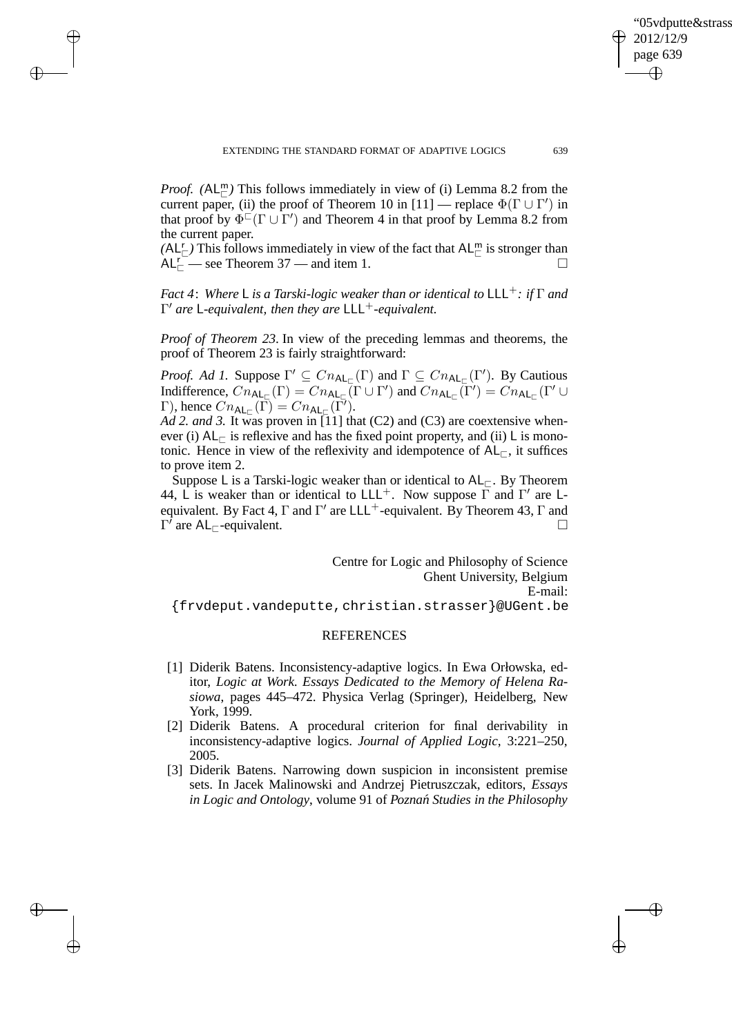*Proof.* ( $AL^m_{\square}$ ) This follows immediately in view of (i) Lemma 8.2 from the current paper, (ii) the proof of Theorem 10 in [11] — replace  $\Phi(\Gamma \cup \Gamma')$  in that proof by  $\Phi^{\Box}(\Gamma \cup \Gamma')$  and Theorem 4 in that proof by Lemma 8.2 from the current paper.

 $\rightarrow$ 

 $\rightarrow$ 

✐

✐

 $(A L^r_{\square})$  This follows immediately in view of the fact that  $A L^m_{\square}$  is stronger than  $AL_{\square}^{\square}$  see Theorem 37 — and item 1.

*Fact* 4: Where L *is a Tarski-logic weaker than or identical to* LLL<sup>+</sup>*: if* Γ *and* Γ ′ *are* L*-equivalent, then they are* LLL+*-equivalent.*

*Proof of Theorem 23*. In view of the preceding lemmas and theorems, the proof of Theorem 23 is fairly straightforward:

*Proof. Ad 1.* Suppose  $\Gamma' \subseteq Cn_{\mathsf{AL}_{\square}}(\Gamma)$  and  $\Gamma \subseteq Cn_{\mathsf{AL}_{\square}}(\Gamma')$ . By Cautious Indifference,  $\widehat{C_{n_{\mathsf{AL}_{\square}}}(\Gamma)} = \widehat{C_{n_{\mathsf{AL}_{\square}}}(\Gamma \cup \Gamma')}$  and  $\widehat{C_{n_{\mathsf{AL}_{\square}}}(\Gamma')} = \widehat{C_{n_{\mathsf{AL}_{\square}}}(\Gamma' \cup \Gamma')}$  $\Gamma$ ), hence  $Cn_{\mathsf{AL}_{\square}}(\overline{\Gamma}) = Cn_{\mathsf{AL}_{\square}}(\overline{\Gamma}).$ 

*Ad 2. and 3.* It was proven in [11] that (C2) and (C3) are coextensive whenever (i)  $AL_{\square}$  is reflexive and has the fixed point property, and (ii) L is monotonic. Hence in view of the reflexivity and idempotence of  $AL_{\sqsubset}$ , it suffices to prove item 2.

Suppose L is a Tarski-logic weaker than or identical to  $AL_\subset$ . By Theorem 44, L is weaker than or identical to LLL<sup>+</sup>. Now suppose  $\overline{\Gamma}$  and  $\Gamma'$  are Lequivalent. By Fact 4,  $\Gamma$  and  $\Gamma'$  are LLL<sup>+</sup>-equivalent. By Theorem 43,  $\Gamma$  and  $\Gamma^{\prime}$  are AL<sub>⊏</sub>-equivalent.

Centre for Logic and Philosophy of Science Ghent University, Belgium E-mail: {frvdeput.vandeputte,christian.strasser}@UGent.be

# REFERENCES

- [1] Diderik Batens. Inconsistency-adaptive logics. In Ewa Orłowska, editor, *Logic at Work. Essays Dedicated to the Memory of Helena Rasiowa*, pages 445–472. Physica Verlag (Springer), Heidelberg, New York, 1999.
- [2] Diderik Batens. A procedural criterion for final derivability in inconsistency-adaptive logics. *Journal of Applied Logic*, 3:221–250, 2005.
- [3] Diderik Batens. Narrowing down suspicion in inconsistent premise sets. In Jacek Malinowski and Andrzej Pietruszczak, editors, *Essays in Logic and Ontology*, volume 91 of *Pozna´n Studies in the Philosophy*

'05vdputte&strass

2012/12/9 page 639

✐

✐

✐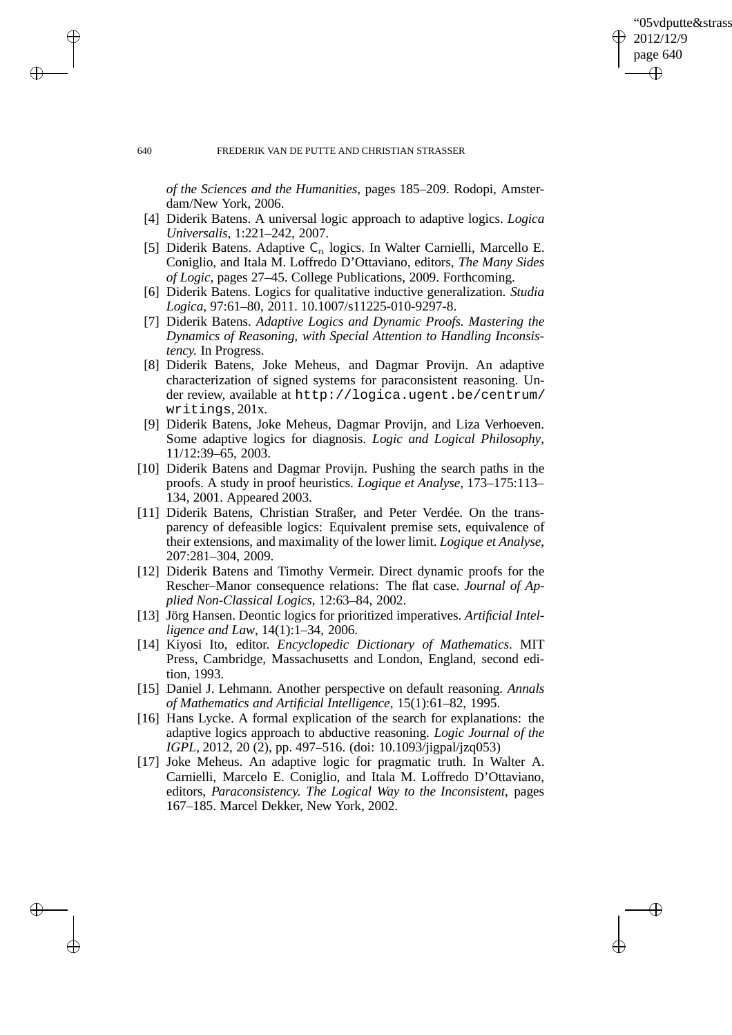✐

#### 640 FREDERIK VAN DE PUTTE AND CHRISTIAN STRASSER

*of the Sciences and the Humanities*, pages 185–209. Rodopi, Amsterdam/New York, 2006.

- [4] Diderik Batens. A universal logic approach to adaptive logics. *Logica Universalis*, 1:221–242, 2007.
- [5] Diderik Batens. Adaptive  $C_n$  logics. In Walter Carnielli, Marcello E. Coniglio, and Itala M. Loffredo D'Ottaviano, editors, *The Many Sides of Logic*, pages 27–45. College Publications, 2009. Forthcoming.
- [6] Diderik Batens. Logics for qualitative inductive generalization. *Studia Logica*, 97:61–80, 2011. 10.1007/s11225-010-9297-8.
- [7] Diderik Batens. *Adaptive Logics and Dynamic Proofs. Mastering the Dynamics of Reasoning, with Special Attention to Handling Inconsistency.* In Progress.
- [8] Diderik Batens, Joke Meheus, and Dagmar Provijn. An adaptive characterization of signed systems for paraconsistent reasoning. Under review, available at http://logica.ugent.be/centrum/ writings, 201x.
- [9] Diderik Batens, Joke Meheus, Dagmar Provijn, and Liza Verhoeven. Some adaptive logics for diagnosis. *Logic and Logical Philosophy*, 11/12:39–65, 2003.
- [10] Diderik Batens and Dagmar Provijn. Pushing the search paths in the proofs. A study in proof heuristics. *Logique et Analyse*, 173–175:113– 134, 2001. Appeared 2003.
- [11] Diderik Batens, Christian Straßer, and Peter Verdée. On the transparency of defeasible logics: Equivalent premise sets, equivalence of their extensions, and maximality of the lower limit. *Logique et Analyse*, 207:281–304, 2009.
- [12] Diderik Batens and Timothy Vermeir. Direct dynamic proofs for the Rescher–Manor consequence relations: The flat case. *Journal of Applied Non-Classical Logics*, 12:63–84, 2002.
- [13] Jörg Hansen. Deontic logics for prioritized imperatives. *Artificial Intelligence and Law*, 14(1):1–34, 2006.
- [14] Kiyosi Ito, editor. *Encyclopedic Dictionary of Mathematics*. MIT Press, Cambridge, Massachusetts and London, England, second edition, 1993.
- [15] Daniel J. Lehmann. Another perspective on default reasoning. *Annals of Mathematics and Artificial Intelligence*, 15(1):61–82, 1995.
- [16] Hans Lycke. A formal explication of the search for explanations: the adaptive logics approach to abductive reasoning. *Logic Journal of the IGPL*, 2012, 20 (2), pp. 497–516. (doi: 10.1093/jigpal/jzq053)
- [17] Joke Meheus. An adaptive logic for pragmatic truth. In Walter A. Carnielli, Marcelo E. Coniglio, and Itala M. Loffredo D'Ottaviano, editors, *Paraconsistency. The Logical Way to the Inconsistent*, pages 167–185. Marcel Dekker, New York, 2002.

 $\rightarrow$ 

 $\rightarrow$ 

✐